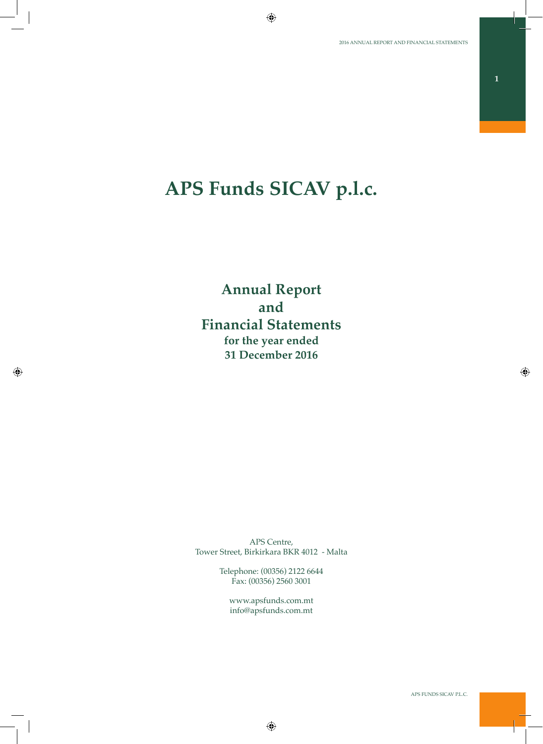# **APS Funds SICAV p.l.c.**

 $\bigoplus$ 

**Annual Report and Financial Statements for the year ended 31 December 2016**

⊕

APS Centre, Tower Street, Birkirkara BKR 4012 - Malta

> Telephone: (00356) 2122 6644 Fax: (00356) 2560 3001

www.apsfunds.com.mt info@apsfunds.com.mt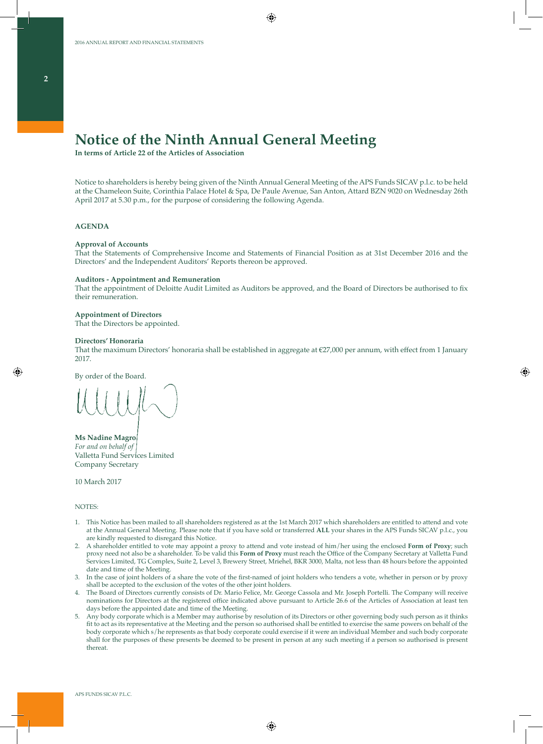### **Notice of the Ninth Annual General Meeting**

**In terms of Article 22 of the Articles of Association**

Notice to shareholders is hereby being given of the Ninth Annual General Meeting of the APS Funds SICAV p.l.c. to be held at the Chameleon Suite, Corinthia Palace Hotel & Spa, De Paule Avenue, San Anton, Attard BZN 9020 on Wednesday 26th April 2017 at 5.30 p.m., for the purpose of considering the following Agenda.

#### **AGENDA**

#### **Approval of Accounts**

That the Statements of Comprehensive Income and Statements of Financial Position as at 31st December 2016 and the Directors' and the Independent Auditors' Reports thereon be approved.

#### **Auditors - Appointment and Remuneration**

That the appointment of Deloitte Audit Limited as Auditors be approved, and the Board of Directors be authorised to fix their remuneration.

#### **Appointment of Directors**

That the Directors be appointed.

#### **Directors' Honoraria**

That the maximum Directors' honoraria shall be established in aggregate at  $\epsilon$ 27,000 per annum, with effect from 1 January 2017.

◈

By order of the Board.

**Ms Nadine Magro** *For and on behalf of* Valletta Fund Services Limited Company Secretary

10 March 2017

#### NOTES:

- 1. This Notice has been mailed to all shareholders registered as at the 1st March 2017 which shareholders are entitled to attend and vote at the Annual General Meeting. Please note that if you have sold or transferred **ALL** your shares in the APS Funds SICAV p.l.c., you are kindly requested to disregard this Notice.
- 2. A shareholder entitled to vote may appoint a proxy to attend and vote instead of him/her using the enclosed **Form of Proxy**; such proxy need not also be a shareholder. To be valid this **Form of Proxy** must reach the Office of the Company Secretary at Valletta Fund Services Limited, TG Complex, Suite 2, Level 3, Brewery Street, Mriehel, BKR 3000, Malta, not less than 48 hours before the appointed date and time of the Meeting.
- 3. In the case of joint holders of a share the vote of the first-named of joint holders who tenders a vote, whether in person or by proxy shall be accepted to the exclusion of the votes of the other joint holders.
- The Board of Directors currently consists of Dr. Mario Felice, Mr. George Cassola and Mr. Joseph Portelli. The Company will receive nominations for Directors at the registered office indicated above pursuant to Article 26.6 of the Articles of Association at least ten days before the appointed date and time of the Meeting.
- 5. Any body corporate which is a Member may authorise by resolution of its Directors or other governing body such person as it thinks fit to act as its representative at the Meeting and the person so authorised shall be entitled to exercise the same powers on behalf of the body corporate which s/he represents as that body corporate could exercise if it were an individual Member and such body corporate shall for the purposes of these presents be deemed to be present in person at any such meeting if a person so authorised is present thereat.

⊕

◈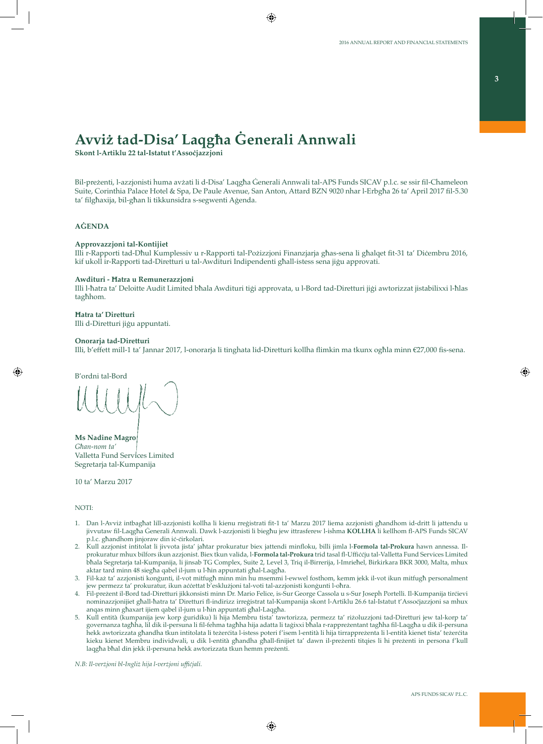### **Avviż tad-Disa' Laqgħa Ġenerali Annwali**

**Skont l-Artiklu 22 tal-Istatut t'Assoċjazzjoni**

Bil-preżenti, l-azzjonisti huma avżati li d-Disa' Laqgħa Ġenerali Annwali tal-APS Funds SICAV p.l.c. se ssir fil-Chameleon Suite, Corinthia Palace Hotel & Spa, De Paule Avenue, San Anton, Attard BZN 9020 nhar l-Erbgħa 26 ta' April 2017 fil-5.30 ta' filgħaxija, bil-għan li tikkunsidra s-segwenti Aġenda.

⊕

#### **AĠENDA**

#### **Approvazzjoni tal-Kontijiet**

Illi r-Rapporti tad-Dħul Kumplessiv u r-Rapporti tal-Pożizzjoni Finanzjarja għas-sena li għalqet fit-31 ta' Diċembru 2016, kif ukoll ir-Rapporti tad-Diretturi u tal-Awdituri Indipendenti għall-istess sena jiġu approvati.

#### **Awdituri - Ħatra u Remunerazzjoni**

Illi l-ħatra ta' Deloitte Audit Limited bħala Awdituri tiġi approvata, u l-Bord tad-Diretturi jiġi awtorizzat jistabilixxi l-ħlas tagħhom.

#### **Ħatra ta' Diretturi**

Illi d-Diretturi jiġu appuntati.

#### **Onorarja tad-Diretturi**

Illi, b'effett mill-1 ta' Jannar 2017, l-onorarja li tinghata lid-Diretturi kollha flimkin ma tkunx ogħla minn €27,000 fis-sena.

B'ordni tal-Bord

**Ms Nadine Magro** *Għan-nom ta'* Valletta Fund Services Limited Segretarja tal-Kumpanija

10 ta' Marzu 2017

#### NOTI:

◈

- 1. Dan l-Avviż intbagħat lill-azzjonisti kollha li kienu rreġistrati fit-1 ta' Marzu 2017 liema azzjonisti għandhom id-dritt li jattendu u jivvutaw fil-Laqgħa Ġenerali Annwali. Dawk l-azzjonisti li biegħu jew ittrasferew l-ishma **KOLLHA** li kellhom fl-APS Funds SICAV p.l.c. għandhom jinjoraw din iċ-ċirkolari.
- 2. Kull azzjonist intitolat li jivvota jista' jaħtar prokuratur biex jattendi minfloku, billi jimla l-**Formola tal-Prokura** hawn annessa. Ilprokuratur mhux bilfors ikun azzjonist. Biex tkun valida, l-**Formola tal-Prokura** trid tasal fl-Uffiċċju tal-Valletta Fund Services Limited bħala Segretarja tal-Kumpanija, li jinsab TG Complex, Suite 2, Level 3, Triq il-Birrerija, l-Imrieħel, Birkirkara BKR 3000, Malta, mhux aktar tard minn 48 siegħa qabel il-jum u l-ħin appuntati għal-Laqgħa.
- 3. Fil-każ ta' azzjonisti konġunti, il-vot mitfugħ minn min hu msemmi l-ewwel fosthom, kemm jekk il-vot ikun mitfugħ personalment jew permezz ta' prokuratur, ikun aċċettat b'esklużjoni tal-voti tal-azzjonisti konġunti l-oħra.
- 4. Fil-preżent il-Bord tad-Diretturi jikkonsisti minn Dr. Mario Felice, is-Sur George Cassola u s-Sur Joseph Portelli. Il-Kumpanija tirċievi nominazzjonijiet għall-ħatra ta' Diretturi fl-indirizz irreġistrat tal-Kumpanija skont l-Artiklu 26.6 tal-Istatut t'Assoċjazzjoni sa mhux anqas minn għaxart ijiem qabel il-jum u l-ħin appuntati għal-Laqgħa.
- 5. Kull entità (kumpanija jew korp ġuridiku) li hija Membru tista' tawtorizza, permezz ta' riżoluzzjoni tad-Diretturi jew tal-korp ta' governanza tagħha, lil dik il-persuna li fil-fehma tagħha hija adatta li taġixxi bħala r-rappreżentant tagħha fil-Laqgħa u dik il-persuna hekk awtorizzata għandha tkun intitolata li teżerċita l-istess poteri f'isem l-entità li hija tirrappreżenta li l-entità kienet tista' teżerċita kieku kienet Membru individwali, u dik l-entità għandha għall-finijiet ta' dawn il-preżenti titqies li hi preżenti in persona f'kull laqgħa bħal din jekk il-persuna hekk awtorizzata tkun hemm preżenti.

*N.B: Il-verżjoni bl-Ingliż hija l-verżjoni uffiċjali.*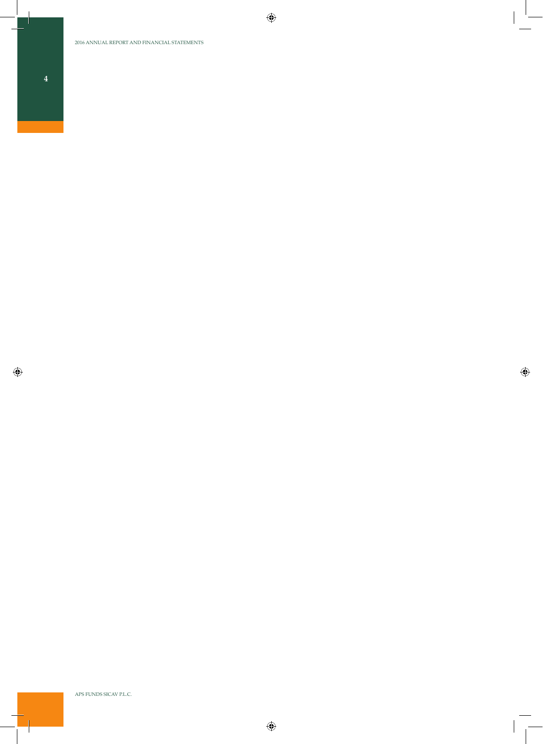2016 ANNUAL REPORT AND FINANCIAL STATEMENTS

**4**

 $\bigoplus$ 

APS FUNDS SICAV P.L.C.

 $\bigoplus$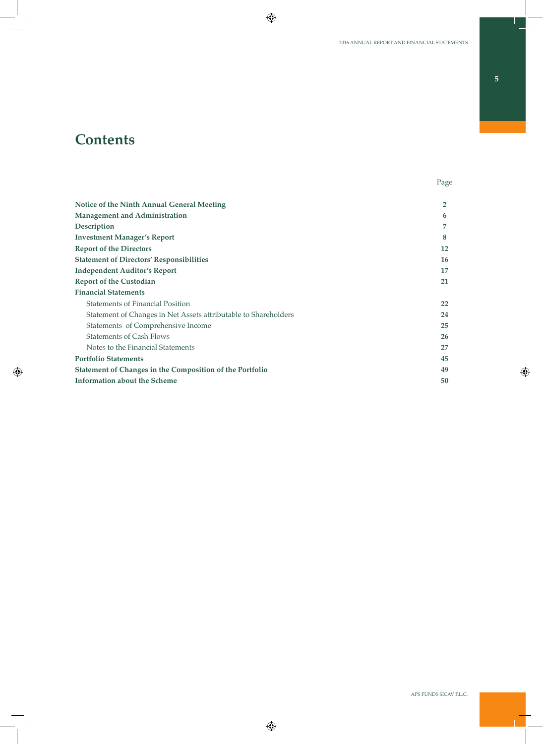$\bigoplus$ 

### **Contents**

 $\bigoplus$ 

 $\overline{\phantom{a}}$ 

| <b>Notice of the Ninth Annual General Meeting</b>               | 2  |
|-----------------------------------------------------------------|----|
| <b>Management and Administration</b>                            | 6  |
| Description                                                     | 7  |
| <b>Investment Manager's Report</b>                              | 8  |
| <b>Report of the Directors</b>                                  | 12 |
| <b>Statement of Directors' Responsibilities</b>                 | 16 |
| <b>Independent Auditor's Report</b>                             | 17 |
| <b>Report of the Custodian</b>                                  | 21 |
| <b>Financial Statements</b>                                     |    |
| <b>Statements of Financial Position</b>                         | 22 |
| Statement of Changes in Net Assets attributable to Shareholders | 24 |
| Statements of Comprehensive Income                              | 25 |
| <b>Statements of Cash Flows</b>                                 | 26 |
| Notes to the Financial Statements                               | 27 |
| <b>Portfolio Statements</b>                                     | 45 |
| <b>Statement of Changes in the Composition of the Portfolio</b> | 49 |
| <b>Information about the Scheme</b>                             | 50 |
|                                                                 |    |

 $\bigoplus$ 

# Page of the state of the state of the state of the state of the state of the state of the state of the state o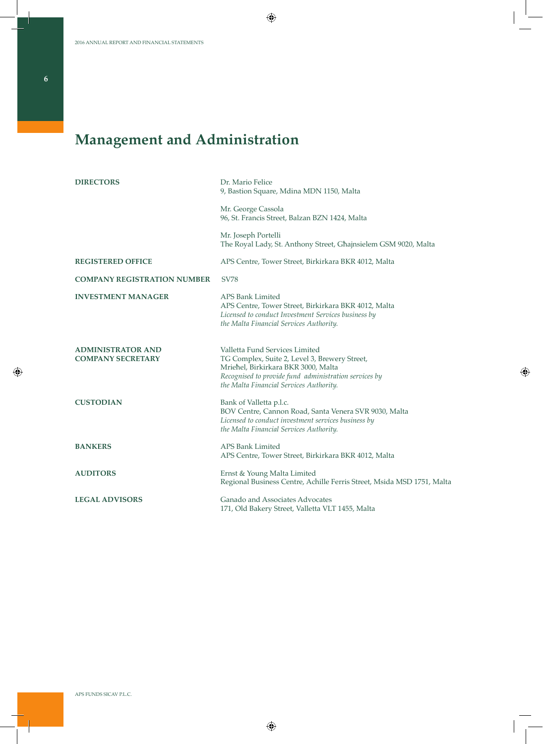# **Management and Administration**

| <b>DIRECTORS</b>                                     | Dr. Mario Felice<br>9, Bastion Square, Mdina MDN 1150, Malta                                                                                                                                                               |
|------------------------------------------------------|----------------------------------------------------------------------------------------------------------------------------------------------------------------------------------------------------------------------------|
|                                                      | Mr. George Cassola<br>96, St. Francis Street, Balzan BZN 1424, Malta                                                                                                                                                       |
|                                                      | Mr. Joseph Portelli<br>The Royal Lady, St. Anthony Street, Ghajnsielem GSM 9020, Malta                                                                                                                                     |
| <b>REGISTERED OFFICE</b>                             | APS Centre, Tower Street, Birkirkara BKR 4012, Malta                                                                                                                                                                       |
| <b>COMPANY REGISTRATION NUMBER</b>                   | <b>SV78</b>                                                                                                                                                                                                                |
| <b>INVESTMENT MANAGER</b>                            | <b>APS Bank Limited</b><br>APS Centre, Tower Street, Birkirkara BKR 4012, Malta<br>Licensed to conduct Investment Services business by<br>the Malta Financial Services Authority.                                          |
| <b>ADMINISTRATOR AND</b><br><b>COMPANY SECRETARY</b> | Valletta Fund Services Limited<br>TG Complex, Suite 2, Level 3, Brewery Street,<br>Mriehel, Birkirkara BKR 3000, Malta<br>Recognised to provide fund administration services by<br>the Malta Financial Services Authority. |
| <b>CUSTODIAN</b>                                     | Bank of Valletta p.l.c.<br>BOV Centre, Cannon Road, Santa Venera SVR 9030, Malta<br>Licensed to conduct investment services business by<br>the Malta Financial Services Authority.                                         |
| <b>BANKERS</b>                                       | <b>APS Bank Limited</b><br>APS Centre, Tower Street, Birkirkara BKR 4012, Malta                                                                                                                                            |
| <b>AUDITORS</b>                                      | Ernst & Young Malta Limited<br>Regional Business Centre, Achille Ferris Street, Msida MSD 1751, Malta                                                                                                                      |
| <b>LEGAL ADVISORS</b>                                | Ganado and Associates Advocates<br>171, Old Bakery Street, Valletta VLT 1455, Malta                                                                                                                                        |

 $\bigcirc$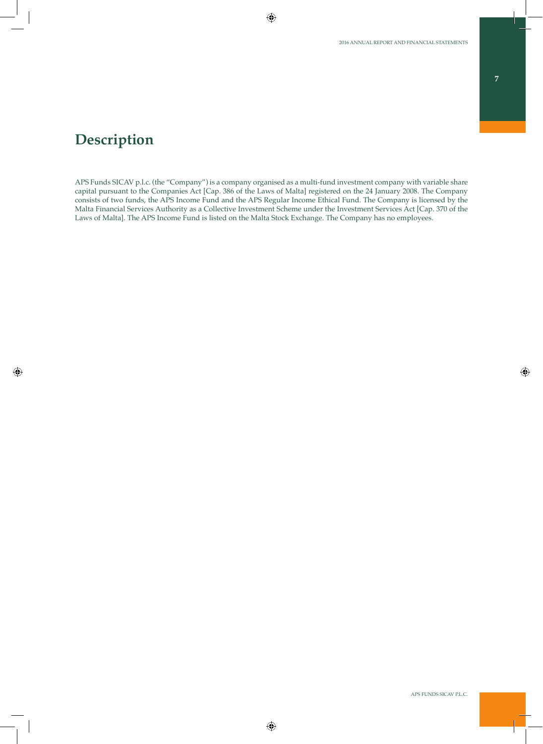### **Description**

◈

APS Funds SICAV p.l.c. (the "Company") is a company organised as a multi-fund investment company with variable share capital pursuant to the Companies Act [Cap. 386 of the Laws of Malta] registered on the 24 January 2008. The Company consists of two funds, the APS Income Fund and the APS Regular Income Ethical Fund. The Company is licensed by the Malta Financial Services Authority as a Collective Investment Scheme under the Investment Services Act [Cap. 370 of the Laws of Malta]. The APS Income Fund is listed on the Malta Stock Exchange. The Company has no employees.

⊕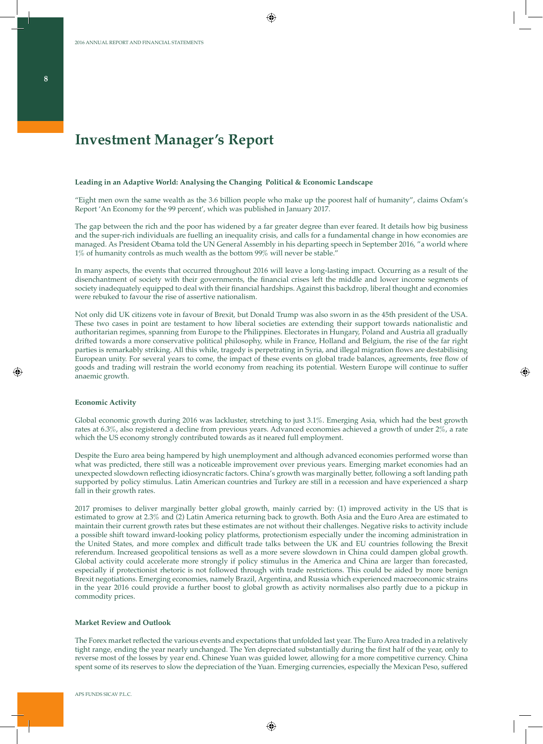### **Investment Manager's Report**

#### **Leading in an Adaptive World: Analysing the Changing Political & Economic Landscape**

"Eight men own the same wealth as the 3.6 billion people who make up the poorest half of humanity", claims Oxfam's Report 'An Economy for the 99 percent', which was published in January 2017.

⊕

The gap between the rich and the poor has widened by a far greater degree than ever feared. It details how big business and the super-rich individuals are fuelling an inequality crisis, and calls for a fundamental change in how economies are managed. As President Obama told the UN General Assembly in his departing speech in September 2016, "a world where 1% of humanity controls as much wealth as the bottom 99% will never be stable."

In many aspects, the events that occurred throughout 2016 will leave a long-lasting impact. Occurring as a result of the disenchantment of society with their governments, the financial crises left the middle and lower income segments of society inadequately equipped to deal with their financial hardships. Against this backdrop, liberal thought and economies were rebuked to favour the rise of assertive nationalism.

Not only did UK citizens vote in favour of Brexit, but Donald Trump was also sworn in as the 45th president of the USA. These two cases in point are testament to how liberal societies are extending their support towards nationalistic and authoritarian regimes, spanning from Europe to the Philippines. Electorates in Hungary, Poland and Austria all gradually drifted towards a more conservative political philosophy, while in France, Holland and Belgium, the rise of the far right parties is remarkably striking. All this while, tragedy is perpetrating in Syria, and illegal migration flows are destabilising European unity. For several years to come, the impact of these events on global trade balances, agreements, free flow of goods and trading will restrain the world economy from reaching its potential. Western Europe will continue to suffer anaemic growth.

◈

#### **Economic Activity**

Global economic growth during 2016 was lackluster, stretching to just 3.1%. Emerging Asia, which had the best growth rates at 6.3%, also registered a decline from previous years. Advanced economies achieved a growth of under 2%, a rate which the US economy strongly contributed towards as it neared full employment.

Despite the Euro area being hampered by high unemployment and although advanced economies performed worse than what was predicted, there still was a noticeable improvement over previous years. Emerging market economies had an unexpected slowdown reflecting idiosyncratic factors. China's growth was marginally better, following a soft landing path supported by policy stimulus. Latin American countries and Turkey are still in a recession and have experienced a sharp fall in their growth rates.

2017 promises to deliver marginally better global growth, mainly carried by: (1) improved activity in the US that is estimated to grow at 2.3% and (2) Latin America returning back to growth. Both Asia and the Euro Area are estimated to maintain their current growth rates but these estimates are not without their challenges. Negative risks to activity include a possible shift toward inward-looking policy platforms, protectionism especially under the incoming administration in the United States, and more complex and difficult trade talks between the UK and EU countries following the Brexit referendum. Increased geopolitical tensions as well as a more severe slowdown in China could dampen global growth. Global activity could accelerate more strongly if policy stimulus in the America and China are larger than forecasted, especially if protectionist rhetoric is not followed through with trade restrictions. This could be aided by more benign Brexit negotiations. Emerging economies, namely Brazil, Argentina, and Russia which experienced macroeconomic strains in the year 2016 could provide a further boost to global growth as activity normalises also partly due to a pickup in commodity prices.

#### **Market Review and Outlook**

The Forex market reflected the various events and expectations that unfolded last year. The Euro Area traded in a relatively tight range, ending the year nearly unchanged. The Yen depreciated substantially during the first half of the year, only to reverse most of the losses by year end. Chinese Yuan was guided lower, allowing for a more competitive currency. China spent some of its reserves to slow the depreciation of the Yuan. Emerging currencies, especially the Mexican Peso, suffered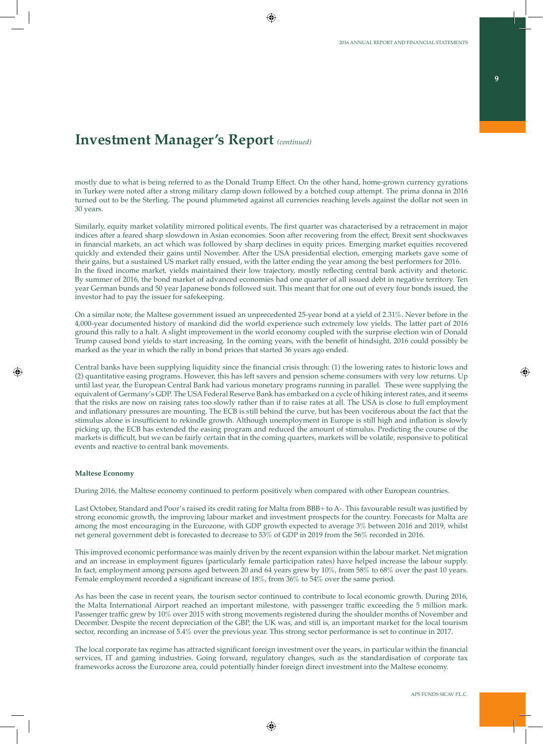♠

### **Investment Manager's Report** *(continued)*

mostly due to what is being referred to as the Donald Trump Effect. On the other hand, home-grown currency gyrations in Turkey were noted after a strong military clamp down followed by a botched coup attempt. The prima donna in 2016 turned out to be the Sterling. The pound plummeted against all currencies reaching levels against the dollar not seen in 30 years.

⊕

Similarly, equity market volatility mirrored political events. The first quarter was characterised by a retracement in major indices after a feared sharp slowdown in Asian economies. Soon after recovering from the effect, Brexit sent shockwaves in financial markets, an act which was followed by sharp declines in equity prices. Emerging market equities recovered quickly and extended their gains until November. After the USA presidential election, emerging markets gave some of their gains, but a sustained US market rally ensued, with the latter ending the year among the best performers for 2016. In the fixed income market, yields maintained their low trajectory, mostly reflecting central bank activity and rhetoric. By summer of 2016, the bond market of advanced economies had one quarter of all issued debt in negative territory. Ten year German bunds and 50 year Japanese bonds followed suit. This meant that for one out of every four bonds issued, the investor had to pay the issuer for safekeeping.

On a similar note, the Maltese government issued an unprecedented 25-year bond at a yield of 2.31%. Never before in the 4,000-year documented history of mankind did the world experience such extremely low yields. The latter part of 2016 ground this rally to a halt. A slight improvement in the world economy coupled with the surprise election win of Donald Trump caused bond yields to start increasing. In the coming years, with the benefit of hindsight, 2016 could possibly be marked as the year in which the rally in bond prices that started 36 years ago ended.

Central banks have been supplying liquidity since the financial crisis through: (1) the lowering rates to historic lows and (2) quantitative easing programs. However, this has left savers and pension scheme consumers with very low returns. Up until last year, the European Central Bank had various monetary programs running in parallel. These were supplying the equivalent of Germany's GDP. The USA Federal Reserve Bank has embarked on a cycle of hiking interest rates, and it seems that the risks are now on raising rates too slowly rather than if to raise rates at all. The USA is close to full employment and inflationary pressures are mounting. The ECB is still behind the curve, but has been vociferous about the fact that the stimulus alone is insufficient to rekindle growth. Although unemployment in Europe is still high and inflation is slowly picking up, the ECB has extended the easing program and reduced the amount of stimulus. Predicting the course of the markets is difficult, but we can be fairly certain that in the coming quarters, markets will be volatile, responsive to political events and reactive to central bank movements.

#### **Maltese Economy**

During 2016, the Maltese economy continued to perform positively when compared with other European countries.

Last October, Standard and Poor's raised its credit rating for Malta from BBB+ to A-. This favourable result was justified by strong economic growth, the improving labour market and investment prospects for the country. Forecasts for Malta are among the most encouraging in the Eurozone, with GDP growth expected to average 3% between 2016 and 2019, whilst net general government debt is forecasted to decrease to 53% of GDP in 2019 from the 56% recorded in 2016.

This improved economic performance was mainly driven by the recent expansion within the labour market. Net migration and an increase in employment figures (particularly female participation rates) have helped increase the labour supply. In fact, employment among persons aged between 20 and 64 years grew by 10%, from 58% to 68% over the past 10 years. Female employment recorded a significant increase of 18%, from 36% to 54% over the same period.

As has been the case in recent years, the tourism sector continued to contribute to local economic growth. During 2016, the Malta International Airport reached an important milestone, with passenger traffic exceeding the 5 million mark. Passenger traffic grew by 10% over 2015 with strong movements registered during the shoulder months of November and December. Despite the recent depreciation of the GBP, the UK was, and still is, an important market for the local tourism sector, recording an increase of 5.4% over the previous year. This strong sector performance is set to continue in 2017.

The local corporate tax regime has attracted significant foreign investment over the years, in particular within the financial services, IT and gaming industries. Going forward, regulatory changes, such as the standardisation of corporate tax frameworks across the Eurozone area, could potentially hinder foreign direct investment into the Maltese economy.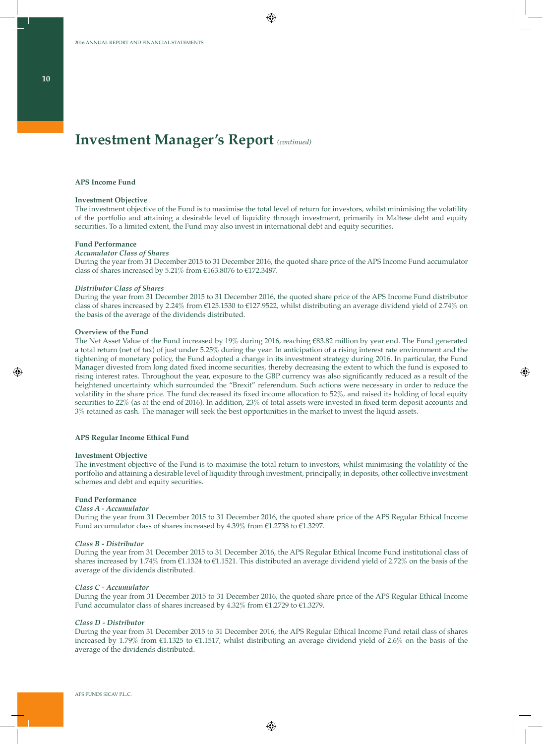### **Investment Manager's Report** *(continued)*

#### **APS Income Fund**

#### **Investment Objective**

The investment objective of the Fund is to maximise the total level of return for investors, whilst minimising the volatility of the portfolio and attaining a desirable level of liquidity through investment, primarily in Maltese debt and equity securities. To a limited extent, the Fund may also invest in international debt and equity securities.

⊕

#### **Fund Performance**

#### *Accumulator Class of Shares*

During the year from 31 December 2015 to 31 December 2016, the quoted share price of the APS Income Fund accumulator class of shares increased by 5.21% from €163.8076 to €172.3487.

#### *Distributor Class of Shares*

During the year from 31 December 2015 to 31 December 2016, the quoted share price of the APS Income Fund distributor class of shares increased by 2.24% from €125.1530 to €127.9522, whilst distributing an average dividend yield of 2.74% on the basis of the average of the dividends distributed.

#### **Overview of the Fund**

The Net Asset Value of the Fund increased by 19% during 2016, reaching €83.82 million by year end. The Fund generated a total return (net of tax) of just under 5.25% during the year. In anticipation of a rising interest rate environment and the tightening of monetary policy, the Fund adopted a change in its investment strategy during 2016. In particular, the Fund Manager divested from long dated fixed income securities, thereby decreasing the extent to which the fund is exposed to rising interest rates. Throughout the year, exposure to the GBP currency was also significantly reduced as a result of the heightened uncertainty which surrounded the "Brexit" referendum. Such actions were necessary in order to reduce the volatility in the share price. The fund decreased its fixed income allocation to 52%, and raised its holding of local equity securities to 22% (as at the end of 2016). In addition, 23% of total assets were invested in fixed term deposit accounts and 3% retained as cash. The manager will seek the best opportunities in the market to invest the liquid assets.

♠

#### **APS Regular Income Ethical Fund**

#### **Investment Objective**

The investment objective of the Fund is to maximise the total return to investors, whilst minimising the volatility of the portfolio and attaining a desirable level of liquidity through investment, principally, in deposits, other collective investment schemes and debt and equity securities.

#### **Fund Performance**

#### *Class A - Accumulator*

During the year from 31 December 2015 to 31 December 2016, the quoted share price of the APS Regular Ethical Income Fund accumulator class of shares increased by 4.39% from €1.2738 to €1.3297.

#### *Class B - Distributor*

During the year from 31 December 2015 to 31 December 2016, the APS Regular Ethical Income Fund institutional class of shares increased by 1.74% from €1.1324 to €1.1521. This distributed an average dividend yield of 2.72% on the basis of the average of the dividends distributed.

#### *Class C - Accumulator*

During the year from 31 December 2015 to 31 December 2016, the quoted share price of the APS Regular Ethical Income Fund accumulator class of shares increased by 4.32% from  $£1.2729$  to  $£1.3279$ .

#### *Class D - Distributor*

During the year from 31 December 2015 to 31 December 2016, the APS Regular Ethical Income Fund retail class of shares increased by 1.79% from €1.1325 to €1.1517, whilst distributing an average dividend yield of 2.6% on the basis of the average of the dividends distributed.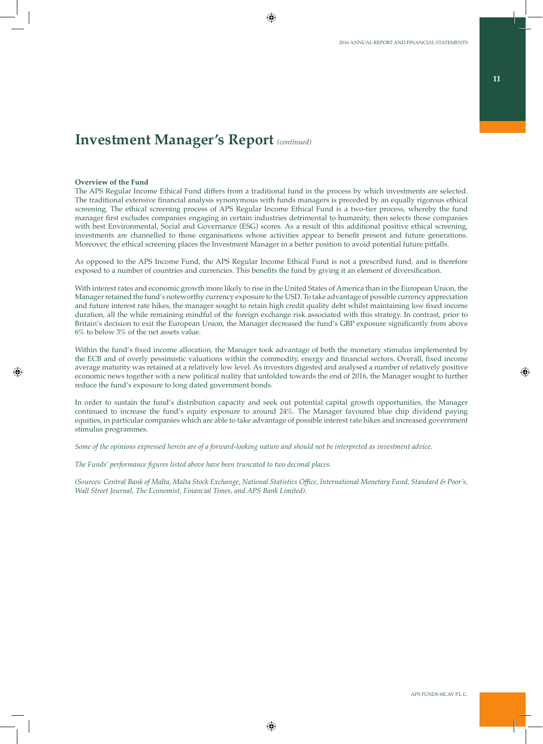**11**

♠

### **Investment Manager's Report** *(continued)*

#### **Overview of the Fund**

The APS Regular Income Ethical Fund differs from a traditional fund in the process by which investments are selected. The traditional extensive financial analysis synonymous with funds managers is preceded by an equally rigorous ethical screening. The ethical screening process of APS Regular Income Ethical Fund is a two-tier process, whereby the fund manager first excludes companies engaging in certain industries detrimental to humanity, then selects those companies with best Environmental, Social and Governance (ESG) scores. As a result of this additional positive ethical screening, investments are channelled to those organisations whose activities appear to benefit present and future generations. Moreover, the ethical screening places the Investment Manager in a better position to avoid potential future pitfalls.

◈

As opposed to the APS Income Fund, the APS Regular Income Ethical Fund is not a prescribed fund, and is therefore exposed to a number of countries and currencies. This benefits the fund by giving it an element of diversification.

With interest rates and economic growth more likely to rise in the United States of America than in the European Union, the Manager retained the fund's noteworthy currency exposure to the USD. To take advantage of possible currency appreciation and future interest rate hikes, the manager sought to retain high credit quality debt whilst maintaining low fixed income duration, all the while remaining mindful of the foreign exchange risk associated with this strategy. In contrast, prior to Britain's decision to exit the European Union, the Manager decreased the fund's GBP exposure significantly from above 6% to below 3% of the net assets value.

Within the fund's fixed income allocation, the Manager took advantage of both the monetary stimulus implemented by the ECB and of overly pessimistic valuations within the commodity, energy and financial sectors. Overall, fixed income average maturity was retained at a relatively low level. As investors digested and analysed a number of relatively positive economic news together with a new political reality that unfolded towards the end of 2016, the Manager sought to further reduce the fund's exposure to long dated government bonds.

In order to sustain the fund's distribution capacity and seek out potential capital growth opportunities, the Manager continued to increase the fund's equity exposure to around 24%. The Manager favoured blue chip dividend paying equities, in particular companies which are able to take advantage of possible interest rate hikes and increased government stimulus programmes.

*Some of the opinions expressed herein are of a forward-looking nature and should not be interpreted as investment advice.*

*The Funds' performance figures listed above have been truncated to two decimal places.*

*(Sources: Central Bank of Malta, Malta Stock Exchange, National Statistics Office, International Monetary Fund, Standard & Poor's, Wall Street Journal, The Economist, Financial Times, and APS Bank Limited).*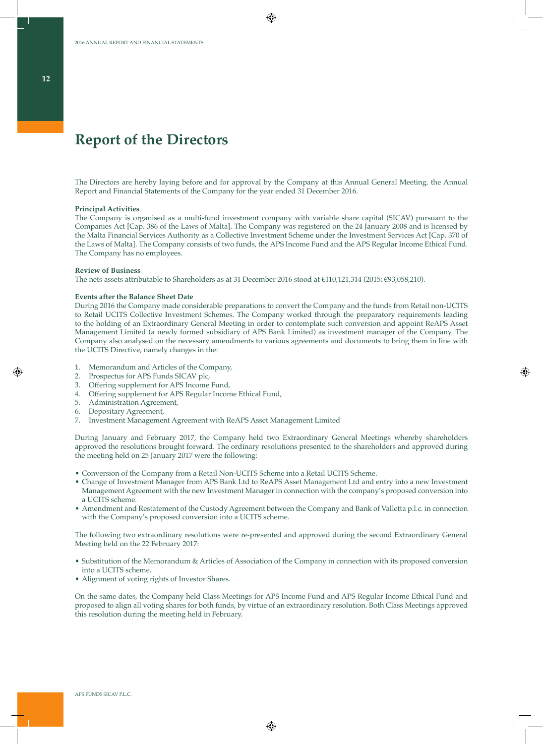### **Report of the Directors**

The Directors are hereby laying before and for approval by the Company at this Annual General Meeting, the Annual Report and Financial Statements of the Company for the year ended 31 December 2016.

#### **Principal Activities**

**12**

♠

The Company is organised as a multi-fund investment company with variable share capital (SICAV) pursuant to the Companies Act [Cap. 386 of the Laws of Malta]. The Company was registered on the 24 January 2008 and is licensed by the Malta Financial Services Authority as a Collective Investment Scheme under the Investment Services Act [Cap. 370 of the Laws of Malta]. The Company consists of two funds, the APS Income Fund and the APS Regular Income Ethical Fund. The Company has no employees.

#### **Review of Business**

The nets assets attributable to Shareholders as at 31 December 2016 stood at €110,121,314 (2015: €93,058,210).

#### **Events after the Balance Sheet Date**

During 2016 the Company made considerable preparations to convert the Company and the funds from Retail non-UCITS to Retail UCITS Collective Investment Schemes. The Company worked through the preparatory requirements leading to the holding of an Extraordinary General Meeting in order to contemplate such conversion and appoint ReAPS Asset Management Limited (a newly formed subsidiary of APS Bank Limited) as investment manager of the Company. The Company also analysed on the necessary amendments to various agreements and documents to bring them in line with the UCITS Directive, namely changes in the:

◈

- 1. Memorandum and Articles of the Company,
- 2. Prospectus for APS Funds SICAV plc,
- 3. Offering supplement for APS Income Fund,
- 4. Offering supplement for APS Regular Income Ethical Fund,
- 5. Administration Agreement,
- 6. Depositary Agreement,
- 7. Investment Management Agreement with ReAPS Asset Management Limited

During January and February 2017, the Company held two Extraordinary General Meetings whereby shareholders approved the resolutions brought forward. The ordinary resolutions presented to the shareholders and approved during the meeting held on 25 January 2017 were the following:

- Conversion of the Company from a Retail Non-UCITS Scheme into a Retail UCITS Scheme.
- Change of Investment Manager from APS Bank Ltd to ReAPS Asset Management Ltd and entry into a new Investment Management Agreement with the new Investment Manager in connection with the company's proposed conversion into a UCITS scheme.
- Amendment and Restatement of the Custody Agreement between the Company and Bank of Valletta p.l.c. in connection with the Company's proposed conversion into a UCITS scheme.

The following two extraordinary resolutions were re-presented and approved during the second Extraordinary General Meeting held on the 22 February 2017:

- Substitution of the Memorandum & Articles of Association of the Company in connection with its proposed conversion into a UCITS scheme.
- Alignment of voting rights of Investor Shares.

On the same dates, the Company held Class Meetings for APS Income Fund and APS Regular Income Ethical Fund and proposed to align all voting shares for both funds, by virtue of an extraordinary resolution. Both Class Meetings approved this resolution during the meeting held in February.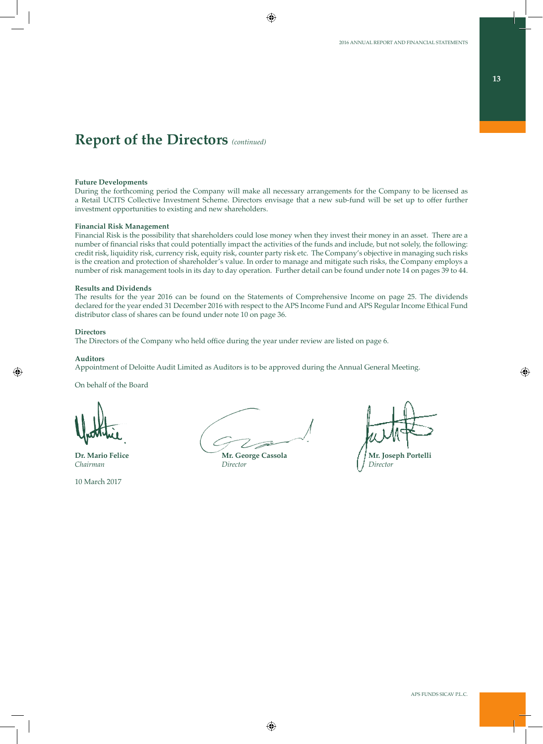### **Report of the Directors** *(continued)*

#### **Future Developments**

During the forthcoming period the Company will make all necessary arrangements for the Company to be licensed as a Retail UCITS Collective Investment Scheme. Directors envisage that a new sub-fund will be set up to offer further investment opportunities to existing and new shareholders.

◈

#### **Financial Risk Management**

Financial Risk is the possibility that shareholders could lose money when they invest their money in an asset. There are a number of financial risks that could potentially impact the activities of the funds and include, but not solely, the following: credit risk, liquidity risk, currency risk, equity risk, counter party risk etc. The Company's objective in managing such risks is the creation and protection of shareholder's value. In order to manage and mitigate such risks, the Company employs a number of risk management tools in its day to day operation. Further detail can be found under note 14 on pages 39 to 44.

#### **Results and Dividends**

The results for the year 2016 can be found on the Statements of Comprehensive Income on page 25. The dividends declared for the year ended 31 December 2016 with respect to the APS Income Fund and APS Regular Income Ethical Fund distributor class of shares can be found under note 10 on page 36.

#### **Directors**

The Directors of the Company who held office during the year under review are listed on page 6.

#### **Auditors**

◈

Appointment of Deloitte Audit Limited as Auditors is to be approved during the Annual General Meeting.

On behalf of the Board

10 March 2017

*Chairman Director Director*

**Dr. Mario Felice Mr. George Cassola** (*Mr. Joseph Portelli*) Chairman (*J Mr. Joseph Portelli*)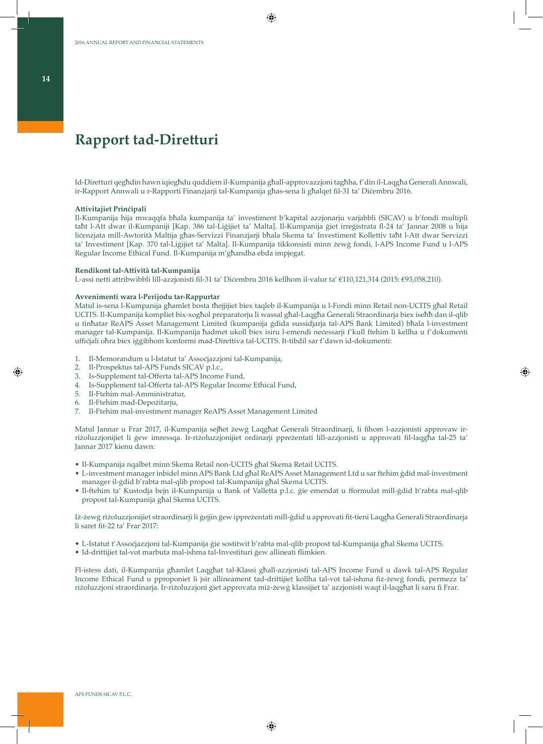#### **14**

⊕

### **Rapport tad-Diretturi**

Id-Diretturi qegħdin hawn iqiegħdu quddiem il-Kumpanija għall-approvazzjoni tagħha, f'din il-Laqgħa Ġenerali Annwali, ir-Rapport Annwali u r-Rapporti Finanzjarji tal-Kumpanija għas-sena li għalqet fil-31 ta' Diċembru 2016.

#### **Attivitajiet Prinċipali**

Il-Kumpanija hija mwaqqfa bħala kumpanija ta' investiment b'kapital azzjonarju varjabbli (SICAV) u b'fondi multipli taħt l-Att dwar il-Kumpaniji [Kap. 386 tal-Liġijiet ta' Malta]. Il-Kumpanija ġiet irreġistrata fl-24 ta' Jannar 2008 u hija liċenzjata mill-Awtorità Maltija għas-Servizzi Finanzjarji bħala Skema ta' Investiment Kollettiv taħt l-Att dwar Servizzi ta' Investiment [Kap. 370 tal-Liġijiet ta' Malta]. Il-Kumpanija tikkonsisti minn żewġ fondi, l-APS Income Fund u l-APS Regular Income Ethical Fund. Il-Kumpanija m'għandha ebda impjegat.

#### **Rendikont tal-Attività tal-Kumpanija**

L-assi netti attribwibbli lill-azzjonisti fil-31 ta' Diċembru 2016 kellhom il-valur ta' €110,121,314 (2015: €93,058,210).

#### **Avvenimenti wara l-Perijodu tar-Rappurtar**

Matul is-sena l-Kumpanija għamlet bosta tħejjijiet biex taqleb il-Kumpanija u l-Fondi minn Retail non-UCITS għal Retail UCITS. Il-Kumpanija kompliet bix-xogħol preparatorju li wassal għal-Laqgħa Ġenerali Straordinarja biex iseħħ dan il-qlib u tinħatar ReAPS Asset Management Limited (kumpanija ġdida sussidjarja tal-APS Bank Limited) bħala l-investment manager tal-Kumpanija. Il-Kumpanija ħadmet ukoll biex isiru l-emendi neċessarji f'kull ftehim li kellha u f'dokumenti uffiċjali oħra biex iġġibhom konformi mad-Direttiva tal-UCITS. It-tibdil sar f'dawn id-dokumenti:

◈

- 1. Il-Memorandum u l-Istatut ta' Assoċjazzjoni tal-Kumpanija,
- 2. Il-Prospektus tal-APS Funds SICAV p.l.c.,
- 3. Is-Supplement tal-Offerta tal-APS Income Fund,
- 4. Is-Supplement tal-Offerta tal-APS Regular Income Ethical Fund,
- 5. Il-Ftehim mal-Amministratur,
- 6. Il-Ftehim mad-Depożitarju,
- 7. Il-Ftehim mal-investment manager ReAPS Asset Management Limited

Matul Jannar u Frar 2017, il-Kumpanija sejħet żewġ Laqgħat Ġenerali Straordinarji, li fihom l-azzjonisti approvaw irriżoluzzjonijiet li ġew imressqa. Ir-riżoluzzjonijiet ordinarji ppreżentati lill-azzjonisti u approvati fil-laqgħa tal-25 ta' Jannar 2017 kienu dawn:

- Il-Kumpanija nqalbet minn Skema Retail non-UCITS għal Skema Retail UCITS.
- L-investment manager inbidel minn APS Bank Ltd għal ReAPS Asset Management Ltd u sar ftehim ġdid mal-investment manager il-ġdid b'rabta mal-qlib propost tal-Kumpanija għal Skema UCITS.
- Il-ftehim ta' Kustodja bejn il-Kumpanija u Bank of Valletta p.l.c. ġie emendat u fformulat mill-ġdid b'rabta mal-qlib propost tal-Kumpanija għal Skema UCITS.

Iż-żewġ riżoluzzjonijiet straordinarji li ġejjin ġew ippreżentati mill-ġdid u approvati fit-tieni Laqgħa Ġenerali Straordinarja li saret fit-22 ta' Frar 2017:

- L-Istatut t'Assoċjazzjoni tal-Kumpanija ġie sostitwit b'rabta mal-qlib propost tal-Kumpanija għal Skema UCITS.
- Id-drittijiet tal-vot marbuta mal-ishma tal-Investituri ġew allineati flimkien.

Fl-istess dati, il-Kumpanija għamlet Laqgħat tal-Klassi għall-azzjonisti tal-APS Income Fund u dawk tal-APS Regular Income Ethical Fund u pproponiet li jsir allineament tad-drittijiet kollha tal-vot tal-ishma fiż-żewġ fondi, permezz ta' riżoluzzjoni straordinarja. Ir-riżoluzzjoni ġiet approvata miż-żewġ klassijiet ta' azzjonisti waqt il-laqgħat li saru fi Frar.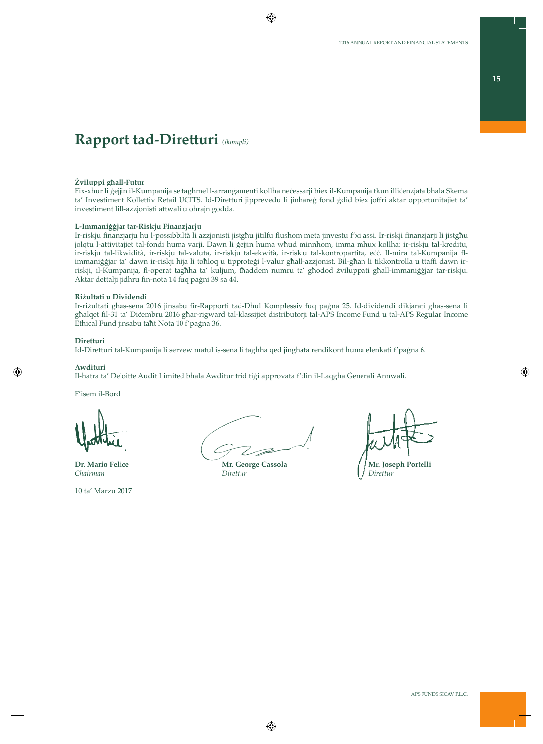### **Rapport tad-Diretturi** *(ikompli)*

#### **Żviluppi għall-Futur**

Fix-xhur li ġejjin il-Kumpanija se tagħmel l-arranġamenti kollha neċessarji biex il-Kumpanija tkun illiċenzjata bħala Skema ta' Investiment Kollettiv Retail UCITS. Id-Diretturi jipprevedu li jinħareġ fond ġdid biex joffri aktar opportunitajiet ta' investiment lill-azzjonisti attwali u oħrajn ġodda.

◈

#### **L-Immaniġġjar tar-Riskju Finanzjarju**

Ir-riskju finanzjarju hu l-possibbiltà li azzjonisti jistgħu jitilfu flushom meta jinvestu f'xi assi. Ir-riskji finanzjarji li jistgħu jolqtu l-attivitajiet tal-fondi huma varji. Dawn li ġejjin huma wħud minnhom, imma mhux kollha: ir-riskju tal-kreditu, ir-riskju tal-likwidità, ir-riskju tal-valuta, ir-riskju tal-ekwità, ir-riskju tal-kontropartita, eċċ. Il-mira tal-Kumpanija flimmaniġġjar ta' dawn ir-riskji hija li toħloq u tipproteġi l-valur għall-azzjonist. Bil-għan li tikkontrolla u ttaffi dawn irriskji, il-Kumpanija, fl-operat tagħha ta' kuljum, tħaddem numru ta' għodod żviluppati għall-immaniġġjar tar-riskju. Aktar dettalji jidhru fin-nota 14 fuq paġni 39 sa 44.

#### **Riżultati u Dividendi**

Ir-riżultati għas-sena 2016 jinsabu fir-Rapporti tad-Dħul Komplessiv fuq paġna 25. Id-dividendi dikjarati għas-sena li għalqet fil-31 ta' Dicembru 2016 għar-rigward tal-klassijiet distributorji tal-APS Income Fund u tal-APS Regular Income Ethical Fund jinsabu taħt Nota 10 f'paġna 36.

#### **Diretturi**

Id-Diretturi tal-Kumpanija li servew matul is-sena li tagħha qed jingħata rendikont huma elenkati f'paġna 6.

#### **Awdituri**

◈

Il-ħatra ta' Deloitte Audit Limited bħala Awditur trid tiġi approvata f'din il-Laqgħa Ġenerali Annwali.

F'isem il-Bord

*Chairman Direttur Direttur*

10 ta' Marzu 2017

**Dr. Mario Felice Mr. George Cassola**  $\left(\begin{array}{c} \text{Mr. Joseph Portelli} \\ \text{Chairman} \end{array}\right)$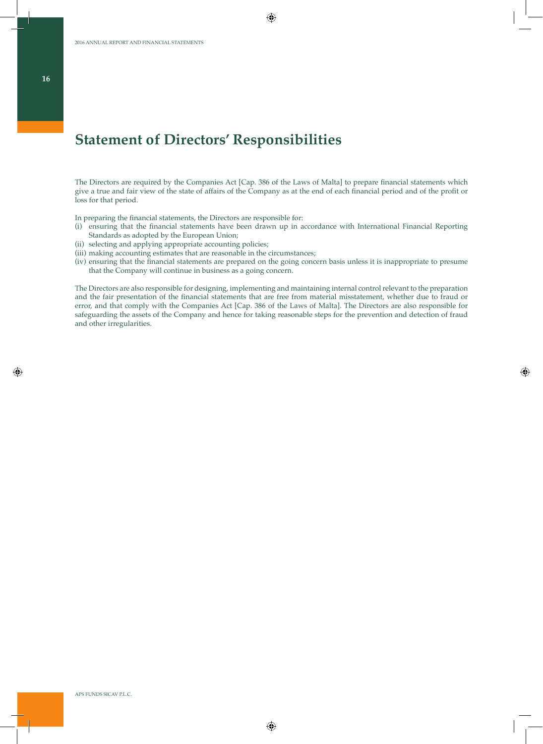### **Statement of Directors' Responsibilities**

The Directors are required by the Companies Act [Cap. 386 of the Laws of Malta] to prepare financial statements which give a true and fair view of the state of affairs of the Company as at the end of each financial period and of the profit or loss for that period.

◈

- In preparing the financial statements, the Directors are responsible for:
- (i) ensuring that the financial statements have been drawn up in accordance with International Financial Reporting Standards as adopted by the European Union;
- (ii) selecting and applying appropriate accounting policies;
- (iii) making accounting estimates that are reasonable in the circumstances;
- (iv) ensuring that the financial statements are prepared on the going concern basis unless it is inappropriate to presume that the Company will continue in business as a going concern.

The Directors are also responsible for designing, implementing and maintaining internal control relevant to the preparation and the fair presentation of the financial statements that are free from material misstatement, whether due to fraud or error, and that comply with the Companies Act [Cap. 386 of the Laws of Malta]. The Directors are also responsible for safeguarding the assets of the Company and hence for taking reasonable steps for the prevention and detection of fraud and other irregularities.

◈

◈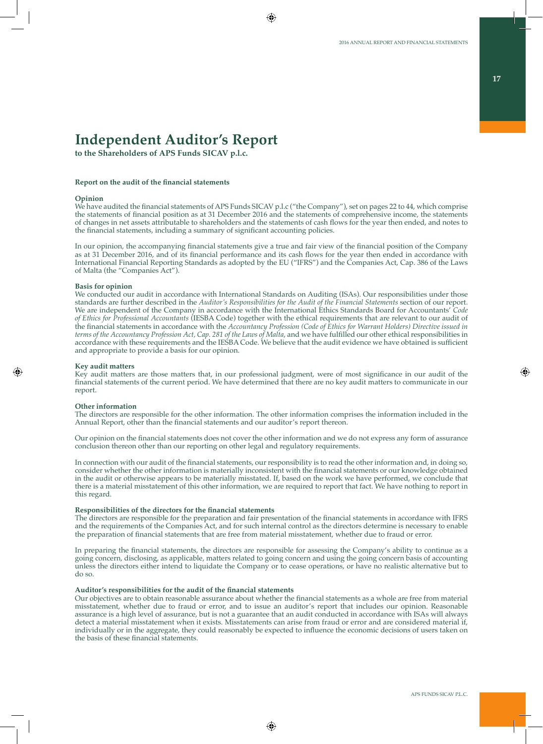### **Independent Auditor's Report**

**to the Shareholders of APS Funds SICAV p.l.c.**

#### **Report on the audit of the financial statements**

#### **Opinion**

We have audited the financial statements of APS Funds SICAV p.l.c ("the Company"), set on pages 22 to 44, which comprise the statements of financial position as at 31 December 2016 and the statements of comprehensive income, the statements of changes in net assets attributable to shareholders and the statements of cash flows for the year then ended, and notes to the financial statements, including a summary of significant accounting policies.

⊕

In our opinion, the accompanying financial statements give a true and fair view of the financial position of the Company as at 31 December 2016, and of its financial performance and its cash flows for the year then ended in accordance with International Financial Reporting Standards as adopted by the EU ("IFRS") and the Companies Act, Cap. 386 of the Laws of Malta (the "Companies Act").

#### **Basis for opinion**

We conducted our audit in accordance with International Standards on Auditing (ISAs). Our responsibilities under those standards are further described in the *Auditor's Responsibilities for the Audit of the Financial Statements* section of our report. We are independent of the Company in accordance with the International Ethics Standards Board for Accountants' *Code of Ethics for Professional Accountants* (IESBA Code) together with the ethical requirements that are relevant to our audit of the financial statements in accordance with the *Accountancy Profession (Code of Ethics for Warrant Holders) Directive issued in terms of the Accountancy Profession Act, Cap. 281 of the Laws of Malta*, and we have fulfilled our other ethical responsibilities in accordance with these requirements and the IESBA Code. We believe that the audit evidence we have obtained is sufficient and appropriate to provide a basis for our opinion.

#### **Key audit matters**

Key audit matters are those matters that, in our professional judgment, were of most significance in our audit of the financial statements of the current period. We have determined that there are no key audit matters to communicate in our report.

#### **Other information**

The directors are responsible for the other information. The other information comprises the information included in the Annual Report, other than the financial statements and our auditor's report thereon.

Our opinion on the financial statements does not cover the other information and we do not express any form of assurance conclusion thereon other than our reporting on other legal and regulatory requirements.

In connection with our audit of the financial statements, our responsibility is to read the other information and, in doing so, consider whether the other information is materially inconsistent with the financial statements or our knowledge obtained in the audit or otherwise appears to be materially misstated. If, based on the work we have performed, we conclude that there is a material misstatement of this other information, we are required to report that fact. We have nothing to report in this regard.

#### **Responsibilities of the directors for the financial statements**

The directors are responsible for the preparation and fair presentation of the financial statements in accordance with IFRS and the requirements of the Companies Act, and for such internal control as the directors determine is necessary to enable the preparation of financial statements that are free from material misstatement, whether due to fraud or error.

In preparing the financial statements, the directors are responsible for assessing the Company's ability to continue as a going concern, disclosing, as applicable, matters related to going concern and using the going concern basis of accounting unless the directors either intend to liquidate the Company or to cease operations, or have no realistic alternative but to do so.

#### **Auditor's responsibilities for the audit of the financial statements**

Our objectives are to obtain reasonable assurance about whether the financial statements as a whole are free from material misstatement, whether due to fraud or error, and to issue an auditor's report that includes our opinion. Reasonable assurance is a high level of assurance, but is not a guarantee that an audit conducted in accordance with ISAs will always detect a material misstatement when it exists. Misstatements can arise from fraud or error and are considered material if, individually or in the aggregate, they could reasonably be expected to influence the economic decisions of users taken on the basis of these financial statements.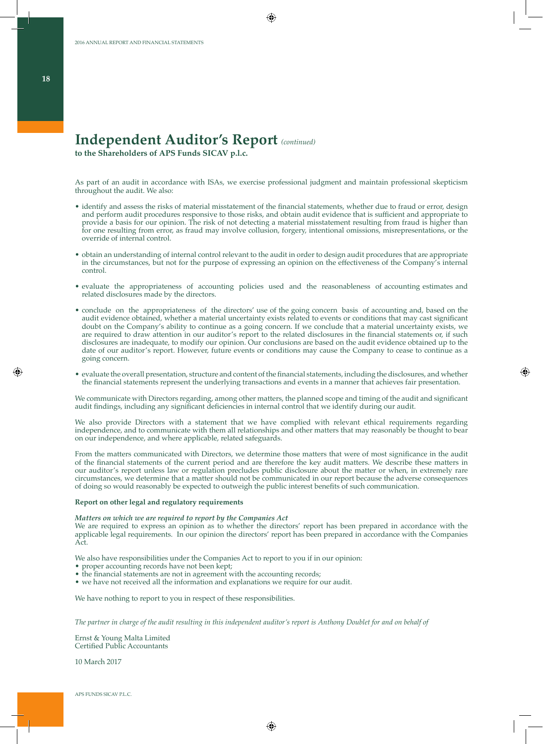### **Independent Auditor's Report** *(continued)*

**to the Shareholders of APS Funds SICAV p.l.c.**

As part of an audit in accordance with ISAs, we exercise professional judgment and maintain professional skepticism throughout the audit. We also:

⊕

- identify and assess the risks of material misstatement of the financial statements, whether due to fraud or error, design and perform audit procedures responsive to those risks, and obtain audit evidence that is sufficient and appropriate to provide a basis for our opinion. The risk of not detecting a material misstatement resulting from fraud is higher than for one resulting from error, as fraud may involve collusion, forgery, intentional omissions, misrepresentations, or the override of internal control.
- obtain an understanding of internal control relevant to the audit in order to design audit procedures that are appropriate in the circumstances, but not for the purpose of expressing an opinion on the effectiveness of the Company's internal control.
- evaluate the appropriateness of accounting policies used and the reasonableness of accounting estimates and related disclosures made by the directors.
- conclude on the appropriateness of the directors' use of the going concern basis of accounting and, based on the audit evidence obtained, whether a material uncertainty exists related to events or conditions that may cast significant doubt on the Company's ability to continue as a going concern. If we conclude that a material uncertainty exists, we are required to draw attention in our auditor's report to the related disclosures in the financial statements or, if such disclosures are inadequate, to modify our opinion. Our conclusions are based on the audit evidence obtained up to the date of our auditor's report. However, future events or conditions may cause the Company to cease to continue as a going concern.
- evaluate the overall presentation, structure and content of the financial statements, including the disclosures, and whether the financial statements represent the underlying transactions and events in a manner that achieves fair presentation.

◈

We communicate with Directors regarding, among other matters, the planned scope and timing of the audit and significant audit findings, including any significant deficiencies in internal control that we identify during our audit.

We also provide Directors with a statement that we have complied with relevant ethical requirements regarding independence, and to communicate with them all relationships and other matters that may reasonably be thought to bear on our independence, and where applicable, related safeguards.

From the matters communicated with Directors, we determine those matters that were of most significance in the audit of the financial statements of the current period and are therefore the key audit matters. We describe these matters in our auditor's report unless law or regulation precludes public disclosure about the matter or when, in extremely rare circumstances, we determine that a matter should not be communicated in our report because the adverse consequences of doing so would reasonably be expected to outweigh the public interest benefits of such communication.

#### **Report on other legal and regulatory requirements**

*Matters on which we are required to report by the Companies Act*

We are required to express an opinion as to whether the directors' report has been prepared in accordance with the applicable legal requirements. In our opinion the directors' report has been prepared in accordance with the Companies Act.

We also have responsibilities under the Companies Act to report to you if in our opinion:

- proper accounting records have not been kept;
- the financial statements are not in agreement with the accounting records;
- we have not received all the information and explanations we require for our audit.

We have nothing to report to you in respect of these responsibilities.

*The partner in charge of the audit resulting in this independent auditor's report is Anthony Doublet for and on behalf of*

Ernst & Young Malta Limited Certified Public Accountants

10 March 2017

APS FUNDS SICAV P.L.C.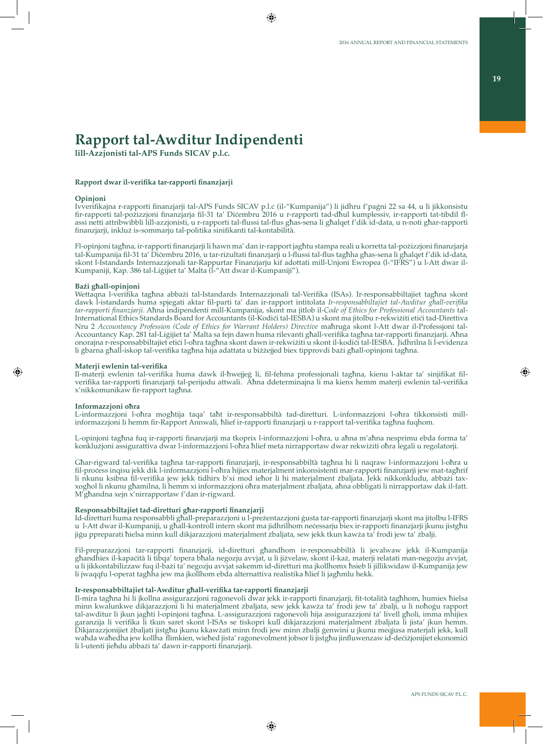### **Rapport tal-Awditur Indipendenti**

**lill-Azzjonisti tal-APS Funds SICAV p.l.c.**

#### **Rapport dwar il-verifika tar-rapporti finanzjarji**

#### **Opinjoni**

Ivverifikajna r-rapporti finanzjarji tal-APS Funds SICAV p.l.c (il-"Kumpanija") li jidhru f'paġni 22 sa 44, u li jikkonsistu fir-rapporti tal-pożizzjoni finanzjarja fil-31 ta' Diċembru 2016 u r-rapporti tad-dħul kumplessiv, ir-rapporti tat-tibdil flassi netti attribwibbli lill-azzjonisti, u r-rapporti tal-flussi tal-flus għas-sena li għalqet f'dik id-data, u n-noti għar-rapporti finanzjarji, inkluż is-sommarju tal-politika sinifikanti tal-kontabilità.

◈

Fl-opinjoni tagħna, ir-rapporti finanzjarji li hawn ma' dan ir-rapport jagħtu stampa reali u korretta tal-pożizzjoni finanzjarja tal-Kumpanija fil-31 ta' Diċembru 2016, u tar-riżultati finanzjarji u l-flussi tal-flus tagħha għas-sena li għalqet f'dik id-data, skont l-Istandards Internazzjonali tar-Rappurtar Finanzjarju kif adottati mill-Unjoni Ewropea (l-"IFRS") u l-Att dwar il-Kumpaniji, Kap. 386 tal-Liġijiet ta' Malta (l-"Att dwar il-Kumpaniji").

#### **Bażi għall-opinjoni**

Wettaqna l-verifika tagħna abbażi tal-Istandards Internazzjonali tal-Verifika (ISAs). Ir-responsabbiltajiet tagħna skont dawk l-istandards huma spjegati aktar fil-parti ta' dan ir-rapport intitolata *Ir-responsabbiltajiet tal-Awditur għall-verifika tar-rapporti finanzjarji*. Aħna indipendenti mill-Kumpanija, skont ma jitlob il-*Code of Ethics for Professional Accountants* tal-International Ethics Standards Board for Accountants (il-Kodiċi tal-IESBA) u skont ma jitolbu r-rekwiżiti etiċi tad-Direttiva Nru 2 *Accountancy Profession (Code of Ethics for Warrant Holders) Directive* maħruġa skont l-Att dwar il-Professjoni tal-Accountancy Kap. 281 tal-Liġijiet ta' Malta sa fejn dawn huma rilevanti għall-verifika tagħna tar-rapporti finanzjarji. Aħna onorajna r-responsabbiltajiet etici l-oħra tagħna skont dawn ir-rekwiżiti u skont il-kodici tal-IESBA. Jidhrilna li l-evidenza li ġbarna għall-iskop tal-verifika tagħna hija adattata u biżżejjed biex tipprovdi bażi għall-opinjoni tagħna.

#### **Materji ewlenin tal-verifika**

Il-materji ewlenin tal-verifika huma dawk il-ħwejjeġ li, fil-fehma professjonali tagħna, kienu l-aktar ta' sinjifikat filverifika tar-rapporti finanzjarji tal-perijodu attwali. Aħna ddeterminajna li ma kienx hemm materji ewlenin tal-verifika x'nikkomunikaw fir-rapport tagħna.

#### **Informazzjoni oħra**

L-informazzjoni l-oħra mogħtija taqa' taħt ir-responsabbiltà tad-diretturi. L-informazzjoni l-oħra tikkonsisti millinformazzjoni li hemm fir-Rapport Annwali, ħlief ir-rapporti finanzjarji u r-rapport tal-verifika tagħna fuqhom.

L-opinjoni tagħna fuq ir-rapporti finanzjarji ma tkoprix l-informazzjoni l-oħra, u aħna m'aħna nesprimu ebda forma ta' konklużjoni assigurattiva dwar l-informazzjoni l-oħra ħlief meta nirrapportaw dwar rekwiżiti oħra legali u regolatorji.

Għar-rigward tal-verifika tagħna tar-rapporti finanzjarji, ir-responsabbiltà tagħna hi li naqraw l-informazzjoni l-oħra u fil-proċess inqisu jekk dik l-informazzjoni l-oħra hijiex materjalment inkonsistenti mar-rapporti finanzjarji jew mat-tagħrif li nkunu ksibna fil-verifika jew jekk tidhirx b'xi mod ieħor li hi materjalment żbaljata. Jekk nikkonkludu, abbażi taxxogħol li nkunu għamilna, li hemm xi informazzjoni oħra materjalment żbaljata, aħna obbligati li nirrapportaw dak il-fatt. M'għandna xejn x'nirrapportaw f'dan ir-rigward.

#### **Responsabbiltajiet tad-diretturi għar-rapporti finanzjarji**

Id-diretturi huma responsabbli għall-preparazzjoni u l-preżentazzjoni ġusta tar-rapporti finanzjarji skont ma jitolbu l-IFRS u l-Att dwar il-Kumpaniji, u għall-kontroll intern skont ma jidhrilhom neċessarju biex ir-rapporti finanzjarji jkunu jistgħu jiġu ppreparati ħielsa minn kull dikjarazzjoni materjalment żbaljata, sew jekk tkun kawża ta' frodi jew ta' żbalji.

Fil-preparazzjoni tar-rapporti finanzjarji, id-diretturi għandhom ir-responsabbiltà li jevalwaw jekk il-Kumpanija għandhiex il-kapaċità li tibqa' topera bħala negozju avvjat, u li jiżvelaw, skont il-każ, materji relatati man-negozju avvjat, u li jikkontabilizzaw fuq il-bażi ta' negozju avvjat sakemm id-diretturi ma jkollhomx ħsieb li jillikwidaw il-Kumpanija jew li jwaqqfu l-operat tagħha jew ma jkollhom ebda alternattiva realistika ħlief li jagħmlu hekk.

#### **Ir-responsabbiltajiet tal-Awditur għall-verifika tar-rapporti finanzjarji**

Il-mira tagħna hi li jkollna assigurazzjoni raġonevoli dwar jekk ir-rapporti finanzjarji, fit-totalità tagħhom, humiex ħielsa minn kwalunkwe dikjarazzjoni li hi materjalment żbaljata, sew jekk kawża ta' frodi jew ta' żbalji, u li noħoġu rapport tal-awditur li jkun jagħti l-opinjoni tagħna. L-assigurazzjoni raġonevoli hija assigurazzjoni ta' livell għoli, imma mhijiex garanzija li verifika li tkun saret skont l-ISAs se tiskopri kull dikjarazzjoni materjalment żbaljata li jista' jkun hemm. Dikjarazzjonijiet żbaljati jistgħu jkunu kkawżati minn frodi jew minn żbalji ġenwini u jkunu meqjusa materjali jekk, kull waħda waħedha jew kollha flimkien, wieħed jista' raġonevolment jobsor li jistgħu jinfluwenzaw id-deċiżjonijiet ekonomiċi li l-utenti jieħdu abbażi ta' dawn ir-rapporti finanzjarji.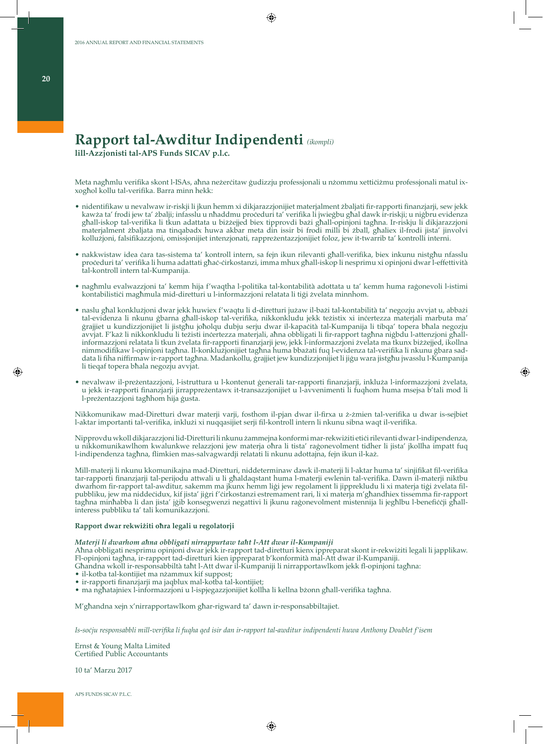### **Rapport tal-Awditur Indipendenti** *(ikompli)*

**lill-Azzjonisti tal-APS Funds SICAV p.l.c.**

Meta nagħmlu verifika skont l-ISAs, aħna neżerċitaw ġudizzju professjonali u nżommu xettiċiżmu professjonali matul ixxogħol kollu tal-verifika. Barra minn hekk:

⊕

- nidentifikaw u nevalwaw ir-riskji li jkun hemm xi dikjarazzjonijiet materjalment żbaljati fir-rapporti finanzjarji, sew jekk kawża ta' frodi jew ta' żbalji; infasslu u nħaddmu proċeduri ta' verifika li jwieġbu għal dawk ir-riskji; u niġbru evidenza għall-iskop tal-verifika li tkun adattata u biżżejjed biex tipprovdi bażi għall-opinjoni tagħna. Ir-riskju li dikjarazzjoni materjalment żbaljata ma tinqabadx huwa akbar meta din issir bi frodi milli bi żball, għaliex il-frodi jista' jinvolvi kollużjoni, falsifikazzjoni, omissjonijiet intenzjonati, rappreżentazzjonijiet foloz, jew it-twarrib ta' kontrolli interni.
- nakkwistaw idea ċara tas-sistema ta' kontroll intern, sa fejn ikun rilevanti għall-verifika, biex inkunu nistgħu nfasslu proċeduri ta' verifika li huma adattati għaċ-ċirkostanzi, imma mhux għall-iskop li nesprimu xi opinjoni dwar l-effettività tal-kontroll intern tal-Kumpanija.
- nagħmlu evalwazzjoni ta' kemm hija f'waqtha l-politika tal-kontabilità adottata u ta' kemm huma raġonevoli l-istimi kontabilistiċi magħmula mid-diretturi u l-informazzjoni relatata li tiġi żvelata minnhom.
- naslu għal konklużjoni dwar jekk huwiex f'waqtu li d-diretturi jużaw il-bażi tal-kontabilità ta' negozju avvjat u, abbażi tal-evidenza li nkunu ġbarna għall-iskop tal-verifika, nikkonkludu jekk teżistix xi inċertezza materjali marbuta ma' ġrajjiet u kundizzjonijiet li jistgħu joħolqu dubju serju dwar il-kapaċità tal-Kumpanija li tibqa' topera bħala negozju avvjat. F'każ li nikkonkludu li teżisti inċertezza materjali, aħna obbligati li fir-rapport tagħna niġbdu l-attenzjoni għallinformazzjoni relatata li tkun żvelata fir-rapporti finanzjarji jew, jekk l-informazzjoni żvelata ma tkunx biżżejjed, ikollna nimmodifikaw l-opinjoni tagħna. Il-konklużjonijiet tagħna huma bbażati fuq l-evidenza tal-verifika li nkunu ġbara saddata li fiha niffirmaw ir-rapport tagħna. Madankollu, ġrajjiet jew kundizzjonijiet li jiġu wara jistgħu jwasslu l-Kumpanija li tieqaf topera bħala negozju avvjat.
- nevalwaw il-preżentazzjoni, l-istruttura u l-kontenut ġenerali tar-rapporti finanzjarji, inkluża l-informazzjoni żvelata, u jekk ir-rapporti finanzjarji jirrappreżentawx it-transazzjonijiet u l-avvenimenti li fuqhom huma msejsa b'tali mod li l-preżentazzjoni tagħhom hija ġusta.

◈

Nikkomunikaw mad-Diretturi dwar materji varji, fosthom il-pjan dwar il-firxa u ż-żmien tal-verifika u dwar is-sejbiet l-aktar importanti tal-verifika, inklużi xi nuqqasijiet serji fil-kontroll intern li nkunu sibna waqt il-verifika.

Nipprovdu wkoll dikjarazzjoni lid-Diretturi li nkunu żammejna konformi mar-rekwiżiti etiċi rilevanti dwar l-indipendenza, u nikkomunikawlhom kwalunkwe relazzjoni jew materja oħra li tista' raġonevolment tidher li jista' jkollha impatt fuq l-indipendenza tagħna, flimkien mas-salvagwardji relatati li nkunu adottajna, fejn ikun il-każ.

Mill-materji li nkunu kkomunikajna mad-Diretturi, niddeterminaw dawk il-materji li l-aktar huma ta' sinjifikat fil-verifika tar-rapporti finanzjarji tal-perijodu attwali u li għaldaqstant huma l-materji ewlenin tal-verifika. Dawn il-materji niktbu dwarhom fir-rapport tal-awditur, sakemm ma jkunx hemm liġi jew regolament li jipprekludu li xi materja tiġi żvelata filpubbliku, jew ma niddeċidux, kif jista' jiġri f'ċirkostanzi estremament rari, li xi materja m'għandhiex tissemma fir-rapport tagħna minħabba li dan jista' jġib konsegwenzi negattivi li jkunu raġonevolment mistennija li jegħlbu l-benefiċċji għallinteress pubbliku ta' tali komunikazzjoni.

#### **Rapport dwar rekwiżiti oħra legali u regolatorji**

*Materji li dwarhom aħna obbligati nirrappurtaw taħt l-Att dwar il-Kumpaniji*

Aħna obbligati nesprimu opinjoni dwar jekk ir-rapport tad-diretturi kienx ippreparat skont ir-rekwiżiti legali li japplikaw. Fl-opinjoni tagħna, ir-rapport tad-diretturi kien ippreparat b'konformità mal-Att dwar il-Kumpaniji.

Għandna wkoll ir-responsabbiltà taħt l-Att dwar il-Kumpaniji li nirrapportawlkom jekk fl-opinjoni tagħna:

- il-kotba tal-kontijiet ma nżammux kif suppost;
- ir-rapporti finanzjarji ma jaqblux mal-kotba tal-kontijiet;
- ma ngħatajniex l-informazzjoni u l-ispjegazzjonijiet kollha li kellna bżonn għall-verifika tagħna.

M'għandna xejn x'nirrapportawlkom għar-rigward ta' dawn ir-responsabbiltajiet.

*Is-soċju responsabbli mill-verifika li fuqha qed isir dan ir-rapport tal-awditur indipendenti huwa Anthony Doublet f'isem*

Ernst & Young Malta Limited Certified Public Accountants

10 ta' Marzu 2017

APS FUNDS SICAV P.L.C.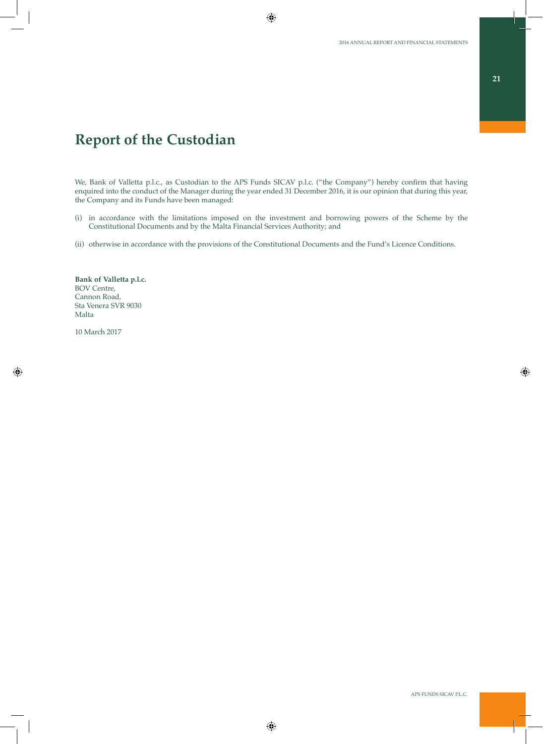# **Report of the Custodian**

We, Bank of Valletta p.l.c., as Custodian to the APS Funds SICAV p.l.c. ("the Company") hereby confirm that having enquired into the conduct of the Manager during the year ended 31 December 2016, it is our opinion that during this year, the Company and its Funds have been managed:

 $\bigoplus$ 

- (i) in accordance with the limitations imposed on the investment and borrowing powers of the Scheme by the Constitutional Documents and by the Malta Financial Services Authority; and
- (ii) otherwise in accordance with the provisions of the Constitutional Documents and the Fund's Licence Conditions.

**Bank of Valletta p.l.c.** BOV Centre, Cannon Road, Sta Venera SVR 9030 Malta

10 March 2017

◈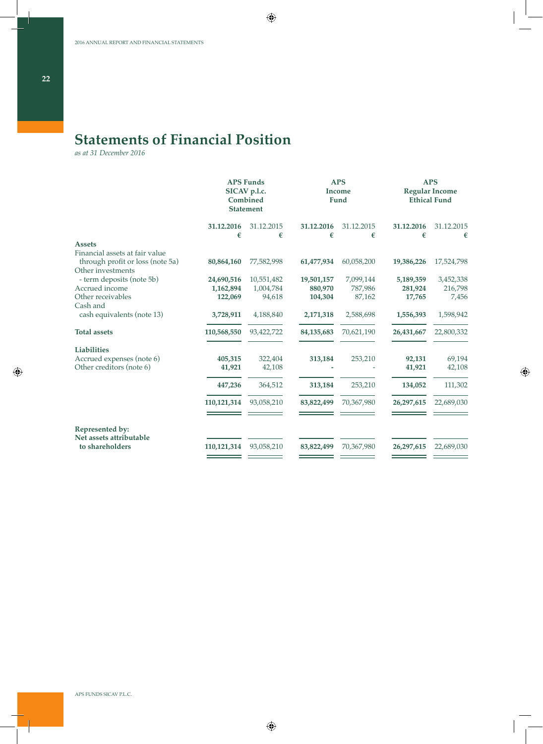$\bigoplus$ 

## **Statements of Financial Position**

*as at 31 December 2016*

|                                                 |             | <b>APS Funds</b><br>SICAV p.l.c.<br>Combined<br><b>Statement</b> |              | <b>APS</b><br>Income<br>Fund |            | <b>APS</b><br><b>Regular Income</b><br><b>Ethical Fund</b> |  |
|-------------------------------------------------|-------------|------------------------------------------------------------------|--------------|------------------------------|------------|------------------------------------------------------------|--|
|                                                 | 31.12.2016  | 31.12.2015                                                       | 31.12.2016   | 31.12.2015                   | 31.12.2016 | 31.12.2015                                                 |  |
|                                                 | €           | €                                                                | €            | €                            | €          | €                                                          |  |
| <b>Assets</b><br>Financial assets at fair value |             |                                                                  |              |                              |            |                                                            |  |
| through profit or loss (note 5a)                | 80,864,160  | 77,582,998                                                       | 61,477,934   | 60,058,200                   | 19,386,226 | 17,524,798                                                 |  |
| Other investments                               |             |                                                                  |              |                              |            |                                                            |  |
| - term deposits (note 5b)                       | 24,690,516  | 10,551,482                                                       | 19,501,157   | 7,099,144                    | 5,189,359  | 3,452,338                                                  |  |
| Accrued income                                  | 1,162,894   | 1,004,784                                                        | 880,970      | 787,986                      | 281,924    | 216,798                                                    |  |
| Other receivables                               | 122,069     | 94,618                                                           | 104,304      | 87,162                       | 17,765     | 7,456                                                      |  |
| Cash and                                        |             |                                                                  |              |                              |            |                                                            |  |
| cash equivalents (note 13)                      | 3,728,911   | 4,188,840                                                        | 2,171,318    | 2,588,698                    | 1,556,393  | 1,598,942                                                  |  |
| <b>Total assets</b>                             | 110,568,550 | 93,422,722                                                       | 84, 135, 683 | 70,621,190                   | 26,431,667 | 22,800,332                                                 |  |
| <b>Liabilities</b>                              |             |                                                                  |              |                              |            |                                                            |  |
| Accrued expenses (note 6)                       | 405,315     | 322,404                                                          | 313,184      | 253,210                      | 92,131     | 69,194                                                     |  |
| Other creditors (note 6)                        | 41,921      | 42,108                                                           |              |                              | 41,921     | 42,108                                                     |  |
|                                                 | 447,236     | 364,512                                                          | 313,184      | 253,210                      | 134,052    | 111,302                                                    |  |
|                                                 | 110,121,314 | 93,058,210                                                       | 83,822,499   | 70,367,980                   | 26,297,615 | 22,689,030                                                 |  |
|                                                 |             |                                                                  |              |                              |            |                                                            |  |
| Represented by:<br>Net assets attributable      |             |                                                                  |              |                              |            |                                                            |  |
| to shareholders                                 | 110,121,314 | 93,058,210                                                       | 83,822,499   | 70,367,980                   | 26,297,615 | 22,689,030                                                 |  |
|                                                 |             |                                                                  |              |                              |            |                                                            |  |

 $\bigoplus$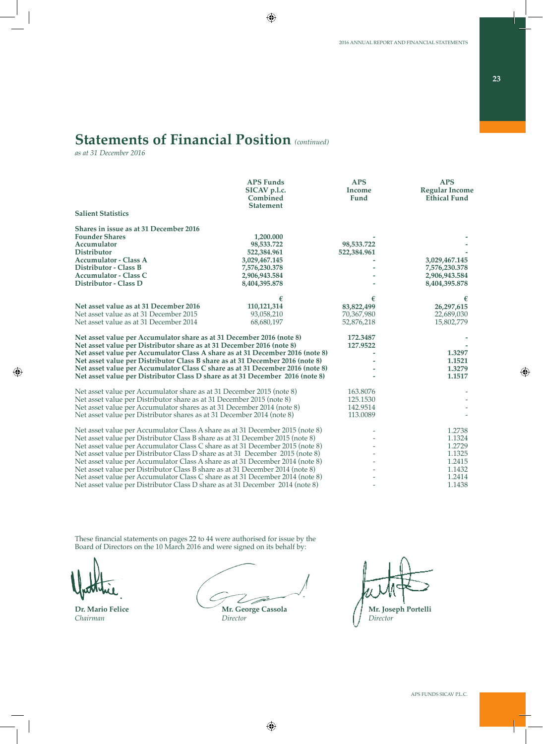### **Statements of Financial Position** *(continued)*

*as at 31 December 2016*

|                                                                               | <b>APS Funds</b><br>SICAV p.l.c.<br>Combined<br><b>Statement</b> | <b>APS</b><br><b>Income</b><br>Fund | <b>APS</b><br><b>Regular Income</b><br><b>Ethical Fund</b> |
|-------------------------------------------------------------------------------|------------------------------------------------------------------|-------------------------------------|------------------------------------------------------------|
| <b>Salient Statistics</b>                                                     |                                                                  |                                     |                                                            |
| Shares in issue as at 31 December 2016                                        |                                                                  |                                     |                                                            |
| <b>Founder Shares</b>                                                         | 1,200.000                                                        |                                     |                                                            |
| Accumulator                                                                   | 98,533.722                                                       | 98,533.722                          |                                                            |
| Distributor                                                                   | 522,384.961                                                      | 522,384.961                         |                                                            |
| Accumulator - Class A                                                         | 3,029,467.145                                                    |                                     | 3,029,467.145                                              |
| Distributor - Class B                                                         | 7,576,230.378                                                    |                                     | 7,576,230.378                                              |
| <b>Accumulator - Class C</b>                                                  | 2,906,943.584                                                    |                                     | 2,906,943.584                                              |
| Distributor - Class D                                                         | 8,404,395.878                                                    |                                     | 8,404,395.878                                              |
|                                                                               | €                                                                | €                                   | €                                                          |
| Net asset value as at 31 December 2016                                        | 110,121,314                                                      | 83,822,499                          | 26,297,615                                                 |
| Net asset value as at 31 December 2015                                        | 93,058,210                                                       | 70,367,980                          | 22,689,030                                                 |
| Net asset value as at 31 December 2014                                        | 68,680,197                                                       | 52,876,218                          | 15,802,779                                                 |
|                                                                               |                                                                  |                                     |                                                            |
| Net asset value per Accumulator share as at 31 December 2016 (note 8)         |                                                                  | 172.3487                            |                                                            |
| Net asset value per Distributor share as at 31 December 2016 (note 8)         |                                                                  | 127.9522                            |                                                            |
| Net asset value per Accumulator Class A share as at 31 December 2016 (note 8) |                                                                  |                                     | 1.3297                                                     |
| Net asset value per Distributor Class B share as at 31 December 2016 (note 8) |                                                                  |                                     | 1.1521                                                     |
| Net asset value per Accumulator Class C share as at 31 December 2016 (note 8) |                                                                  |                                     | 1.3279                                                     |
| Net asset value per Distributor Class D share as at 31 December 2016 (note 8) |                                                                  |                                     | 1.1517                                                     |
| Net asset value per Accumulator share as at 31 December 2015 (note 8)         |                                                                  | 163.8076                            |                                                            |
| Net asset value per Distributor share as at 31 December 2015 (note 8)         |                                                                  | 125.1530                            |                                                            |
| Net asset value per Accumulator shares as at 31 December 2014 (note 8)        |                                                                  | 142.9514                            |                                                            |
| Net asset value per Distributor shares as at 31 December 2014 (note 8)        |                                                                  | 113.0089                            |                                                            |
|                                                                               |                                                                  |                                     |                                                            |
| Net asset value per Accumulator Class A share as at 31 December 2015 (note 8) |                                                                  |                                     | 1.2738                                                     |
| Net asset value per Distributor Class B share as at 31 December 2015 (note 8) |                                                                  |                                     | 1.1324                                                     |
| Net asset value per Accumulator Class C share as at 31 December 2015 (note 8) |                                                                  |                                     | 1.2729                                                     |
| Net asset value per Distributor Class D share as at 31 December 2015 (note 8) |                                                                  |                                     | 1.1325                                                     |
| Net asset value per Accumulator Class A share as at 31 December 2014 (note 8) |                                                                  |                                     | 1.2415                                                     |
| Net asset value per Distributor Class B share as at 31 December 2014 (note 8) |                                                                  |                                     | 1.1432                                                     |
| Net asset value per Accumulator Class C share as at 31 December 2014 (note 8) |                                                                  |                                     | 1.2414                                                     |
| Net asset value per Distributor Class D share as at 31 December 2014 (note 8) |                                                                  |                                     | 1.1438                                                     |
|                                                                               |                                                                  |                                     |                                                            |

 $\bigoplus$ 

These financial statements on pages 22 to 44 were authorised for issue by the Board of Directors on the 10 March 2016 and were signed on its behalf by:

 $\bigoplus$ 

╱

*Chairman Director Director*

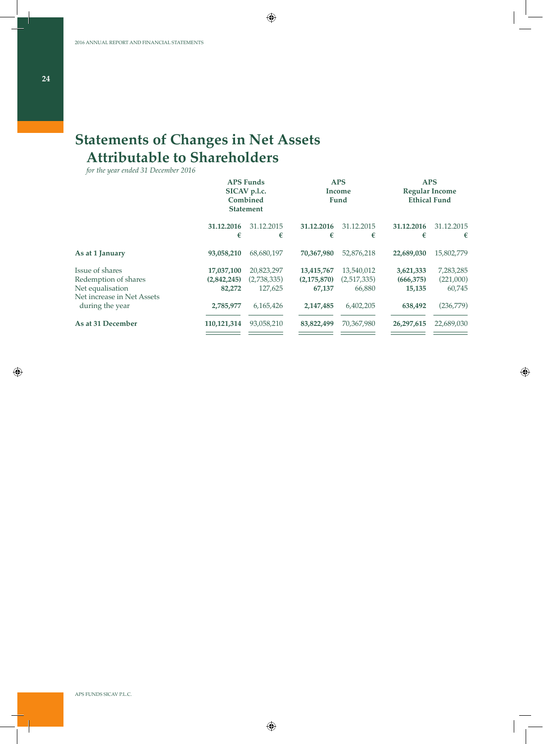$\bigoplus$ 

### **Statements of Changes in Net Assets Attributable to Shareholders**

*for the year ended 31 December 2016*

|                                                |             | <b>APS Funds</b><br>SICAV p.l.c.<br>Combined<br><b>Statement</b> |               | <b>APS</b><br>Income<br>Fund |            | <b>APS</b><br><b>Regular Income</b><br><b>Ethical Fund</b> |  |
|------------------------------------------------|-------------|------------------------------------------------------------------|---------------|------------------------------|------------|------------------------------------------------------------|--|
|                                                | 31.12.2016  | 31.12.2015                                                       | 31.12.2016    | 31.12.2015                   | 31.12.2016 | 31.12.2015<br>€                                            |  |
|                                                | €           | €                                                                | €             | €                            | €          |                                                            |  |
| As at 1 January                                | 93,058,210  | 68,680,197                                                       | 70,367,980    | 52,876,218                   | 22,689,030 | 15,802,779                                                 |  |
| <b>Issue of shares</b>                         | 17,037,100  | 20,823,297                                                       | 13,415,767    | 13,540,012                   | 3,621,333  | 7,283,285                                                  |  |
| Redemption of shares                           | (2,842,245) | (2,738,335)                                                      | (2, 175, 870) | (2,517,335)                  | (666, 375) | (221,000)                                                  |  |
| Net equalisation<br>Net increase in Net Assets | 82,272      | 127,625                                                          | 67,137        | 66,880                       | 15,135     | 60,745                                                     |  |
| during the year                                | 2,785,977   | 6,165,426                                                        | 2,147,485     | 6,402,205                    | 638,492    | (236,779)                                                  |  |
| As at 31 December                              | 110,121,314 | 93,058,210                                                       | 83,822,499    | 70,367,980                   | 26,297,615 | 22,689,030                                                 |  |
|                                                |             |                                                                  |               |                              |            |                                                            |  |

 $\bigoplus$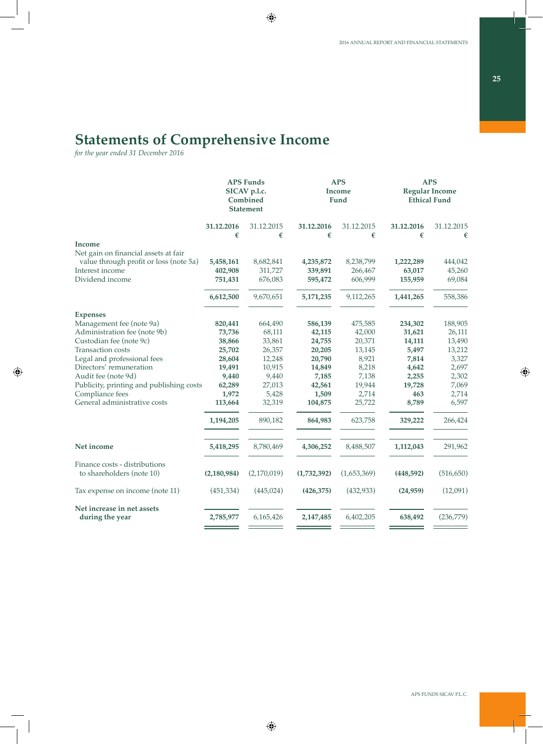### **Statements of Comprehensive Income**

*for the year ended 31 December 2016*

 $\bigoplus$ 

 $\overline{\phantom{a}}$ 

|                                          |             | <b>APS Funds</b><br><b>APS</b><br>SICAV p.l.c.<br><b>Income</b><br>Combined<br>Fund<br><b>Statement</b> |             | <b>APS</b><br><b>Regular Income</b><br><b>Ethical Fund</b> |            |            |
|------------------------------------------|-------------|---------------------------------------------------------------------------------------------------------|-------------|------------------------------------------------------------|------------|------------|
|                                          | 31.12.2016  | 31.12.2015                                                                                              | 31.12.2016  | 31.12.2015                                                 | 31.12.2016 | 31.12.2015 |
| Income                                   | €           | €                                                                                                       | €           | €                                                          | €          | €          |
| Net gain on financial assets at fair     |             |                                                                                                         |             |                                                            |            |            |
| value through profit or loss (note 5a)   | 5,458,161   | 8,682,841                                                                                               | 4,235,872   | 8,238,799                                                  | 1,222,289  | 444,042    |
| Interest income                          | 402,908     | 311,727                                                                                                 | 339,891     | 266,467                                                    | 63,017     | 45,260     |
| Dividend income                          | 751,431     | 676,083                                                                                                 | 595,472     | 606,999                                                    | 155,959    | 69,084     |
|                                          | 6,612,500   | 9,670,651                                                                                               | 5,171,235   | 9,112,265                                                  | 1,441,265  | 558,386    |
| <b>Expenses</b>                          |             |                                                                                                         |             |                                                            |            |            |
| Management fee (note 9a)                 | 820,441     | 664,490                                                                                                 | 586,139     | 475,585                                                    | 234,302    | 188,905    |
| Administration fee (note 9b)             | 73,736      | 68,111                                                                                                  | 42,115      | 42,000                                                     | 31,621     | 26,111     |
| Custodian fee (note 9c)                  | 38,866      | 33,861                                                                                                  | 24,755      | 20,371                                                     | 14,111     | 13,490     |
| <b>Transaction</b> costs                 | 25,702      | 26,357                                                                                                  | 20,205      | 13,145                                                     | 5,497      | 13,212     |
| Legal and professional fees              | 28,604      | 12,248                                                                                                  | 20,790      | 8,921                                                      | 7,814      | 3,327      |
| Directors' remuneration                  | 19,491      | 10,915                                                                                                  | 14,849      | 8,218                                                      | 4,642      | 2,697      |
| Audit fee (note 9d)                      | 9,440       | 9,440                                                                                                   | 7,185       | 7,138                                                      | 2,255      | 2,302      |
| Publicity, printing and publishing costs | 62,289      | 27,013                                                                                                  | 42,561      | 19,944                                                     | 19,728     | 7,069      |
| Compliance fees                          | 1,972       | 5,428                                                                                                   | 1,509       | 2,714                                                      | 463        | 2,714      |
| General administrative costs             | 113,664     | 32,319                                                                                                  | 104,875     | 25,722                                                     | 8,789      | 6,597      |
|                                          | 1,194,205   | 890,182                                                                                                 | 864,983     | 623,758                                                    | 329,222    | 266,424    |
| Net income                               | 5,418,295   | 8,780,469                                                                                               | 4,306,252   | 8,488,507                                                  | 1,112,043  | 291,962    |
| Finance costs - distributions            |             |                                                                                                         |             |                                                            |            |            |
| to shareholders (note 10)                | (2,180,984) | (2,170,019)                                                                                             | (1,732,392) | (1,653,369)                                                | (448, 592) | (516, 650) |
| Tax expense on income (note 11)          | (451, 334)  | (445, 024)                                                                                              | (426, 375)  | (432,933)                                                  | (24, 959)  | (12,091)   |
| Net increase in net assets               |             |                                                                                                         |             |                                                            |            |            |
| during the year                          | 2,785,977   | 6,165,426                                                                                               | 2,147,485   | 6,402,205                                                  | 638,492    | (236,779)  |

 $\bigoplus$ 

 $\bigoplus$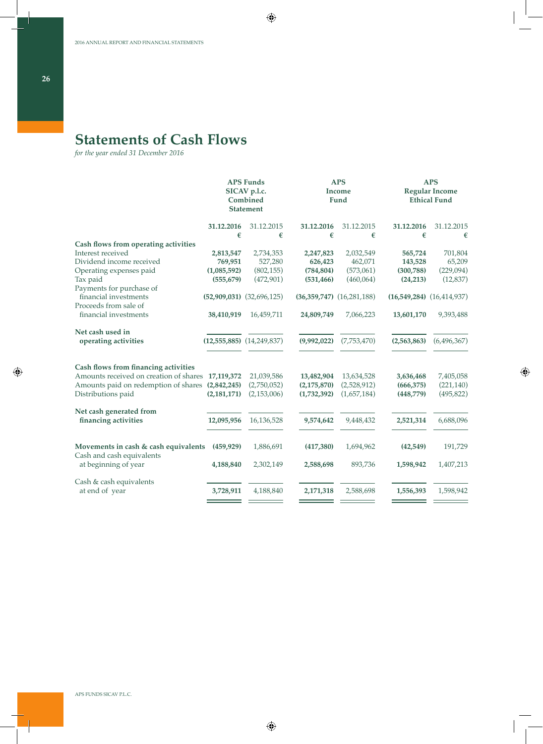$\bigoplus$ 

# **Statements of Cash Flows**

*for the year ended 31 December 2016*

|                                                                   | <b>APS Funds</b><br>SICAV p.l.c.<br>Combined<br><b>Statement</b> |                               | <b>APS</b><br><b>Income</b><br>Fund |             | <b>APS</b><br><b>Regular Income</b><br><b>Ethical Fund</b> |                               |
|-------------------------------------------------------------------|------------------------------------------------------------------|-------------------------------|-------------------------------------|-------------|------------------------------------------------------------|-------------------------------|
|                                                                   | 31.12.2016                                                       | 31.12.2015                    | 31.12.2016                          | 31.12.2015  | 31.12.2016                                                 | 31.12.2015                    |
|                                                                   | €                                                                | €                             | €                                   | €           | €                                                          | €                             |
| Cash flows from operating activities                              |                                                                  |                               |                                     |             |                                                            |                               |
| Interest received                                                 | 2,813,547                                                        | 2,734,353                     | 2,247,823                           | 2,032,549   | 565,724                                                    | 701,804                       |
| Dividend income received                                          | 769,951                                                          | 527,280                       | 626,423                             | 462,071     | 143,528                                                    | 65,209                        |
| Operating expenses paid                                           | (1,085,592)                                                      | (802, 155)                    | (784, 804)                          | (573,061)   | (300, 788)                                                 | (229,094)                     |
| Tax paid                                                          | (555, 679)                                                       | (472,901)                     | (531, 466)                          | (460,064)   | (24,213)                                                   | (12, 837)                     |
| Payments for purchase of                                          |                                                                  |                               |                                     |             |                                                            |                               |
| financial investments<br>Proceeds from sale of                    |                                                                  | $(52,909,031)$ $(32,696,125)$ | $(36,359,747)$ $(16,281,188)$       |             |                                                            | $(16,549,284)$ $(16,414,937)$ |
| financial investments                                             | 38,410,919                                                       | 16,459,711                    | 24,809,749                          | 7,066,223   | 13,601,170                                                 | 9,393,488                     |
| Net cash used in                                                  |                                                                  |                               |                                     |             |                                                            |                               |
| operating activities                                              |                                                                  | $(12,555,885)$ $(14,249,837)$ | (9,992,022)                         | (7,753,470) | (2,563,863)                                                | (6,496,367)                   |
| Cash flows from financing activities                              |                                                                  |                               |                                     |             |                                                            |                               |
| Amounts received on creation of shares 17,119,372                 |                                                                  | 21,039,586                    | 13,482,904                          | 13,634,528  | 3,636,468                                                  | 7,405,058                     |
| Amounts paid on redemption of shares                              | (2,842,245)                                                      | (2,750,052)                   | (2, 175, 870)                       | (2,528,912) | (666, 375)                                                 | (221, 140)                    |
| Distributions paid                                                | (2, 181, 171)                                                    | (2, 153, 006)                 | (1,732,392)                         | (1,657,184) | (448,779)                                                  | (495, 822)                    |
| Net cash generated from                                           |                                                                  |                               |                                     |             |                                                            |                               |
| financing activities                                              | 12,095,956                                                       | 16,136,528                    | 9,574,642                           | 9,448,432   | 2,521,314                                                  | 6,688,096                     |
| Movements in cash & cash equivalents<br>Cash and cash equivalents | (459, 929)                                                       | 1,886,691                     | (417,380)                           | 1,694,962   | (42,549)                                                   | 191,729                       |
| at beginning of year                                              | 4,188,840                                                        | 2,302,149                     | 2,588,698                           | 893,736     | 1,598,942                                                  | 1,407,213                     |
| Cash & cash equivalents                                           |                                                                  |                               |                                     |             |                                                            |                               |
| at end of year                                                    | 3,728,911                                                        | 4,188,840                     | 2,171,318                           | 2,588,698   | 1,556,393                                                  | 1,598,942                     |

 $\bigoplus$ 

 $\bigoplus$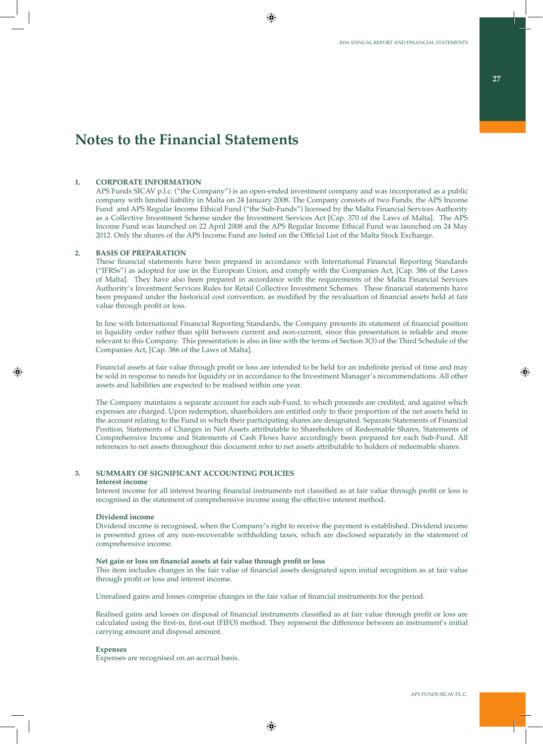### **Notes to the Financial Statements**

#### **1. CORPORATE INFORMATION**

APS Funds SICAV p.l.c. ("the Company") is an open-ended investment company and was incorporated as a public company with limited liability in Malta on 24 January 2008. The Company consists of two Funds, the APS Income Fund and APS Regular Income Ethical Fund ("the Sub-Funds") licensed by the Malta Financial Services Authority as a Collective Investment Scheme under the Investment Services Act [Cap. 370 of the Laws of Malta]. The APS Income Fund was launched on 22 April 2008 and the APS Regular Income Ethical Fund was launched on 24 May 2012. Only the shares of the APS Income Fund are listed on the Official List of the Malta Stock Exchange.

◈

#### **2. BASIS OF PREPARATION**

These financial statements have been prepared in accordance with International Financial Reporting Standards ("IFRSs") as adopted for use in the European Union, and comply with the Companies Act, [Cap. 386 of the Laws of Malta]. They have also been prepared in accordance with the requirements of the Malta Financial Services Authority's Investment Services Rules for Retail Collective Investment Schemes. These financial statements have been prepared under the historical cost convention, as modified by the revaluation of financial assets held at fair value through profit or loss.

In line with International Financial Reporting Standards, the Company presents its statement of financial position in liquidity order rather than split between current and non-current, since this presentation is reliable and more relevant to this Company. This presentation is also in line with the terms of Section 3(3) of the Third Schedule of the Companies Act, [Cap. 386 of the Laws of Malta].

Financial assets at fair value through profit or loss are intended to be held for an indefinite period of time and may be sold in response to needs for liquidity or in accordance to the Investment Manager's recommendations. All other assets and liabilities are expected to be realised within one year.

The Company maintains a separate account for each sub-Fund, to which proceeds are credited, and against which expenses are charged. Upon redemption, shareholders are entitled only to their proportion of the net assets held in the account relating to the Fund in which their participating shares are designated. Separate Statements of Financial Position, Statements of Changes in Net Assets attributable to Shareholders of Redeemable Shares, Statements of Comprehensive Income and Statements of Cash Flows have accordingly been prepared for each Sub-Fund. All references to net assets throughout this document refer to net assets attributable to holders of redeemable shares.

#### **3. SUMMARY OF SIGNIFICANT ACCOUNTING POLICIES**

#### **Interest income**

Interest income for all interest bearing financial instruments not classified as at fair value through profit or loss is recognised in the statement of comprehensive income using the effective interest method.

#### **Dividend income**

Dividend income is recognised, when the Company's right to receive the payment is established. Dividend income is presented gross of any non-recoverable withholding taxes, which are disclosed separately in the statement of comprehensive income.

#### **Net gain or loss on financial assets at fair value through profit or loss**

This item includes changes in the fair value of financial assets designated upon initial recognition as at fair value through profit or loss and interest income.

Unrealised gains and losses comprise changes in the fair value of financial instruments for the period.

Realised gains and losses on disposal of financial instruments classified as at fair value through profit or loss are calculated using the first-in, first-out (FIFO) method. They represent the difference between an instrument's initial carrying amount and disposal amount.

#### **Expenses**

Expenses are recognised on an accrual basis.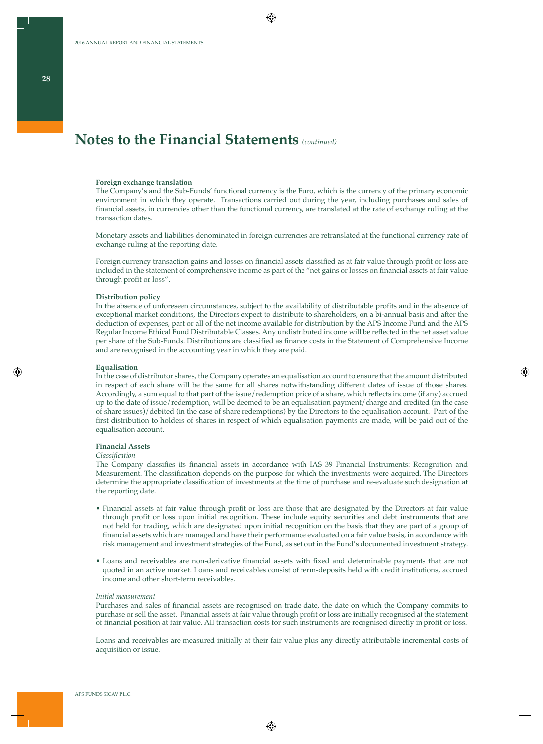### **Notes to the Financial Statements** *(continued)*

#### **Foreign exchange translation**

The Company's and the Sub-Funds' functional currency is the Euro, which is the currency of the primary economic environment in which they operate. Transactions carried out during the year, including purchases and sales of financial assets, in currencies other than the functional currency, are translated at the rate of exchange ruling at the transaction dates.

⊕

Monetary assets and liabilities denominated in foreign currencies are retranslated at the functional currency rate of exchange ruling at the reporting date.

Foreign currency transaction gains and losses on financial assets classified as at fair value through profit or loss are included in the statement of comprehensive income as part of the "net gains or losses on financial assets at fair value through profit or loss".

#### **Distribution policy**

In the absence of unforeseen circumstances, subject to the availability of distributable profits and in the absence of exceptional market conditions, the Directors expect to distribute to shareholders, on a bi-annual basis and after the deduction of expenses, part or all of the net income available for distribution by the APS Income Fund and the APS Regular Income Ethical Fund Distributable Classes. Any undistributed income will be reflected in the net asset value per share of the Sub-Funds. Distributions are classified as finance costs in the Statement of Comprehensive Income and are recognised in the accounting year in which they are paid.

#### **Equalisation**

In the case of distributor shares, the Company operates an equalisation account to ensure that the amount distributed in respect of each share will be the same for all shares notwithstanding different dates of issue of those shares. Accordingly, a sum equal to that part of the issue/redemption price of a share, which reflects income (if any) accrued up to the date of issue/redemption, will be deemed to be an equalisation payment/charge and credited (in the case of share issues)/debited (in the case of share redemptions) by the Directors to the equalisation account. Part of the first distribution to holders of shares in respect of which equalisation payments are made, will be paid out of the equalisation account.

◈

#### **Financial Assets**

#### *Classification*

The Company classifies its financial assets in accordance with IAS 39 Financial Instruments: Recognition and Measurement. The classification depends on the purpose for which the investments were acquired. The Directors determine the appropriate classification of investments at the time of purchase and re-evaluate such designation at the reporting date.

- Financial assets at fair value through profit or loss are those that are designated by the Directors at fair value through profit or loss upon initial recognition. These include equity securities and debt instruments that are not held for trading, which are designated upon initial recognition on the basis that they are part of a group of financial assets which are managed and have their performance evaluated on a fair value basis, in accordance with risk management and investment strategies of the Fund, as set out in the Fund's documented investment strategy.
- Loans and receivables are non-derivative financial assets with fixed and determinable payments that are not quoted in an active market. Loans and receivables consist of term-deposits held with credit institutions, accrued income and other short-term receivables.

#### *Initial measurement*

Purchases and sales of financial assets are recognised on trade date, the date on which the Company commits to purchase or sell the asset. Financial assets at fair value through profit or loss are initially recognised at the statement of financial position at fair value. All transaction costs for such instruments are recognised directly in profit or loss.

Loans and receivables are measured initially at their fair value plus any directly attributable incremental costs of acquisition or issue.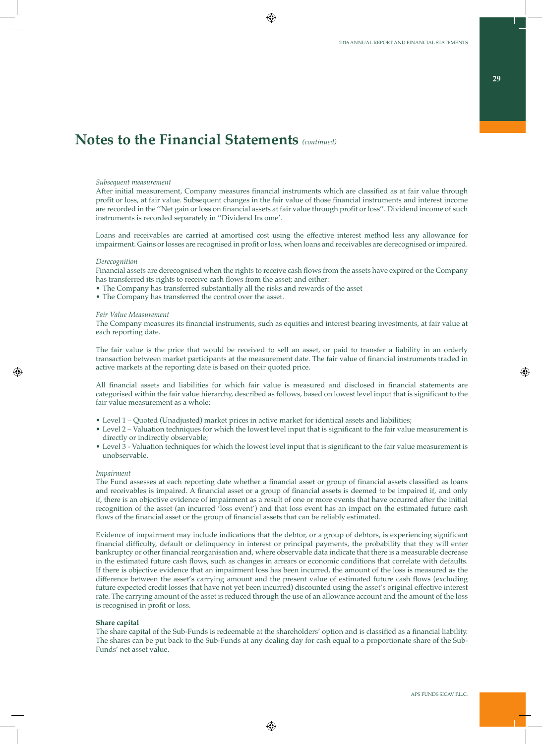### **Notes to the Financial Statements** *(continued)*

#### *Subsequent measurement*

After initial measurement, Company measures financial instruments which are classified as at fair value through profit or loss, at fair value. Subsequent changes in the fair value of those financial instruments and interest income are recorded in the ''Net gain or loss on financial assets at fair value through profit or loss''. Dividend income of such instruments is recorded separately in ''Dividend Income'.

◈

Loans and receivables are carried at amortised cost using the effective interest method less any allowance for impairment. Gains or losses are recognised in profit or loss, when loans and receivables are derecognised or impaired.

#### *Derecognition*

Financial assets are derecognised when the rights to receive cash flows from the assets have expired or the Company has transferred its rights to receive cash flows from the asset; and either:

- The Company has transferred substantially all the risks and rewards of the asset
- The Company has transferred the control over the asset.

#### *Fair Value Measurement*

The Company measures its financial instruments, such as equities and interest bearing investments, at fair value at each reporting date.

The fair value is the price that would be received to sell an asset, or paid to transfer a liability in an orderly transaction between market participants at the measurement date. The fair value of financial instruments traded in active markets at the reporting date is based on their quoted price.

All financial assets and liabilities for which fair value is measured and disclosed in financial statements are categorised within the fair value hierarchy, described as follows, based on lowest level input that is significant to the fair value measurement as a whole:

- Level 1 Quoted (Unadjusted) market prices in active market for identical assets and liabilities;
- Level 2 Valuation techniques for which the lowest level input that is significant to the fair value measurement is directly or indirectly observable;
- Level 3 Valuation techniques for which the lowest level input that is significant to the fair value measurement is unobservable.

#### *Impairment*

The Fund assesses at each reporting date whether a financial asset or group of financial assets classified as loans and receivables is impaired. A financial asset or a group of financial assets is deemed to be impaired if, and only if, there is an objective evidence of impairment as a result of one or more events that have occurred after the initial recognition of the asset (an incurred 'loss event') and that loss event has an impact on the estimated future cash flows of the financial asset or the group of financial assets that can be reliably estimated.

Evidence of impairment may include indications that the debtor, or a group of debtors, is experiencing significant financial difficulty, default or delinquency in interest or principal payments, the probability that they will enter bankruptcy or other financial reorganisation and, where observable data indicate that there is a measurable decrease in the estimated future cash flows, such as changes in arrears or economic conditions that correlate with defaults. If there is objective evidence that an impairment loss has been incurred, the amount of the loss is measured as the difference between the asset's carrying amount and the present value of estimated future cash flows (excluding future expected credit losses that have not yet been incurred) discounted using the asset's original effective interest rate. The carrying amount of the asset is reduced through the use of an allowance account and the amount of the loss is recognised in profit or loss.

#### **Share capital**

The share capital of the Sub-Funds is redeemable at the shareholders' option and is classified as a financial liability. The shares can be put back to the Sub-Funds at any dealing day for cash equal to a proportionate share of the Sub-Funds' net asset value.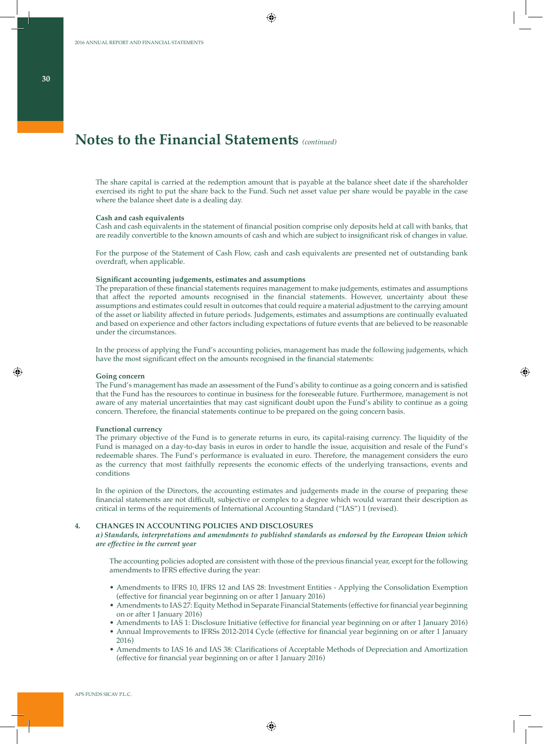### **Notes to the Financial Statements** *(continued)*

The share capital is carried at the redemption amount that is payable at the balance sheet date if the shareholder exercised its right to put the share back to the Fund. Such net asset value per share would be payable in the case where the balance sheet date is a dealing day.

⊕

#### **Cash and cash equivalents**

Cash and cash equivalents in the statement of financial position comprise only deposits held at call with banks, that are readily convertible to the known amounts of cash and which are subject to insignificant risk of changes in value.

For the purpose of the Statement of Cash Flow, cash and cash equivalents are presented net of outstanding bank overdraft, when applicable.

#### **Significant accounting judgements, estimates and assumptions**

The preparation of these financial statements requires management to make judgements, estimates and assumptions that affect the reported amounts recognised in the financial statements. However, uncertainty about these assumptions and estimates could result in outcomes that could require a material adjustment to the carrying amount of the asset or liability affected in future periods. Judgements, estimates and assumptions are continually evaluated and based on experience and other factors including expectations of future events that are believed to be reasonable under the circumstances.

In the process of applying the Fund's accounting policies, management has made the following judgements, which have the most significant effect on the amounts recognised in the financial statements:

◈

#### **Going concern**

The Fund's management has made an assessment of the Fund's ability to continue as a going concern and is satisfied that the Fund has the resources to continue in business for the foreseeable future. Furthermore, management is not aware of any material uncertainties that may cast significant doubt upon the Fund's ability to continue as a going concern. Therefore, the financial statements continue to be prepared on the going concern basis.

#### **Functional currency**

The primary objective of the Fund is to generate returns in euro, its capital-raising currency. The liquidity of the Fund is managed on a day-to-day basis in euros in order to handle the issue, acquisition and resale of the Fund's redeemable shares. The Fund's performance is evaluated in euro. Therefore, the management considers the euro as the currency that most faithfully represents the economic effects of the underlying transactions, events and conditions

In the opinion of the Directors, the accounting estimates and judgements made in the course of preparing these financial statements are not difficult, subjective or complex to a degree which would warrant their description as critical in terms of the requirements of International Accounting Standard ("IAS") 1 (revised).

#### **4. CHANGES IN ACCOUNTING POLICIES AND DISCLOSURES**

*a) Standards, interpretations and amendments to published standards as endorsed by the European Union which are effective in the current year*

The accounting policies adopted are consistent with those of the previous financial year, except for the following amendments to IFRS effective during the year:

- Amendments to IFRS 10, IFRS 12 and IAS 28: Investment Entities Applying the Consolidation Exemption (effective for financial year beginning on or after 1 January 2016)
- Amendments to IAS 27: Equity Method in Separate Financial Statements (effective for financial year beginning on or after 1 January 2016)
- Amendments to IAS 1: Disclosure Initiative (effective for financial year beginning on or after 1 January 2016)
- Annual Improvements to IFRSs 2012-2014 Cycle (effective for financial year beginning on or after 1 January 2016)
- Amendments to IAS 16 and IAS 38: Clarifications of Acceptable Methods of Depreciation and Amortization (effective for financial year beginning on or after 1 January 2016)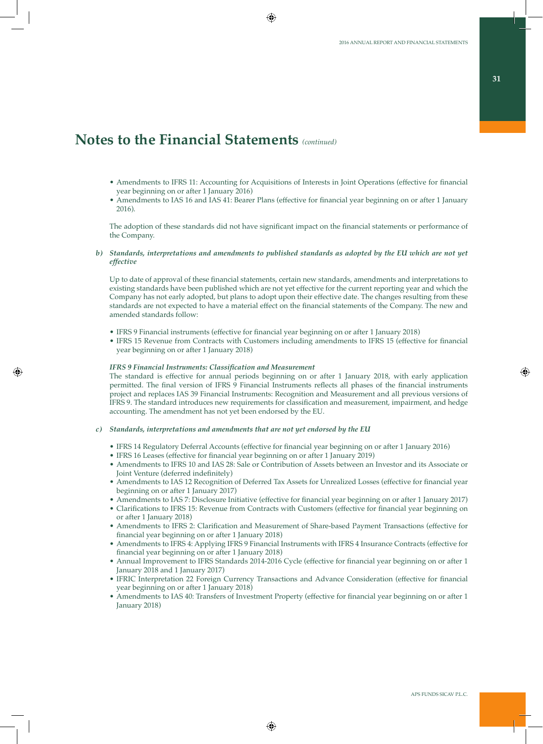### **Notes to the Financial Statements** *(continued)*

• Amendments to IFRS 11: Accounting for Acquisitions of Interests in Joint Operations (effective for financial year beginning on or after 1 January 2016)

◈

• Amendments to IAS 16 and IAS 41: Bearer Plans (effective for financial year beginning on or after 1 January 2016).

The adoption of these standards did not have significant impact on the financial statements or performance of the Company.

#### *b) Standards, interpretations and amendments to published standards as adopted by the EU which are not yet effective*

Up to date of approval of these financial statements, certain new standards, amendments and interpretations to existing standards have been published which are not yet effective for the current reporting year and which the Company has not early adopted, but plans to adopt upon their effective date. The changes resulting from these standards are not expected to have a material effect on the financial statements of the Company. The new and amended standards follow:

- IFRS 9 Financial instruments (effective for financial year beginning on or after 1 January 2018)
- IFRS 15 Revenue from Contracts with Customers including amendments to IFRS 15 (effective for financial year beginning on or after 1 January 2018)

#### *IFRS 9 Financial Instruments: Classification and Measurement*

The standard is effective for annual periods beginning on or after 1 January 2018, with early application permitted. The final version of IFRS 9 Financial Instruments reflects all phases of the financial instruments project and replaces IAS 39 Financial Instruments: Recognition and Measurement and all previous versions of IFRS 9. The standard introduces new requirements for classification and measurement, impairment, and hedge accounting. The amendment has not yet been endorsed by the EU.

#### *c) Standards, interpretations and amendments that are not yet endorsed by the EU*

- IFRS 14 Regulatory Deferral Accounts (effective for financial year beginning on or after 1 January 2016)
- IFRS 16 Leases (effective for financial year beginning on or after 1 January 2019)
- Amendments to IFRS 10 and IAS 28: Sale or Contribution of Assets between an Investor and its Associate or Joint Venture (deferred indefinitely)
- Amendments to IAS 12 Recognition of Deferred Tax Assets for Unrealized Losses (effective for financial year beginning on or after 1 January 2017)
- Amendments to IAS 7: Disclosure Initiative (effective for financial year beginning on or after 1 January 2017)
- Clarifications to IFRS 15: Revenue from Contracts with Customers (effective for financial year beginning on or after 1 January 2018)
- Amendments to IFRS 2: Clarification and Measurement of Share-based Payment Transactions (effective for financial year beginning on or after 1 January 2018)
- Amendments to IFRS 4: Applying IFRS 9 Financial Instruments with IFRS 4 Insurance Contracts (effective for financial year beginning on or after 1 January 2018)
- Annual Improvement to IFRS Standards 2014-2016 Cycle (effective for financial year beginning on or after 1 January 2018 and 1 January 2017)
- IFRIC Interpretation 22 Foreign Currency Transactions and Advance Consideration (effective for financial year beginning on or after 1 January 2018)
- Amendments to IAS 40: Transfers of Investment Property (effective for financial year beginning on or after 1 January 2018)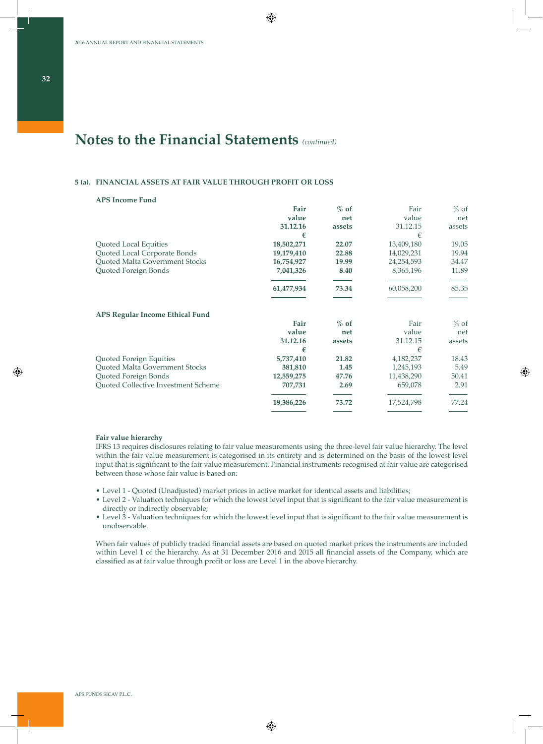### **Notes to the Financial Statements** *(continued)*

#### **5 (a). FINANCIAL ASSETS AT FAIR VALUE THROUGH PROFIT OR LOSS**

#### **APS Income Fund**

|                                        | Fair              | $\%$ of | Fair              | $\%$ of |
|----------------------------------------|-------------------|---------|-------------------|---------|
|                                        | value             | net     | value             | net     |
|                                        | 31.12.16          | assets  | 31.12.15          | assets  |
|                                        | €                 |         | €                 |         |
| Quoted Local Equities                  | 18,502,271        | 22.07   | 13,409,180        | 19.05   |
| Quoted Local Corporate Bonds           | 19,179,410        | 22.88   | 14,029,231        | 19.94   |
| Quoted Malta Government Stocks         | 16,754,927        | 19.99   | 24,254,593        | 34.47   |
| Quoted Foreign Bonds                   | 7,041,326         | 8.40    | 8,365,196         | 11.89   |
|                                        | 61,477,934        | 73.34   | 60,058,200        | 85.35   |
| <b>APS Regular Income Ethical Fund</b> | Fair              | $%$ of  | Fair              |         |
|                                        |                   |         |                   | $%$ of  |
|                                        | value<br>31.12.16 | net     | value<br>31.12.15 | net     |
|                                        | €                 | assets  | €                 | assets  |
| Quoted Foreign Equities                | 5,737,410         | 21.82   | 4,182,237         | 18.43   |
| Quoted Malta Government Stocks         | 381,810           | 1.45    | 1,245,193         | 5.49    |
| Quoted Foreign Bonds                   | 12,559,275        | 47.76   | 11,438,290        | 50.41   |
| Quoted Collective Investment Scheme    | 707,731           | 2.69    | 659,078           | 2.91    |
|                                        | 19,386,226        | 73.72   | 17,524,798        | 77.24   |
|                                        |                   |         |                   |         |

◈

◈

#### **Fair value hierarchy**

IFRS 13 requires disclosures relating to fair value measurements using the three-level fair value hierarchy. The level within the fair value measurement is categorised in its entirety and is determined on the basis of the lowest level input that is significant to the fair value measurement. Financial instruments recognised at fair value are categorised between those whose fair value is based on:

- Level 1 Quoted (Unadjusted) market prices in active market for identical assets and liabilities;
- Level 2 Valuation techniques for which the lowest level input that is significant to the fair value measurement is directly or indirectly observable;
- Level 3 Valuation techniques for which the lowest level input that is significant to the fair value measurement is unobservable.

When fair values of publicly traded financial assets are based on quoted market prices the instruments are included within Level 1 of the hierarchy. As at 31 December 2016 and 2015 all financial assets of the Company, which are classified as at fair value through profit or loss are Level 1 in the above hierarchy.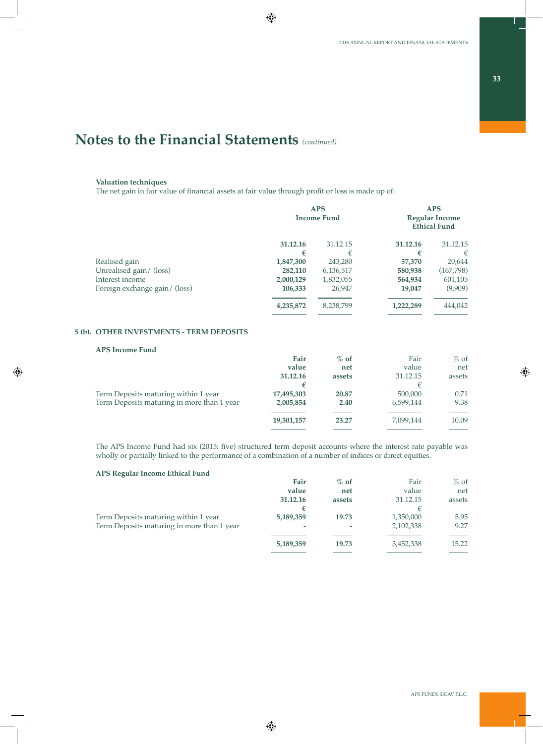# **Notes to the Financial Statements** *(continued)*

⊕

**Valuation techniques** 

The net gain in fair value of financial assets at fair value through profit or loss is made up of:

|                               |           | <b>APS</b><br><b>Income Fund</b> | <b>APS</b><br><b>Regular Income</b><br><b>Ethical Fund</b> |           |
|-------------------------------|-----------|----------------------------------|------------------------------------------------------------|-----------|
|                               | 31.12.16  | 31.12.15                         | 31.12.16                                                   | 31.12.15  |
|                               | €         | €                                | €                                                          | €         |
| Realised gain                 | 1,847,300 | 243,280                          | 57,370                                                     | 20,644    |
| Unrealised gain/ (loss)       | 282,110   | 6,136,517                        | 580,938                                                    | (167,798) |
| Interest income               | 2,000,129 | 1,832,055                        | 564,934                                                    | 601,105   |
| Foreign exchange gain/ (loss) | 106,333   | 26,947                           | 19,047                                                     | (9,909)   |
|                               | 4,235,872 | 8,238,799                        | 1,222,289                                                  | 444,042   |

#### **5 (b). OTHER INVESTMENTS - TERM DEPOSITS**

#### **APS Income Fund**

◈

|                                            | Fair       | $%$ of | Fair      | $%$ of |
|--------------------------------------------|------------|--------|-----------|--------|
|                                            | value      | net    | value     | net    |
|                                            | 31.12.16   | assets | 31.12.15  | assets |
|                                            | €          |        | ₽         |        |
| Term Deposits maturing within 1 year       | 17,495,303 | 20.87  | 500,000   | 0.71   |
| Term Deposits maturing in more than 1 year | 2,005,854  | 2.40   | 6,599,144 | 9.38   |
|                                            | 19,501,157 | 23.27  | 7,099,144 | 10.09  |
|                                            |            |        |           |        |

The APS Income Fund had six (2015: five) structured term deposit accounts where the interest rate payable was wholly or partially linked to the performance of a combination of a number of indices or direct equities.

#### **APS Regular Income Ethical Fund**

|                                            | Fair      | $%$ of                   | Fair      | $%$ of |
|--------------------------------------------|-----------|--------------------------|-----------|--------|
|                                            | value     | net                      | value     | net    |
|                                            | 31.12.16  | assets                   | 31.12.15  | assets |
|                                            | €         |                          | €         |        |
| Term Deposits maturing within 1 year       | 5,189,359 | 19.73                    | 1,350,000 | 5.95   |
| Term Deposits maturing in more than 1 year |           | $\overline{\phantom{a}}$ | 2,102,338 | 9.27   |
|                                            | 5,189,359 | 19.73                    | 3,452,338 | 15.22  |
|                                            |           |                          |           |        |

◈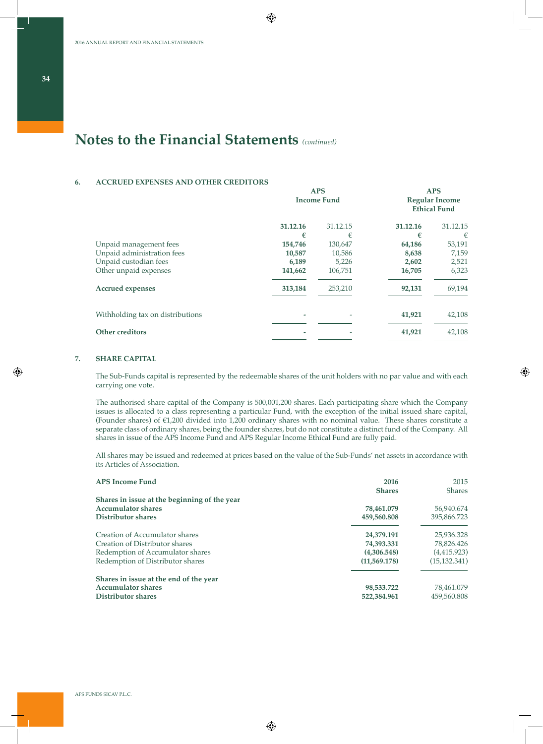### **Notes to the Financial Statements** *(continued)*

#### **6. ACCRUED EXPENSES AND OTHER CREDITORS**

|                                  |                | <b>APS</b><br><b>Income Fund</b> | <b>APS</b><br><b>Regular Income</b><br><b>Ethical Fund</b> |          |
|----------------------------------|----------------|----------------------------------|------------------------------------------------------------|----------|
|                                  | 31.12.16       | 31.12.15                         | 31.12.16                                                   | 31.12.15 |
|                                  | €              | €                                | €                                                          | €        |
| Unpaid management fees           | 154,746        | 130,647                          | 64,186                                                     | 53,191   |
| Unpaid administration fees       | 10,587         | 10,586                           | 8,638                                                      | 7,159    |
| Unpaid custodian fees            | 6,189          | 5,226                            | 2,602                                                      | 2,521    |
| Other unpaid expenses            | 141,662        | 106,751                          | 16,705                                                     | 6,323    |
| <b>Accrued expenses</b>          | 313,184        | 253,210                          | 92,131                                                     | 69,194   |
| Withholding tax on distributions | $\overline{a}$ |                                  | 41,921                                                     | 42,108   |
| <b>Other creditors</b>           |                |                                  | 41,921                                                     | 42,108   |
|                                  |                |                                  |                                                            |          |

#### **7. SHARE CAPITAL**

The Sub-Funds capital is represented by the redeemable shares of the unit holders with no par value and with each carrying one vote.

◈

The authorised share capital of the Company is 500,001,200 shares. Each participating share which the Company issues is allocated to a class representing a particular Fund, with the exception of the initial issued share capital, (Founder shares) of €1,200 divided into 1,200 ordinary shares with no nominal value. These shares constitute a separate class of ordinary shares, being the founder shares, but do not constitute a distinct fund of the Company. All shares in issue of the APS Income Fund and APS Regular Income Ethical Fund are fully paid.

All shares may be issued and redeemed at prices based on the value of the Sub-Funds' net assets in accordance with its Articles of Association.

| <b>APS Income Fund</b>                       | 2016          | 2015          |
|----------------------------------------------|---------------|---------------|
|                                              | <b>Shares</b> | <b>Shares</b> |
| Shares in issue at the beginning of the year |               |               |
| Accumulator shares                           | 78,461.079    | 56,940.674    |
| Distributor shares                           | 459,560.808   | 395.866.723   |
| Creation of Accumulator shares               | 24,379.191    | 25,936.328    |
| Creation of Distributor shares               | 74,393.331    | 78,826.426    |
| Redemption of Accumulator shares             | (4,306.548)   | (4,415.923)   |
| Redemption of Distributor shares             | (11,569,178)  | (15, 132.341) |
| Shares in issue at the end of the year       |               |               |
| <b>Accumulator shares</b>                    | 98,533.722    | 78.461.079    |
| <b>Distributor shares</b>                    | 522,384.961   | 459,560,808   |

◈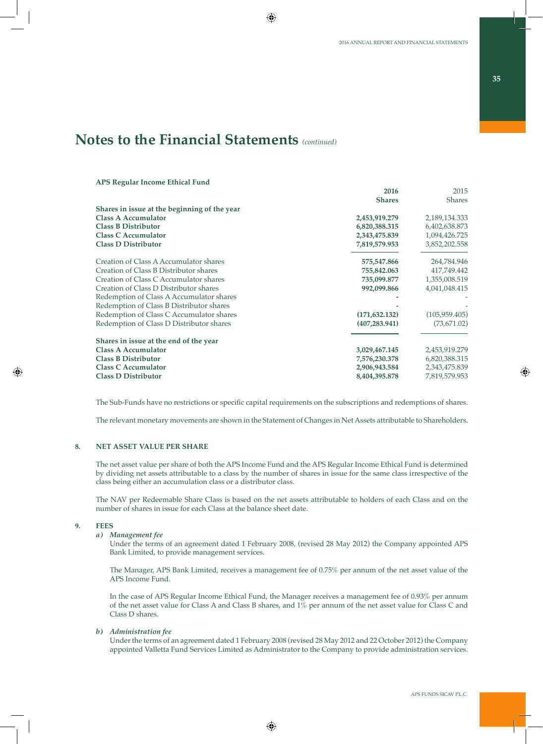### **Notes to the Financial Statements** *(continued)*

| APS Regular Income Ethical Fund              |                 |                |
|----------------------------------------------|-----------------|----------------|
|                                              | 2016            | 2015           |
|                                              | <b>Shares</b>   | <b>Shares</b>  |
| Shares in issue at the beginning of the year |                 |                |
| <b>Class A Accumulator</b>                   | 2,453,919.279   | 2,189,134.333  |
| <b>Class B Distributor</b>                   | 6,820,388.315   | 6,402,638.873  |
| <b>Class C Accumulator</b>                   | 2,343,475.839   | 1,094,426.725  |
| <b>Class D Distributor</b>                   | 7,819,579.953   | 3,852,202.558  |
| Creation of Class A Accumulator shares       | 575,547.866     | 264,784.946    |
| Creation of Class B Distributor shares       | 755,842.063     | 417,749.442    |
| Creation of Class C Accumulator shares       | 735,099.877     | 1,355,008.519  |
| Creation of Class D Distributor shares       | 992,099.866     | 4,041,048.415  |
| Redemption of Class A Accumulator shares     |                 |                |
| Redemption of Class B Distributor shares     |                 |                |
| Redemption of Class C Accumulator shares     | (171, 632, 132) | (105, 959.405) |
| Redemption of Class D Distributor shares     | (407, 283, 941) | (73, 671.02)   |
| Shares in issue at the end of the year       |                 |                |
| <b>Class A Accumulator</b>                   | 3,029,467.145   | 2,453,919.279  |
| <b>Class B Distributor</b>                   | 7,576,230.378   | 6,820,388.315  |
| <b>Class C Accumulator</b>                   | 2,906,943.584   | 2,343,475.839  |
| <b>Class D Distributor</b>                   | 8,404,395.878   | 7,819,579.953  |

◈

The Sub-Funds have no restrictions or specific capital requirements on the subscriptions and redemptions of shares.

The relevant monetary movements are shown in the Statement of Changes in Net Assets attributable to Shareholders.

#### **8. NET ASSET VALUE PER SHARE**

The net asset value per share of both the APS Income Fund and the APS Regular Income Ethical Fund is determined by dividing net assets attributable to a class by the number of shares in issue for the same class irrespective of the class being either an accumulation class or a distributor class.

The NAV per Redeemable Share Class is based on the net assets attributable to holders of each Class and on the number of shares in issue for each Class at the balance sheet date.

#### **9. FEES**

◈

#### *a) Management fee*

Under the terms of an agreement dated 1 February 2008, (revised 28 May 2012) the Company appointed APS Bank Limited, to provide management services.

 The Manager, APS Bank Limited, receives a management fee of 0.75% per annum of the net asset value of the APS Income Fund.

 In the case of APS Regular Income Ethical Fund, the Manager receives a management fee of 0.93% per annum of the net asset value for Class A and Class B shares, and 1% per annum of the net asset value for Class C and Class D shares.

#### *b) Administration fee*

Under the terms of an agreement dated 1 February 2008 (revised 28 May 2012 and 22 October 2012) the Company appointed Valletta Fund Services Limited as Administrator to the Company to provide administration services.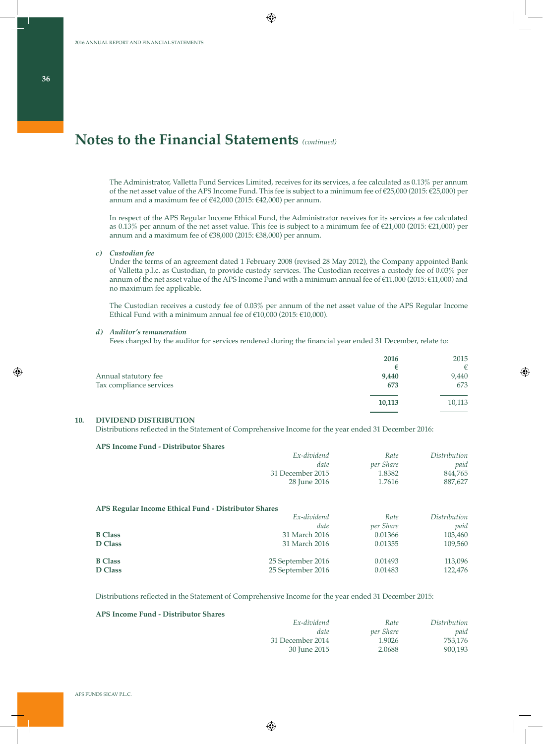### **Notes to the Financial Statements** *(continued)*

 The Administrator, Valletta Fund Services Limited, receives for its services, a fee calculated as 0.13% per annum of the net asset value of the APS Income Fund. This fee is subject to a minimum fee of €25,000 (2015: €25,000) per annum and a maximum fee of €42,000 (2015: €42,000) per annum.

 In respect of the APS Regular Income Ethical Fund, the Administrator receives for its services a fee calculated as 0.13% per annum of the net asset value. This fee is subject to a minimum fee of €21,000 (2015: €21,000) per annum and a maximum fee of €38,000 (2015: €38,000) per annum.

#### *c) Custodian fee*

Under the terms of an agreement dated 1 February 2008 (revised 28 May 2012), the Company appointed Bank of Valletta p.l.c. as Custodian, to provide custody services. The Custodian receives a custody fee of 0.03% per annum of the net asset value of the APS Income Fund with a minimum annual fee of €11,000 (2015: €11,000) and no maximum fee applicable.

 The Custodian receives a custody fee of 0.03% per annum of the net asset value of the APS Regular Income Ethical Fund with a minimum annual fee of  $£10,000$  (2015:  $£10,000$ ).

#### *d) Auditor's remuneration*

Fees charged by the auditor for services rendered during the financial year ended 31 December, relate to:

| 2016  | 2015   |
|-------|--------|
|       | €      |
| 9,440 | 9,440  |
| 673   | 673    |
|       |        |
|       | 10,113 |
|       | 10,113 |

#### **10. DIVIDEND DISTRIBUTION**

Distributions reflected in the Statement of Comprehensive Income for the year ended 31 December 2016:

|  |  | APS Income Fund - Distributor Shares |  |
|--|--|--------------------------------------|--|
|  |  |                                      |  |

|                                                      | Ex-dividend       | Rate      | Distribution |
|------------------------------------------------------|-------------------|-----------|--------------|
|                                                      | date              | per Share | paid         |
|                                                      | 31 December 2015  | 1.8382    | 844,765      |
|                                                      | 28 June 2016      | 1.7616    | 887,627      |
| APS Regular Income Ethical Fund - Distributor Shares |                   |           |              |
|                                                      | Ex-dividend       | Rate      | Distribution |
|                                                      | date              | per Share | paid         |
| <b>B</b> Class                                       | 31 March 2016     | 0.01366   | 103,460      |
| <b>D</b> Class                                       | 31 March 2016     | 0.01355   | 109,560      |
|                                                      |                   |           |              |
| <b>B</b> Class                                       | 25 September 2016 | 0.01493   | 113,096      |
| <b>D</b> Class                                       | 25 September 2016 | 0.01483   | 122,476      |

Distributions reflected in the Statement of Comprehensive Income for the year ended 31 December 2015:

⊕

#### **APS Income Fund - Distributor Shares**

| Ex-dividend      | Rate      | Distribution |
|------------------|-----------|--------------|
| date             | per Share | paid         |
| 31 December 2014 | 1.9026    | 753,176      |
| 30 June 2015     | 2.0688    | 900,193      |

◈

◈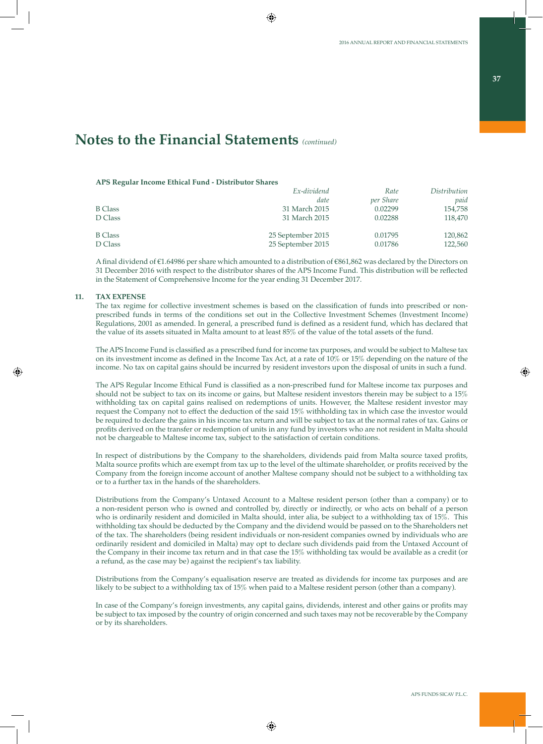### **Notes to the Financial Statements** *(continued)*

**APS Regular Income Ethical Fund - Distributor Shares**

|                | Ex-dividend       | Rate      | Distribution |
|----------------|-------------------|-----------|--------------|
|                | date              | per Share | paid         |
| <b>B</b> Class | 31 March 2015     | 0.02299   | 154,758      |
| D Class        | 31 March 2015     | 0.02288   | 118,470      |
| <b>B</b> Class | 25 September 2015 | 0.01795   | 120,862      |
| D Class        | 25 September 2015 | 0.01786   | 122,560      |

◈

A final dividend of €1.64986 per share which amounted to a distribution of €861,862 was declared by the Directors on 31 December 2016 with respect to the distributor shares of the APS Income Fund. This distribution will be reflected in the Statement of Comprehensive Income for the year ending 31 December 2017.

#### **11. TAX EXPENSE**

The tax regime for collective investment schemes is based on the classification of funds into prescribed or nonprescribed funds in terms of the conditions set out in the Collective Investment Schemes (Investment Income) Regulations, 2001 as amended. In general, a prescribed fund is defined as a resident fund, which has declared that the value of its assets situated in Malta amount to at least 85% of the value of the total assets of the fund.

The APS Income Fund is classified as a prescribed fund for income tax purposes, and would be subject to Maltese tax on its investment income as defined in the Income Tax Act, at a rate of 10% or 15% depending on the nature of the income. No tax on capital gains should be incurred by resident investors upon the disposal of units in such a fund.

The APS Regular Income Ethical Fund is classified as a non-prescribed fund for Maltese income tax purposes and should not be subject to tax on its income or gains, but Maltese resident investors therein may be subject to a 15% withholding tax on capital gains realised on redemptions of units. However, the Maltese resident investor may request the Company not to effect the deduction of the said 15% withholding tax in which case the investor would be required to declare the gains in his income tax return and will be subject to tax at the normal rates of tax. Gains or profits derived on the transfer or redemption of units in any fund by investors who are not resident in Malta should not be chargeable to Maltese income tax, subject to the satisfaction of certain conditions.

In respect of distributions by the Company to the shareholders, dividends paid from Malta source taxed profits, Malta source profits which are exempt from tax up to the level of the ultimate shareholder, or profits received by the Company from the foreign income account of another Maltese company should not be subject to a withholding tax or to a further tax in the hands of the shareholders.

Distributions from the Company's Untaxed Account to a Maltese resident person (other than a company) or to a non-resident person who is owned and controlled by, directly or indirectly, or who acts on behalf of a person who is ordinarily resident and domiciled in Malta should, inter alia, be subject to a withholding tax of 15%. This withholding tax should be deducted by the Company and the dividend would be passed on to the Shareholders net of the tax. The shareholders (being resident individuals or non-resident companies owned by individuals who are ordinarily resident and domiciled in Malta) may opt to declare such dividends paid from the Untaxed Account of the Company in their income tax return and in that case the 15% withholding tax would be available as a credit (or a refund, as the case may be) against the recipient's tax liability.

Distributions from the Company's equalisation reserve are treated as dividends for income tax purposes and are likely to be subject to a withholding tax of 15% when paid to a Maltese resident person (other than a company).

In case of the Company's foreign investments, any capital gains, dividends, interest and other gains or profits may be subject to tax imposed by the country of origin concerned and such taxes may not be recoverable by the Company or by its shareholders.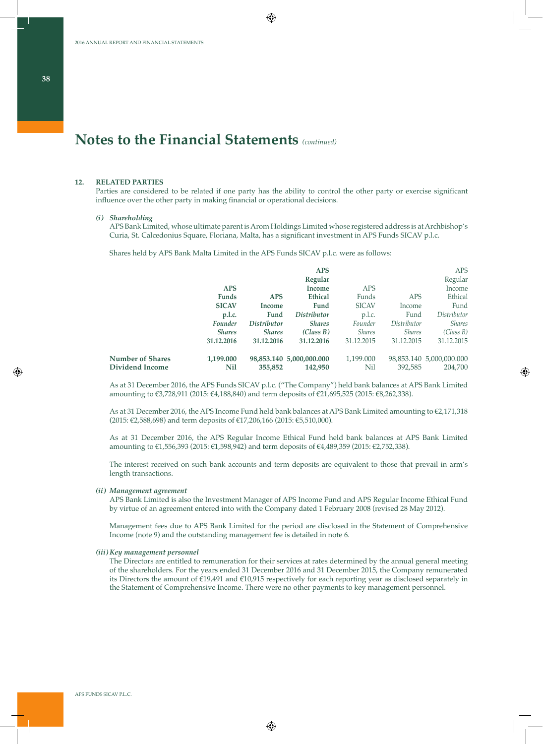### **Notes to the Financial Statements** *(continued)*

#### **12. RELATED PARTIES**

Parties are considered to be related if one party has the ability to control the other party or exercise significant influence over the other party in making financial or operational decisions.

⊕

#### *(i) Shareholding*

 APS Bank Limited, whose ultimate parent is Arom Holdings Limited whose registered address is at Archbishop's Curia, St. Calcedonius Square, Floriana, Malta, has a significant investment in APS Funds SICAV p.l.c.

Shares held by APS Bank Malta Limited in the APS Funds SICAV p.l.c. were as follows:

|                                      |               | <b>APS</b>               |               |               | <b>APS</b>               |
|--------------------------------------|---------------|--------------------------|---------------|---------------|--------------------------|
|                                      |               | Regular                  |               |               | Regular                  |
| <b>APS</b>                           |               | Income                   | <b>APS</b>    |               | Income                   |
| <b>Funds</b>                         | <b>APS</b>    | <b>Ethical</b>           | Funds         | APS           | Ethical                  |
| <b>SICAV</b>                         | Income        | Fund                     | <b>SICAV</b>  | Income        | Fund                     |
| p.l.c.                               | Fund          | Distributor              | p.l.c.        | Fund          | Distributor              |
| Founder                              | Distributor   | <b>Shares</b>            | Founder       | Distributor   | <b>Shares</b>            |
| <b>Shares</b>                        | <b>Shares</b> | (Class B)                | <b>Shares</b> | <b>Shares</b> | (Class B)                |
| 31.12.2016                           | 31.12.2016    | 31.12.2016               | 31.12.2015    | 31.12.2015    | 31.12.2015               |
| <b>Number of Shares</b><br>1,199.000 |               | 98,853.140 5,000,000.000 | 1,199.000     |               | 98,853.140 5,000,000.000 |
| <b>Nil</b><br>Dividend Income        | 355,852       | 142.950                  | Nil           | 392.585       | 204,700                  |

◈

 As at 31 December 2016, the APS Funds SICAV p.l.c. ("The Company") held bank balances at APS Bank Limited amounting to €3,728,911 (2015: €4,188,840) and term deposits of €21,695,525 (2015: €8,262,338).

 As at 31 December 2016, the APS Income Fund held bank balances at APS Bank Limited amounting to €2,171,318 (2015: €2,588,698) and term deposits of €17,206,166 (2015: €5,510,000).

 As at 31 December 2016, the APS Regular Income Ethical Fund held bank balances at APS Bank Limited amounting to €1,556,393 (2015: €1,598,942) and term deposits of €4,489,359 (2015: €2,752,338).

 The interest received on such bank accounts and term deposits are equivalent to those that prevail in arm's length transactions.

#### *(ii) Management agreement*

 APS Bank Limited is also the Investment Manager of APS Income Fund and APS Regular Income Ethical Fund by virtue of an agreement entered into with the Company dated 1 February 2008 (revised 28 May 2012).

 Management fees due to APS Bank Limited for the period are disclosed in the Statement of Comprehensive Income (note 9) and the outstanding management fee is detailed in note 6.

#### *(iii) Key management personnel*

 The Directors are entitled to remuneration for their services at rates determined by the annual general meeting of the shareholders. For the years ended 31 December 2016 and 31 December 2015, the Company remunerated its Directors the amount of €19,491 and €10,915 respectively for each reporting year as disclosed separately in the Statement of Comprehensive Income. There were no other payments to key management personnel.

Æ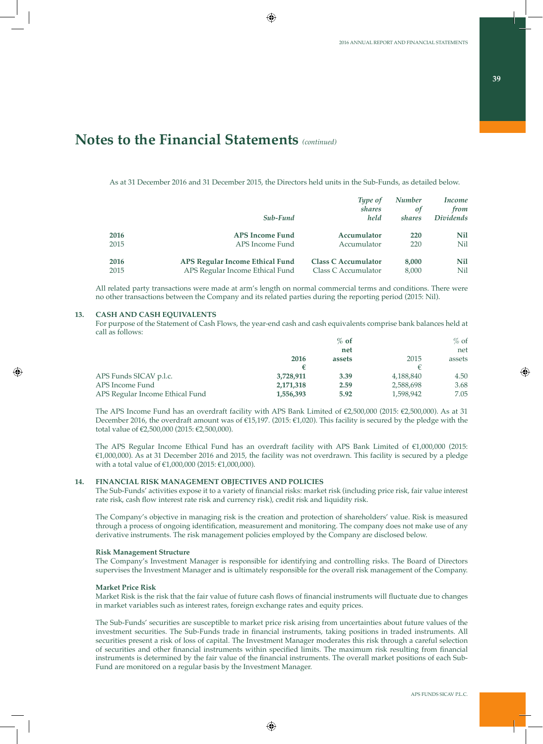### **Notes to the Financial Statements** *(continued)*

As at 31 December 2016 and 31 December 2015, the Directors held units in the Sub-Funds, as detailed below.

⊕

|      | Sub-Fund                               | Type of<br><i>shares</i><br>held | <b>Number</b><br>0t<br><i>shares</i> | Income<br>from<br>Dividends |
|------|----------------------------------------|----------------------------------|--------------------------------------|-----------------------------|
| 2016 | <b>APS Income Fund</b>                 | Accumulator                      | 220                                  | Nil                         |
| 2015 | APS Income Fund                        | Accumulator                      | 220                                  | Nil                         |
| 2016 | <b>APS Regular Income Ethical Fund</b> | <b>Class C Accumulator</b>       | 8,000                                | <b>Nil</b>                  |
| 2015 | APS Regular Income Ethical Fund        | Class C Accumulator              | 8,000                                | Nil                         |

All related party transactions were made at arm's length on normal commercial terms and conditions. There were no other transactions between the Company and its related parties during the reporting period (2015: Nil).

#### **13. CASH AND CASH EQUIVALENTS**

⊕

For purpose of the Statement of Cash Flows, the year-end cash and cash equivalents comprise bank balances held at call as follows:

|                                 |           | $%$ of |           | $\%$ of |
|---------------------------------|-----------|--------|-----------|---------|
|                                 | net       |        |           | net     |
|                                 | 2016      | assets | 2015      | assets  |
|                                 |           |        |           |         |
| APS Funds SICAV p.l.c.          | 3,728,911 | 3.39   | 4,188,840 | 4.50    |
| APS Income Fund                 | 2,171,318 | 2.59   | 2,588,698 | 3.68    |
| APS Regular Income Ethical Fund | 1,556,393 | 5.92   | 1,598,942 | 7.05    |
|                                 |           |        |           |         |

The APS Income Fund has an overdraft facility with APS Bank Limited of €2,500,000 (2015: €2,500,000). As at 31 December 2016, the overdraft amount was of €15,197. (2015: €1,020). This facility is secured by the pledge with the total value of €2,500,000 (2015: €2,500,000).

The APS Regular Income Ethical Fund has an overdraft facility with APS Bank Limited of €1,000,000 (2015: €1,000,000). As at 31 December 2016 and 2015, the facility was not overdrawn. This facility is secured by a pledge with a total value of €1,000,000 (2015: €1,000,000).

#### **14. FINANCIAL RISK MANAGEMENT OBJECTIVES AND POLICIES**

The Sub-Funds' activities expose it to a variety of financial risks: market risk (including price risk, fair value interest rate risk, cash flow interest rate risk and currency risk), credit risk and liquidity risk.

The Company's objective in managing risk is the creation and protection of shareholders' value. Risk is measured through a process of ongoing identification, measurement and monitoring. The company does not make use of any derivative instruments. The risk management policies employed by the Company are disclosed below.

#### **Risk Management Structure**

The Company's Investment Manager is responsible for identifying and controlling risks. The Board of Directors supervises the Investment Manager and is ultimately responsible for the overall risk management of the Company.

#### **Market Price Risk**

Market Risk is the risk that the fair value of future cash flows of financial instruments will fluctuate due to changes in market variables such as interest rates, foreign exchange rates and equity prices.

The Sub-Funds' securities are susceptible to market price risk arising from uncertainties about future values of the investment securities. The Sub-Funds trade in financial instruments, taking positions in traded instruments. All securities present a risk of loss of capital. The Investment Manager moderates this risk through a careful selection of securities and other financial instruments within specified limits. The maximum risk resulting from financial instruments is determined by the fair value of the financial instruments. The overall market positions of each Sub-Fund are monitored on a regular basis by the Investment Manager.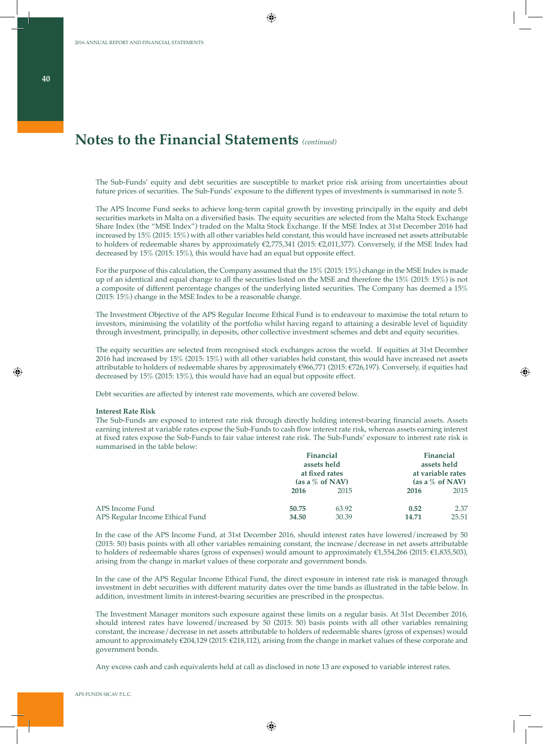**40**

⊕

### **Notes to the Financial Statements** *(continued)*

The Sub-Funds' equity and debt securities are susceptible to market price risk arising from uncertainties about future prices of securities. The Sub-Funds' exposure to the different types of investments is summarised in note 5.

The APS Income Fund seeks to achieve long-term capital growth by investing principally in the equity and debt securities markets in Malta on a diversified basis. The equity securities are selected from the Malta Stock Exchange Share Index (the "MSE Index") traded on the Malta Stock Exchange. If the MSE Index at 31st December 2016 had increased by 15% (2015: 15%) with all other variables held constant, this would have increased net assets attributable to holders of redeemable shares by approximately €2,775,341 (2015: €2,011,377). Conversely, if the MSE Index had decreased by 15% (2015: 15%), this would have had an equal but opposite effect.

For the purpose of this calculation, the Company assumed that the 15% (2015: 15%) change in the MSE Index is made up of an identical and equal change to all the securities listed on the MSE and therefore the 15% (2015: 15%) is not a composite of different percentage changes of the underlying listed securities. The Company has deemed a 15% (2015: 15%) change in the MSE Index to be a reasonable change.

The Investment Objective of the APS Regular Income Ethical Fund is to endeavour to maximise the total return to investors, minimising the volatility of the portfolio whilst having regard to attaining a desirable level of liquidity through investment, principally, in deposits, other collective investment schemes and debt and equity securities.

The equity securities are selected from recognised stock exchanges across the world. If equities at 31st December 2016 had increased by 15% (2015: 15%) with all other variables held constant, this would have increased net assets attributable to holders of redeemable shares by approximately €966,771 (2015: €726,197). Conversely, if equities had decreased by 15% (2015: 15%), this would have had an equal but opposite effect.

◈

Debt securities are affected by interest rate movements, which are covered below.

#### **Interest Rate Risk**

The Sub-Funds are exposed to interest rate risk through directly holding interest-bearing financial assets. Assets earning interest at variable rates expose the Sub-Funds to cash flow interest rate risk, whereas assets earning interest at fixed rates expose the Sub-Funds to fair value interest rate risk. The Sub-Funds' exposure to interest rate risk is summarised in the table below:

|                                                    | Financial<br>assets held<br>at fixed rates<br>(as a $\%$ of NAV) |                | Financial<br>assets held<br>at variable rates<br>(as a $\%$ of NAV) |               |
|----------------------------------------------------|------------------------------------------------------------------|----------------|---------------------------------------------------------------------|---------------|
|                                                    | 2016                                                             | 2015           | 2016                                                                | 2015          |
| APS Income Fund<br>APS Regular Income Ethical Fund | 50.75<br>34.50                                                   | 63.92<br>30.39 | 0.52<br>14.71                                                       | 2.37<br>25.51 |

In the case of the APS Income Fund, at 31st December 2016, should interest rates have lowered/increased by 50 (2015: 50) basis points with all other variables remaining constant, the increase/decrease in net assets attributable to holders of redeemable shares (gross of expenses) would amount to approximately €1,554,266 (2015: €1,835,503), arising from the change in market values of these corporate and government bonds.

In the case of the APS Regular Income Ethical Fund, the direct exposure in interest rate risk is managed through investment in debt securities with different maturity dates over the time bands as illustrated in the table below. In addition, investment limits in interest-bearing securities are prescribed in the prospectus.

The Investment Manager monitors such exposure against these limits on a regular basis. At 31st December 2016, should interest rates have lowered/increased by 50 (2015: 50) basis points with all other variables remaining constant, the increase/decrease in net assets attributable to holders of redeemable shares (gross of expenses) would amount to approximately €204,129 (2015: €218,112), arising from the change in market values of these corporate and government bonds.

Any excess cash and cash equivalents held at call as disclosed in note 13 are exposed to variable interest rates.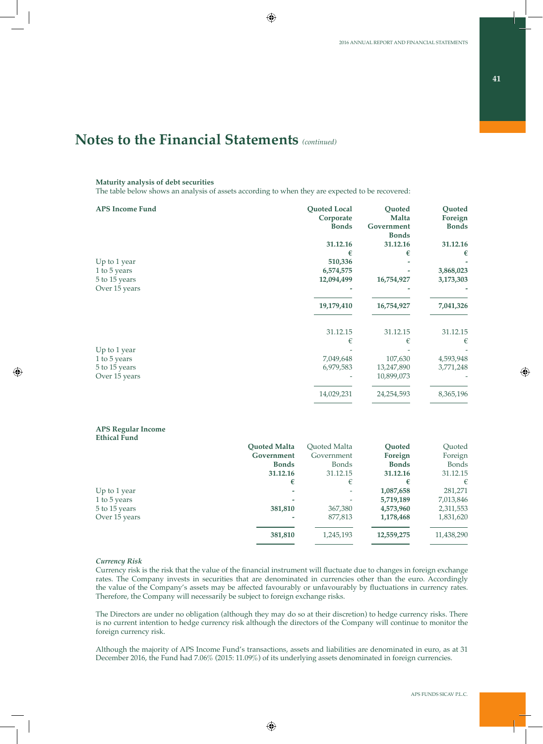### **Notes to the Financial Statements** *(continued)*

#### **Maturity analysis of debt securities**

The table below shows an analysis of assets according to when they are expected to be recovered:

◈

| <b>APS</b> Income Fund | <b>Quoted Local</b> | <b>Quoted</b> | Quoted       |
|------------------------|---------------------|---------------|--------------|
|                        | Corporate           | <b>Malta</b>  | Foreign      |
|                        | <b>Bonds</b>        | Government    | <b>Bonds</b> |
|                        |                     | <b>Bonds</b>  |              |
|                        | 31.12.16            | 31.12.16      |              |
|                        |                     |               | 31.12.16     |
|                        | €                   |               |              |
| Up to 1 year           | 510,336             |               |              |
| 1 to 5 years           | 6,574,575           |               | 3,868,023    |
| 5 to 15 years          | 12,094,499          | 16,754,927    | 3,173,303    |
| Over 15 years          |                     |               |              |
|                        | 19,179,410          | 16,754,927    | 7,041,326    |
|                        |                     |               |              |
|                        | 31.12.15            | 31.12.15      | 31.12.15     |
|                        | €                   | €             |              |
| Up to 1 year           |                     |               |              |
| 1 to 5 years           | 7,049,648           | 107,630       | 4,593,948    |
| 5 to 15 years          | 6,979,583           | 13,247,890    | 3,771,248    |
| Over 15 years          |                     | 10,899,073    |              |
|                        | 14,029,231          | 24,254,593    | 8,365,196    |

#### **APS Regular Income Ethical Fund**

◈

|               | <b>Quoted Malta</b><br>Government | Ouoted Malta<br>Government | Quoted<br>Foreign | Quoted<br>Foreign |
|---------------|-----------------------------------|----------------------------|-------------------|-------------------|
|               | <b>Bonds</b>                      | <b>Bonds</b>               | <b>Bonds</b>      | <b>Bonds</b>      |
|               | 31.12.16                          | 31.12.15                   | 31.12.16          | 31.12.15          |
|               | €                                 | €                          | €                 | $\epsilon$        |
| Up to 1 year  | $\overline{\phantom{a}}$          | ٠                          | 1,087,658         | 281,271           |
| 1 to 5 years  | -                                 | ۰                          | 5,719,189         | 7,013,846         |
| 5 to 15 years | 381,810                           | 367,380                    | 4,573,960         | 2,311,553         |
| Over 15 years | ۰                                 | 877,813                    | 1,178,468         | 1,831,620         |
|               | 381,810                           | 1,245,193                  | 12,559,275        | 11,438,290        |

#### *Currency Risk*

Currency risk is the risk that the value of the financial instrument will fluctuate due to changes in foreign exchange rates. The Company invests in securities that are denominated in currencies other than the euro. Accordingly the value of the Company's assets may be affected favourably or unfavourably by fluctuations in currency rates. Therefore, the Company will necessarily be subject to foreign exchange risks.

The Directors are under no obligation (although they may do so at their discretion) to hedge currency risks. There is no current intention to hedge currency risk although the directors of the Company will continue to monitor the foreign currency risk.

Although the majority of APS Income Fund's transactions, assets and liabilities are denominated in euro, as at 31 December 2016, the Fund had 7.06% (2015: 11.09%) of its underlying assets denominated in foreign currencies.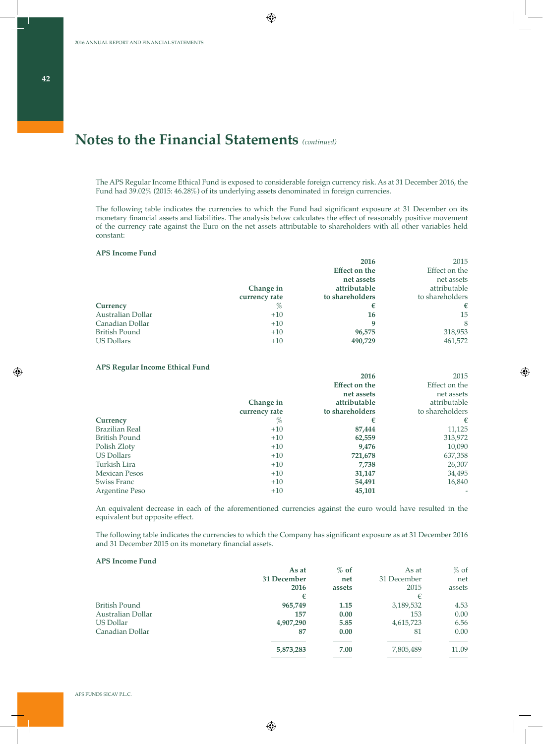### **Notes to the Financial Statements** *(continued)*

The APS Regular Income Ethical Fund is exposed to considerable foreign currency risk. As at 31 December 2016, the Fund had 39.02% (2015: 46.28%) of its underlying assets denominated in foreign currencies.

◈

The following table indicates the currencies to which the Fund had significant exposure at 31 December on its monetary financial assets and liabilities. The analysis below calculates the effect of reasonably positive movement of the currency rate against the Euro on the net assets attributable to shareholders with all other variables held constant:

#### **APS Income Fund**

|                   |               | 2016                 | 2015            |
|-------------------|---------------|----------------------|-----------------|
|                   |               | <b>Effect on the</b> | Effect on the   |
|                   |               | net assets           | net assets      |
|                   | Change in     | attributable         | attributable    |
|                   | currency rate | to shareholders      | to shareholders |
| Currency          | $\%$          | €                    |                 |
| Australian Dollar | $+10$         | 16                   | 15              |
| Canadian Dollar   | $+10$         | q                    | 8               |
| British Pound     | $+10$         | 96,575               | 318,953         |
| <b>US Dollars</b> | $+10$         | 490,729              | 461,572         |
|                   |               |                      |                 |

#### **APS Regular Income Ethical Fund**

| ີ                     |               | 2016                 | 2015            |
|-----------------------|---------------|----------------------|-----------------|
|                       |               | <b>Effect on the</b> | Effect on the   |
|                       |               | net assets           | net assets      |
|                       | Change in     | attributable         | attributable    |
|                       | currency rate | to shareholders      | to shareholders |
| Currency              | %             | €                    | €               |
| <b>Brazilian Real</b> | $+10$         | 87,444               | 11,125          |
| <b>British Pound</b>  | $+10$         | 62,559               | 313,972         |
| Polish Zloty          | $+10$         | 9,476                | 10,090          |
| <b>US Dollars</b>     | $+10$         | 721,678              | 637,358         |
| Turkish Lira          | $+10$         | 7,738                | 26,307          |
| <b>Mexican Pesos</b>  | $+10$         | 31,147               | 34,495          |
| Swiss Franc           | $+10$         | 54,491               | 16,840          |
| <b>Argentine Peso</b> | $+10$         | 45,101               |                 |

An equivalent decrease in each of the aforementioned currencies against the euro would have resulted in the equivalent but opposite effect.

The following table indicates the currencies to which the Company has significant exposure as at 31 December 2016 and 31 December 2015 on its monetary financial assets.

#### **APS Income Fund**

|                      | As at       | $%$ of | As at       | $%$ of |
|----------------------|-------------|--------|-------------|--------|
|                      | 31 December | net    | 31 December | net    |
|                      | 2016        | assets | 2015        | assets |
|                      | €           |        | €           |        |
| <b>British Pound</b> | 965,749     | 1.15   | 3,189,532   | 4.53   |
| Australian Dollar    | 157         | 0.00   | 153         | 0.00   |
| <b>US Dollar</b>     | 4,907,290   | 5.85   | 4,615,723   | 6.56   |
| Canadian Dollar      | 87          | 0.00   | 81          | 0.00   |
|                      | 5,873,283   | 7.00   | 7,805,489   | 11.09  |
|                      |             |        |             |        |

◈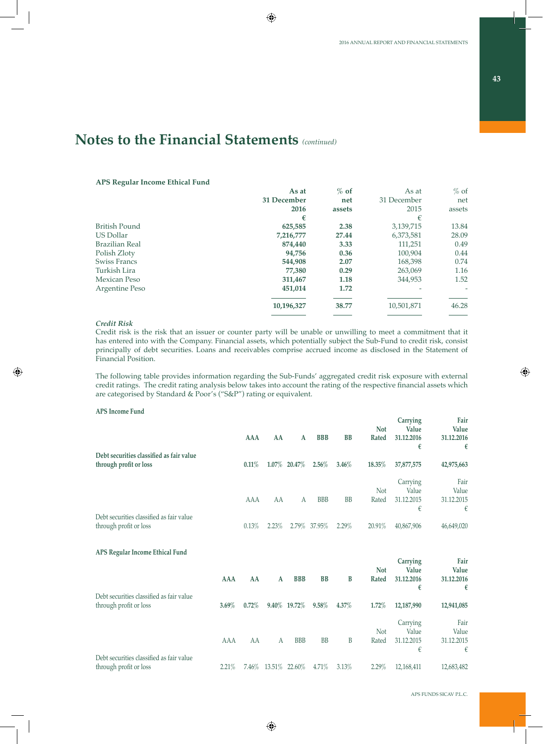### **Notes to the Financial Statements** *(continued)*

#### **APS Regular Income Ethical Fund**

|                       | As at       | $%$ of | As at       | $\%$ of |
|-----------------------|-------------|--------|-------------|---------|
|                       | 31 December | net    | 31 December | net     |
|                       | 2016        | assets | 2015        | assets  |
|                       | €           |        | €           |         |
| British Pound         | 625,585     | 2.38   | 3,139,715   | 13.84   |
| US Dollar             | 7,216,777   | 27.44  | 6,373,581   | 28.09   |
| <b>Brazilian Real</b> | 874,440     | 3.33   | 111,251     | 0.49    |
| Polish Zloty          | 94,756      | 0.36   | 100,904     | 0.44    |
| <b>Swiss Francs</b>   | 544,908     | 2.07   | 168,398     | 0.74    |
| Turkish Lira          | 77,380      | 0.29   | 263,069     | 1.16    |
| Mexican Peso          | 311,467     | 1.18   | 344,953     | 1.52    |
| Argentine Peso        | 451,014     | 1.72   |             |         |
|                       | 10,196,327  | 38.77  | 10,501,871  | 46.28   |
|                       |             |        |             |         |

#### *Credit Risk*

◈

Credit risk is the risk that an issuer or counter party will be unable or unwilling to meet a commitment that it has entered into with the Company. Financial assets, which potentially subject the Sub-Fund to credit risk, consist principally of debt securities. Loans and receivables comprise accrued income as disclosed in the Statement of Financial Position.

The following table provides information regarding the Sub-Funds' aggregated credit risk exposure with external credit ratings. The credit rating analysis below takes into account the rating of the respective financial assets which are categorised by Standard & Poor's ("S&P") rating or equivalent.

#### **APS Income Fund**

|                                                                    |            | <b>AAA</b> | AA           | $\mathbf{A}$    | <b>BBB</b>   | <b>BB</b> | <b>Not</b><br><b>Rated</b> | Carrying<br>Value<br>31.12.2016<br>€ | Fair<br>Value<br>31.12.2016<br>€ |
|--------------------------------------------------------------------|------------|------------|--------------|-----------------|--------------|-----------|----------------------------|--------------------------------------|----------------------------------|
| Debt securities classified as fair value<br>through profit or loss |            | 0.11%      |              | $1.07\%$ 20.47% | $2.56\%$     | 3.46%     | $18.35\%$                  | 37,877,575                           | 42,975,663                       |
|                                                                    |            | AAA        | AA           | A               | <b>BBB</b>   | <b>BB</b> | Not<br>Rated               | Carrying<br>Value<br>31.12.2015      | Fair<br>Value<br>31.12.2015      |
| Debt securities classified as fair value                           |            |            |              |                 |              |           |                            | €                                    | €                                |
| through profit or loss                                             |            | 0.13%      | 2.23%        |                 | 2.79% 37.95% | 2.29%     | 20.91%                     | 40,867,906                           | 46,649,020                       |
| APS Regular Income Ethical Fund                                    |            |            |              |                 |              |           |                            |                                      |                                  |
|                                                                    |            |            |              |                 |              |           | <b>Not</b>                 | Carrying<br>Value                    | Fair<br>Value                    |
|                                                                    | <b>AAA</b> | AA         | $\mathbf{A}$ | <b>BBB</b>      | <b>BB</b>    | B         | <b>Rated</b>               | 31.12.2016<br>€                      | 31.12.2016<br>€                  |
| Debt securities classified as fair value<br>through profit or loss | $3.69\%$   | 0.72%      |              | 9.40% 19.72%    | $9.58\%$     | 4.37%     | $1.72\%$                   | 12,187,990                           | 12,941,085                       |
|                                                                    |            |            |              |                 |              |           | <b>Not</b>                 | Carrying<br>Value                    | Fair<br>Value                    |
|                                                                    | <b>AAA</b> | AA         | A            | <b>BBB</b>      | <b>BB</b>    | B         | Rated                      | 31.12.2015<br>€                      | 31.12.2015<br>€                  |
| Debt securities classified as fair value                           |            |            |              |                 |              |           |                            |                                      |                                  |

◈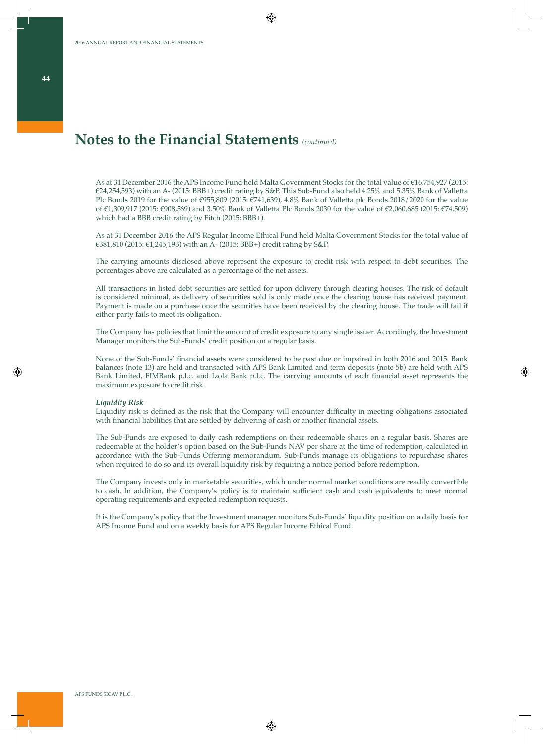### **Notes to the Financial Statements** *(continued)*

As at 31 December 2016 the APS Income Fund held Malta Government Stocks for the total value of €16,754,927 (2015: €24,254,593) with an A- (2015: BBB+) credit rating by S&P. This Sub-Fund also held 4.25% and 5.35% Bank of Valletta Plc Bonds 2019 for the value of €955,809 (2015: €741,639), 4.8% Bank of Valletta plc Bonds 2018/2020 for the value of €1,309,917 (2015: €908,569) and 3.50% Bank of Valletta Plc Bonds 2030 for the value of €2,060,685 (2015: €74,509) which had a BBB credit rating by Fitch (2015: BBB+).

As at 31 December 2016 the APS Regular Income Ethical Fund held Malta Government Stocks for the total value of €381,810 (2015: €1,245,193) with an A- (2015: BBB+) credit rating by S&P.

The carrying amounts disclosed above represent the exposure to credit risk with respect to debt securities. The percentages above are calculated as a percentage of the net assets.

All transactions in listed debt securities are settled for upon delivery through clearing houses. The risk of default is considered minimal, as delivery of securities sold is only made once the clearing house has received payment. Payment is made on a purchase once the securities have been received by the clearing house. The trade will fail if either party fails to meet its obligation.

The Company has policies that limit the amount of credit exposure to any single issuer. Accordingly, the Investment Manager monitors the Sub-Funds' credit position on a regular basis.

None of the Sub-Funds' financial assets were considered to be past due or impaired in both 2016 and 2015. Bank balances (note 13) are held and transacted with APS Bank Limited and term deposits (note 5b) are held with APS Bank Limited, FIMBank p.l.c. and Izola Bank p.l.c. The carrying amounts of each financial asset represents the maximum exposure to credit risk.

◈

#### *Liquidity Risk*

Liquidity risk is defined as the risk that the Company will encounter difficulty in meeting obligations associated with financial liabilities that are settled by delivering of cash or another financial assets.

The Sub-Funds are exposed to daily cash redemptions on their redeemable shares on a regular basis. Shares are redeemable at the holder's option based on the Sub-Funds NAV per share at the time of redemption, calculated in accordance with the Sub-Funds Offering memorandum. Sub-Funds manage its obligations to repurchase shares when required to do so and its overall liquidity risk by requiring a notice period before redemption.

The Company invests only in marketable securities, which under normal market conditions are readily convertible to cash. In addition, the Company's policy is to maintain sufficient cash and cash equivalents to meet normal operating requirements and expected redemption requests.

It is the Company's policy that the Investment manager monitors Sub-Funds' liquidity position on a daily basis for APS Income Fund and on a weekly basis for APS Regular Income Ethical Fund.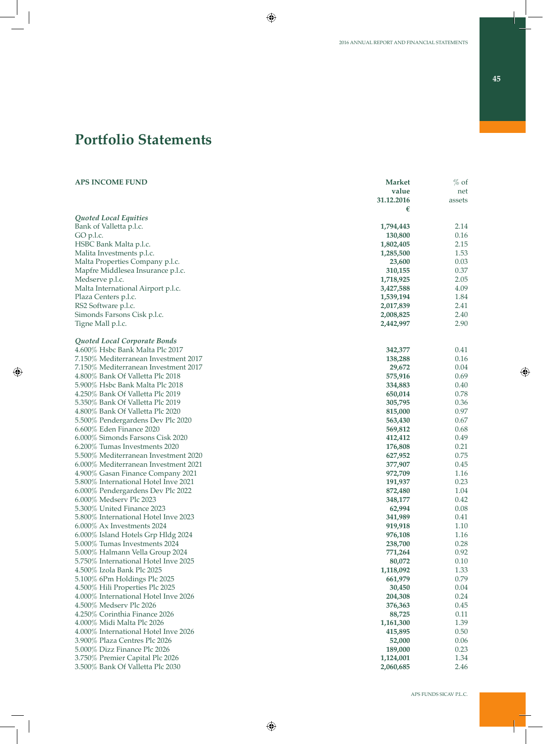$\bigoplus$ 

### **Portfolio Statements**

 $\bigoplus$ 

 $\overline{\phantom{a}}$ 

| <b>APS INCOME FUND</b>               | <b>Market</b> | $%$ of |
|--------------------------------------|---------------|--------|
|                                      | value         | net    |
|                                      | 31.12.2016    | assets |
|                                      | €             |        |
| Quoted Local Equities                |               |        |
| Bank of Valletta p.l.c.              | 1,794,443     | 2.14   |
| GO p.l.c.                            | 130,800       | 0.16   |
| HSBC Bank Malta p.l.c.               | 1,802,405     | 2.15   |
| Malita Investments p.l.c.            | 1,285,500     | 1.53   |
| Malta Properties Company p.l.c.      | 23,600        | 0.03   |
| Mapfre Middlesea Insurance p.l.c.    | 310,155       | 0.37   |
| Medserve p.l.c.                      | 1,718,925     | 2.05   |
| Malta International Airport p.l.c.   | 3,427,588     | 4.09   |
| Plaza Centers p.l.c.                 | 1,539,194     | 1.84   |
| RS2 Software p.l.c.                  | 2,017,839     | 2.41   |
| Simonds Farsons Cisk p.l.c.          | 2,008,825     | 2.40   |
| Tigne Mall p.l.c.                    | 2,442,997     | 2.90   |
| Quoted Local Corporate Bonds         |               |        |
| 4.600% Hsbc Bank Malta Plc 2017      | 342,377       | 0.41   |
| 7.150% Mediterranean Investment 2017 | 138,288       | 0.16   |
| 7.150% Mediterranean Investment 2017 | 29,672        | 0.04   |
| 4.800% Bank Of Valletta Plc 2018     | 575,916       | 0.69   |
| 5.900% Hsbc Bank Malta Plc 2018      | 334,883       | 0.40   |
| 4.250% Bank Of Valletta Plc 2019     | 650,014       | 0.78   |
| 5.350% Bank Of Valletta Plc 2019     | 305,795       | 0.36   |
| 4.800% Bank Of Valletta Plc 2020     | 815,000       | 0.97   |
| 5.500% Pendergardens Dev Plc 2020    | 563,430       | 0.67   |
| 6.600% Eden Finance 2020             | 569,812       | 0.68   |
| 6.000% Simonds Farsons Cisk 2020     | 412,412       | 0.49   |
| 6.200% Tumas Investments 2020        | 176,808       | 0.21   |
| 5.500% Mediterranean Investment 2020 | 627,952       | 0.75   |
| 6.000% Mediterranean Investment 2021 | 377,907       | 0.45   |
| 4.900% Gasan Finance Company 2021    | 972,709       | 1.16   |
| 5.800% International Hotel Inve 2021 | 191,937       | 0.23   |
| 6.000% Pendergardens Dev Plc 2022    | 872,480       | 1.04   |
| 6.000% Medserv Plc 2023              | 348,177       | 0.42   |
| 5.300% United Finance 2023           | 62,994        | 0.08   |
| 5.800% International Hotel Inve 2023 | 341,989       | 0.41   |
| $6.000\%$ Ax Investments 2024        | 919,918       | 1.10   |
| 6.000% Island Hotels Grp Hldg 2024   | 976,108       | 1.16   |
| 5.000% Tumas Investments 2024        | 238,700       | 0.28   |
| 5.000% Halmann Vella Group 2024      | 771,264       | 0.92   |
| 5.750% International Hotel Inve 2025 | 80,072        | 0.10   |
| 4.500% Izola Bank Plc 2025           | 1,118,092     | 1.33   |
| 5.100% 6Pm Holdings Plc 2025         | 661,979       | 0.79   |
| 4.500% Hili Properties Plc 2025      | 30,450        | 0.04   |
| 4.000% International Hotel Inve 2026 | 204,308       | 0.24   |
| 4.500% Medserv Plc 2026              | 376,363       | 0.45   |
| 4.250% Corinthia Finance 2026        | 88,725        | 0.11   |
| 4.000% Midi Malta Plc 2026           | 1,161,300     | 1.39   |
| 4.000% International Hotel Inve 2026 | 415,895       | 0.50   |
| 3.900% Plaza Centres Plc 2026        | 52,000        | 0.06   |
| 5.000% Dizz Finance Plc 2026         | 189,000       | 0.23   |
| 3.750% Premier Capital Plc 2026      | 1,124,001     | 1.34   |
| 3.500% Bank Of Valletta Plc 2030     | 2,060,685     | 2.46   |

 $\bigoplus$ 

APS FUNDS SICAV P.L.C.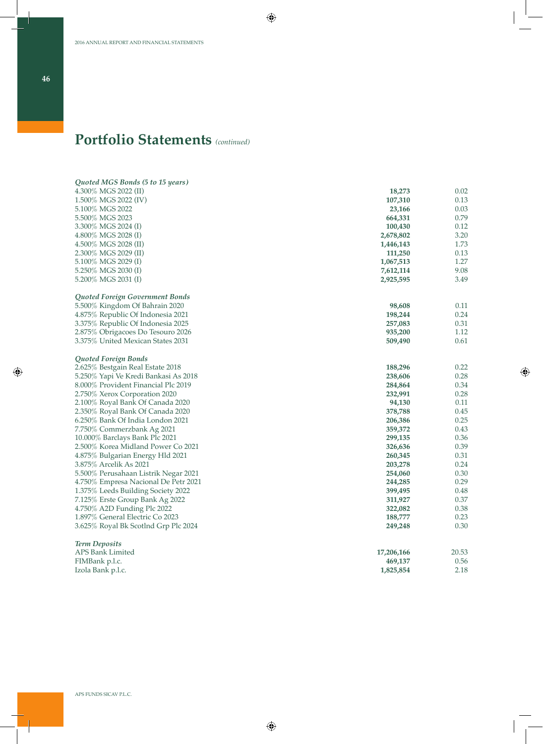$\bigoplus$ 

### **Portfolio Statements** *(continued)*

| Quoted MGS Bonds (5 to 15 years)     |            |       |
|--------------------------------------|------------|-------|
| 4.300% MGS 2022 (II)                 | 18,273     | 0.02  |
| 1.500% MGS 2022 (IV)                 | 107,310    | 0.13  |
| 5.100% MGS 2022                      | 23,166     | 0.03  |
| 5.500% MGS 2023                      | 664,331    | 0.79  |
| 3.300% MGS 2024 (I)                  | 100,430    | 0.12  |
| 4.800% MGS 2028 (I)                  | 2,678,802  | 3.20  |
| 4.500% MGS 2028 (II)                 | 1,446,143  | 1.73  |
| 2.300% MGS 2029 (II)                 | 111,250    | 0.13  |
| 5.100% MGS 2029 (I)                  | 1,067,513  | 1.27  |
| 5.250% MGS 2030 (I)                  | 7,612,114  | 9.08  |
| 5.200% MGS 2031 (I)                  | 2,925,595  | 3.49  |
| Quoted Foreign Government Bonds      |            |       |
| 5.500% Kingdom Of Bahrain 2020       | 98,608     | 0.11  |
| 4.875% Republic Of Indonesia 2021    | 198,244    | 0.24  |
| 3.375% Republic Of Indonesia 2025    | 257,083    | 0.31  |
| 2.875% Obrigacoes Do Tesouro 2026    | 935,200    | 1.12  |
| 3.375% United Mexican States 2031    | 509,490    | 0.61  |
| Quoted Foreign Bonds                 |            |       |
| 2.625% Bestgain Real Estate 2018     | 188,296    | 0.22  |
| 5.250% Yapi Ve Kredi Bankasi As 2018 | 238,606    | 0.28  |
| 8.000% Provident Financial Plc 2019  | 284,864    | 0.34  |
| 2.750% Xerox Corporation 2020        | 232,991    | 0.28  |
| 2.100% Royal Bank Of Canada 2020     | 94,130     | 0.11  |
| 2.350% Royal Bank Of Canada 2020     | 378,788    | 0.45  |
| 6.250% Bank Of India London 2021     | 206,386    | 0.25  |
| 7.750% Commerzbank Ag 2021           | 359,372    | 0.43  |
| 10.000% Barclays Bank Plc 2021       | 299,135    | 0.36  |
| 2.500% Korea Midland Power Co 2021   | 326,636    | 0.39  |
| 4.875% Bulgarian Energy Hld 2021     | 260,345    | 0.31  |
| 3.875% Arcelik As 2021               | 203,278    | 0.24  |
| 5.500% Perusahaan Listrik Negar 2021 | 254,060    | 0.30  |
| 4.750% Empresa Nacional De Petr 2021 | 244,285    | 0.29  |
| 1.375% Leeds Building Society 2022   | 399,495    | 0.48  |
| 7.125% Erste Group Bank Ag 2022      | 311,927    | 0.37  |
| 4.750% A2D Funding Plc 2022          | 322,082    | 0.38  |
| 1.897% General Electric Co 2023      | 188,777    | 0.23  |
| 3.625% Royal Bk Scotlnd Grp Plc 2024 | 249,248    | 0.30  |
| <b>Term Deposits</b>                 |            |       |
| APS Bank Limited                     | 17,206,166 | 20.53 |
| FIMBank p.l.c.                       | 469,137    | 0.56  |
| Izola Bank p.l.c.                    | 1,825,854  | 2.18  |

APS FUNDS SICAV P.L.C.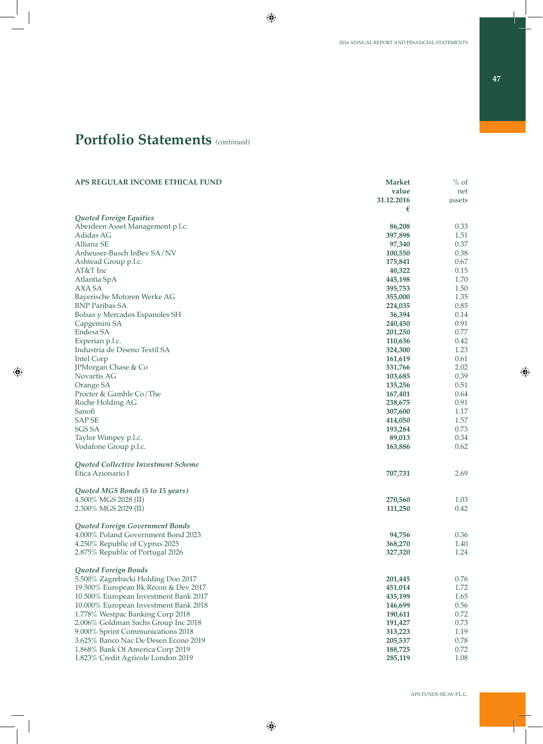$\bigcirc$ 

### **Portfolio Statements** *(continued)*

 $\bigoplus$ 

 $\overline{\phantom{a}}$ 

| APS REGULAR INCOME ETHICAL FUND       | <b>Market</b> | $%$ of |
|---------------------------------------|---------------|--------|
|                                       | value         | net    |
|                                       | 31.12.2016    | assets |
|                                       | €             |        |
| Quoted Foreign Equities               |               |        |
| Aberdeen Asset Management p.l.c.      | 86,208        | 0.33   |
| Adidas AG                             | 397,898       | 1.51   |
| Allianz SE                            | 97,340        | 0.37   |
| Anheuser-Busch InBev SA/NV            | 100,550       | 0.38   |
| Ashtead Group p.l.c.                  | 175,841       | 0.67   |
| AT&T Inc                              | 40,322        | 0.15   |
| Atlantia SpA                          | 445,198       | 1.70   |
| <b>AXA SA</b>                         | 395,753       | 1.50   |
| Bayerische Motoren Werke AG           | 355,000       | 1.35   |
| <b>BNP Paribas SA</b>                 | 224,035       | 0.85   |
| Bolsas y Mercados Espanoles SH        | 36,394        | 0.14   |
| Capgemini SA                          | 240,450       | 0.91   |
| Endesa SA                             | 201,250       | 0.77   |
| Experian p.l.c.                       | 110,636       | 0.42   |
| Industria de Diseno Textil SA         | 324,300       | 1.23   |
| Intel Corp                            | 161,619       | 0.61   |
| JPMorgan Chase & Co                   | 531,766       | 2.02   |
| Novartis AG                           | 103,685       | 0.39   |
| Orange SA                             | 135,256       | 0.51   |
| Procter & Gamble Co/The               | 167,401       | 0.64   |
| Roche Holding AG                      | 238,675       | 0.91   |
| Sanofi                                | 307,600       | 1.17   |
| <b>SAPSE</b>                          | 414,050       | 1.57   |
| <b>SGS SA</b>                         | 193,284       | 0.73   |
| Taylor Wimpey p.l.c.                  | 89,013        | 0.34   |
| Vodafone Group p.l.c.                 | 163,886       | 0.62   |
| Quoted Collective Investment Scheme   |               |        |
| Etica Azionario I                     | 707,731       | 2.69   |
|                                       |               |        |
| Quoted MGS Bonds (5 to 15 years)      |               |        |
| 4.500% MGS 2028 (II)                  | 270,560       | 1.03   |
| 2.300% MGS 2029 (II)                  | 111,250       | 0.42   |
|                                       |               |        |
| Quoted Foreign Government Bonds       |               |        |
| 4.000% Poland Government Bond 2023    | 94,756        | 0.36   |
| 4.250% Republic of Cyprus 2025        | 368,270       | 1.40   |
| 2.875% Republic of Portugal 2026      | 327,320       | 1.24   |
|                                       |               |        |
| Quoted Foreign Bonds                  |               |        |
| 5.500% Zagrebacki Holding Doo 2017    | 201,445       | 0.76   |
| 19.500% European Bk Recon & Dev 2017  | 451,014       | 1.72   |
| 10.500% European Investment Bank 2017 | 435,199       | 1.65   |
| 10.000% European Investment Bank 2018 | 146,699       | 0.56   |
| 1.778% Westpac Banking Corp 2018      | 190,611       | 0.72   |
| 2.006% Goldman Sachs Group Inc 2018   | 191,427       | 0.73   |
| 9.000% Sprint Communications 2018     | 313,223       | 1.19   |
| 3.625% Banco Nac De Desen Econo 2019  | 205,537       | 0.78   |
| 1.868% Bank Of America Corp 2019      | 188,725       | 0.72   |
| 1.823% Credit Agricole London 2019    | 285,119       | 1.08   |

 $\bigoplus$ 

**47**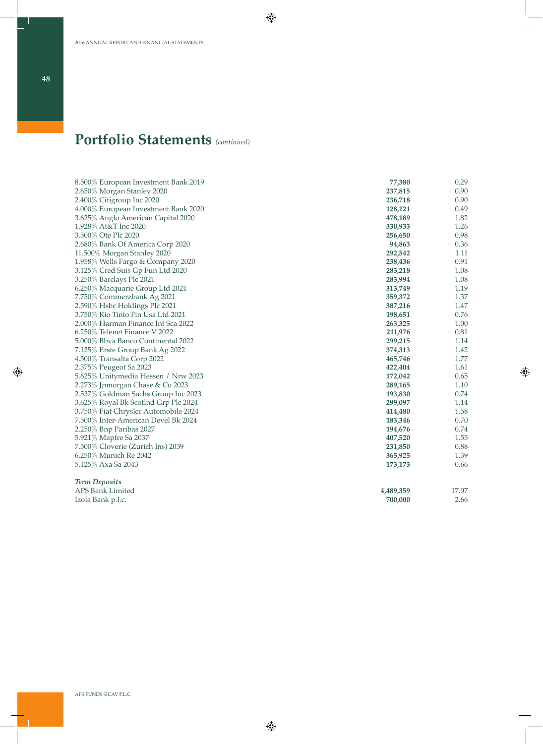$\bigoplus$ 

### **Portfolio Statements** *(continued)*

| 8.500% European Investment Bank 2019 | 77,380    | 0.29  |
|--------------------------------------|-----------|-------|
| 2.650% Morgan Stanley 2020           | 237,815   | 0.90  |
| 2.400% Citigroup Inc 2020            | 236,718   | 0.90  |
| 4.000% European Investment Bank 2020 | 128,121   | 0.49  |
| 3.625% Anglo American Capital 2020   | 478,189   | 1.82  |
| 1.928% At&T Inc 2020                 | 330,933   | 1.26  |
| 3.500% Ote Plc 2020                  | 256,650   | 0.98  |
| 2.680% Bank Of America Corp 2020     | 94,863    | 0.36  |
| 11.500% Morgan Stanley 2020          | 292,542   | 1.11  |
| 1.958% Wells Fargo & Company 2020    | 238,436   | 0.91  |
| 3.125% Cred Suis Gp Fun Ltd 2020     | 283,218   | 1.08  |
| 3.250% Barclays Plc 2021             | 283,994   | 1.08  |
| 6.250% Macquarie Group Ltd 2021      | 313,749   | 1.19  |
| 7.750% Commerzbank Ag 2021           | 359,372   | 1.37  |
| 2.590% Hsbc Holdings Plc 2021        | 387,216   | 1.47  |
| 3.750% Rio Tinto Fin Usa Ltd 2021    | 198,651   | 0.76  |
| 2.000% Harman Finance Int Sca 2022   | 263,325   | 1.00  |
| 6.250% Telenet Finance V 2022        | 211,976   | 0.81  |
| 5.000% Bbva Banco Continental 2022   | 299,215   | 1.14  |
| 7.125% Erste Group Bank Ag 2022      | 374,313   | 1.42  |
| 4.500% Transalta Corp 2022           | 465,746   | 1.77  |
| 2.375% Peugeot Sa 2023               | 422,404   | 1.61  |
| 5.625% Unitymedia Hessen / Nrw 2023  | 172,042   | 0.65  |
| 2.273% Jpmorgan Chase & Co 2023      | 289,165   | 1.10  |
| 2.537% Goldman Sachs Group Inc 2023  | 193,830   | 0.74  |
| 3.625% Royal Bk Scotlnd Grp Plc 2024 | 299,097   | 1.14  |
| 3.750% Fiat Chrysler Automobile 2024 | 414,480   | 1.58  |
| 7.500% Inter-American Devel Bk 2024  | 183,346   | 0.70  |
| 2.250% Bnp Paribas 2027              | 194,676   | 0.74  |
| 5.921% Mapfre Sa 2037                | 407,520   | 1.55  |
| 7.500% Cloverie (Zurich Ins) 2039    | 231,850   | 0.88  |
| 6.250% Munich Re 2042                | 365,925   | 1.39  |
| 5.125% Axa Sa 2043                   | 173,173   | 0.66  |
| <b>Term Deposits</b>                 |           |       |
| <b>APS Bank Limited</b>              | 4,489,359 | 17.07 |
| Izola Bank p.l.c.                    | 700,000   | 2.66  |

 $\bigoplus$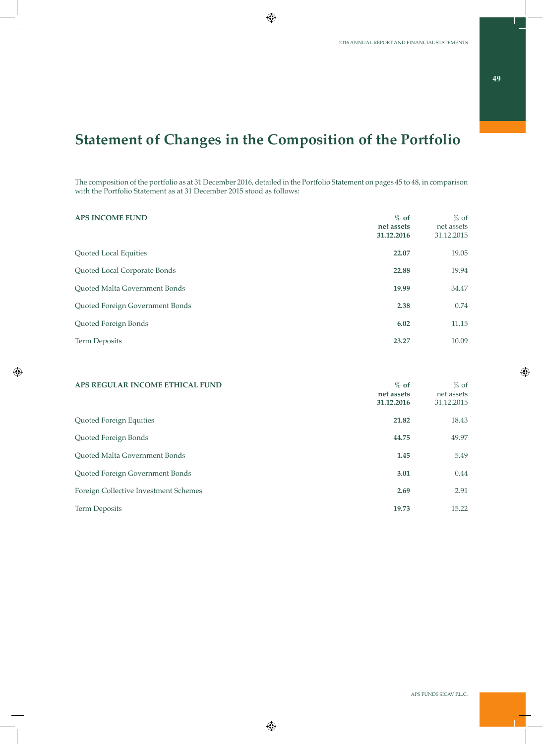### **Statement of Changes in the Composition of the Portfolio**

 $\bigoplus$ 

The composition of the portfolio as at 31 December 2016, detailed in the Portfolio Statement on pages 45 to 48, in comparison with the Portfolio Statement as at 31 December 2015 stood as follows:

| <b>APS INCOME FUND</b>          | $%$ of<br>net assets<br>31.12.2016 | $%$ of<br>net assets<br>31.12.2015 |
|---------------------------------|------------------------------------|------------------------------------|
| Quoted Local Equities           | 22.07                              | 19.05                              |
| Quoted Local Corporate Bonds    | 22.88                              | 19.94                              |
| Quoted Malta Government Bonds   | 19.99                              | 34.47                              |
| Quoted Foreign Government Bonds | 2.38                               | 0.74                               |
| Quoted Foreign Bonds            | 6.02                               | 11.15                              |
| Term Deposits                   | 23.27                              | 10.09                              |

| APS REGULAR INCOME ETHICAL FUND       | $\%$ of    | $\%$ of    |
|---------------------------------------|------------|------------|
|                                       | net assets | net assets |
|                                       | 31.12.2016 | 31.12.2015 |
| Quoted Foreign Equities               | 21.82      | 18.43      |
| Quoted Foreign Bonds                  | 44.75      | 49.97      |
| <b>Ouoted Malta Government Bonds</b>  | 1.45       | 5.49       |
| Quoted Foreign Government Bonds       | 3.01       | 0.44       |
| Foreign Collective Investment Schemes | 2.69       | 2.91       |
| <b>Term Deposits</b>                  | 19.73      | 15.22      |

⊕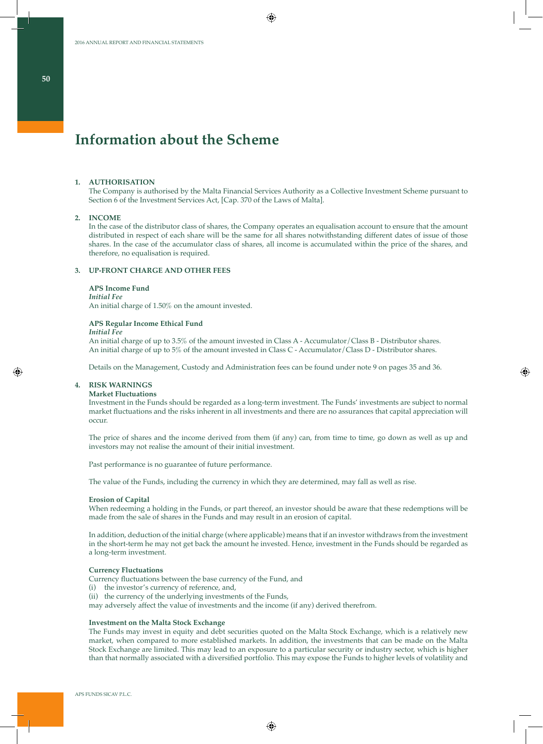### **Information about the Scheme**

#### **1. AUTHORISATION**

The Company is authorised by the Malta Financial Services Authority as a Collective Investment Scheme pursuant to Section 6 of the Investment Services Act, [Cap. 370 of the Laws of Malta].

#### **2. INCOME**

In the case of the distributor class of shares, the Company operates an equalisation account to ensure that the amount distributed in respect of each share will be the same for all shares notwithstanding different dates of issue of those shares. In the case of the accumulator class of shares, all income is accumulated within the price of the shares, and therefore, no equalisation is required.

#### **3. UP-FRONT CHARGE AND OTHER FEES**

#### **APS Income Fund**

*Initial Fee* An initial charge of 1.50% on the amount invested.

#### **APS Regular Income Ethical Fund**

*Initial Fee*

An initial charge of up to 3.5% of the amount invested in Class A - Accumulator/Class B - Distributor shares. An initial charge of up to 5% of the amount invested in Class C - Accumulator/Class D - Distributor shares.

Details on the Management, Custody and Administration fees can be found under note 9 on pages 35 and 36.

#### **4. RISK WARNINGS**

#### **Market Fluctuations**

Investment in the Funds should be regarded as a long-term investment. The Funds' investments are subject to normal market fluctuations and the risks inherent in all investments and there are no assurances that capital appreciation will occur.

◈

The price of shares and the income derived from them (if any) can, from time to time, go down as well as up and investors may not realise the amount of their initial investment.

Past performance is no guarantee of future performance.

The value of the Funds, including the currency in which they are determined, may fall as well as rise.

#### **Erosion of Capital**

When redeeming a holding in the Funds, or part thereof, an investor should be aware that these redemptions will be made from the sale of shares in the Funds and may result in an erosion of capital.

In addition, deduction of the initial charge (where applicable) means that if an investor withdraws from the investment in the short-term he may not get back the amount he invested. Hence, investment in the Funds should be regarded as a long-term investment.

#### **Currency Fluctuations**

Currency fluctuations between the base currency of the Fund, and

- (i) the investor's currency of reference, and,
- (ii) the currency of the underlying investments of the Funds,

may adversely affect the value of investments and the income (if any) derived therefrom.

#### **Investment on the Malta Stock Exchange**

The Funds may invest in equity and debt securities quoted on the Malta Stock Exchange, which is a relatively new market, when compared to more established markets. In addition, the investments that can be made on the Malta Stock Exchange are limited. This may lead to an exposure to a particular security or industry sector, which is higher than that normally associated with a diversified portfolio. This may expose the Funds to higher levels of volatility and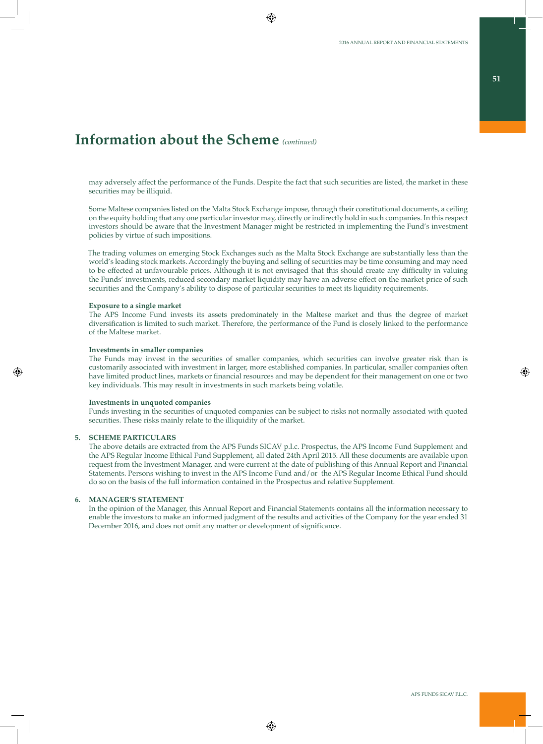♠

### **Information about the Scheme** *(continued)*

may adversely affect the performance of the Funds. Despite the fact that such securities are listed, the market in these securities may be illiquid.

◈

Some Maltese companies listed on the Malta Stock Exchange impose, through their constitutional documents, a ceiling on the equity holding that any one particular investor may, directly or indirectly hold in such companies. In this respect investors should be aware that the Investment Manager might be restricted in implementing the Fund's investment policies by virtue of such impositions.

 The trading volumes on emerging Stock Exchanges such as the Malta Stock Exchange are substantially less than the world's leading stock markets. Accordingly the buying and selling of securities may be time consuming and may need to be effected at unfavourable prices. Although it is not envisaged that this should create any difficulty in valuing the Funds' investments, reduced secondary market liquidity may have an adverse effect on the market price of such securities and the Company's ability to dispose of particular securities to meet its liquidity requirements.

#### **Exposure to a single market**

The APS Income Fund invests its assets predominately in the Maltese market and thus the degree of market diversification is limited to such market. Therefore, the performance of the Fund is closely linked to the performance of the Maltese market.

#### **Investments in smaller companies**

The Funds may invest in the securities of smaller companies, which securities can involve greater risk than is customarily associated with investment in larger, more established companies. In particular, smaller companies often have limited product lines, markets or financial resources and may be dependent for their management on one or two key individuals. This may result in investments in such markets being volatile.

#### **Investments in unquoted companies**

Funds investing in the securities of unquoted companies can be subject to risks not normally associated with quoted securities. These risks mainly relate to the illiquidity of the market.

#### **5. SCHEME PARTICULARS**

The above details are extracted from the APS Funds SICAV p.l.c. Prospectus, the APS Income Fund Supplement and the APS Regular Income Ethical Fund Supplement, all dated 24th April 2015. All these documents are available upon request from the Investment Manager, and were current at the date of publishing of this Annual Report and Financial Statements. Persons wishing to invest in the APS Income Fund and/or the APS Regular Income Ethical Fund should do so on the basis of the full information contained in the Prospectus and relative Supplement.

#### **6. MANAGER'S STATEMENT**

In the opinion of the Manager, this Annual Report and Financial Statements contains all the information necessary to enable the investors to make an informed judgment of the results and activities of the Company for the year ended 31 December 2016, and does not omit any matter or development of significance.